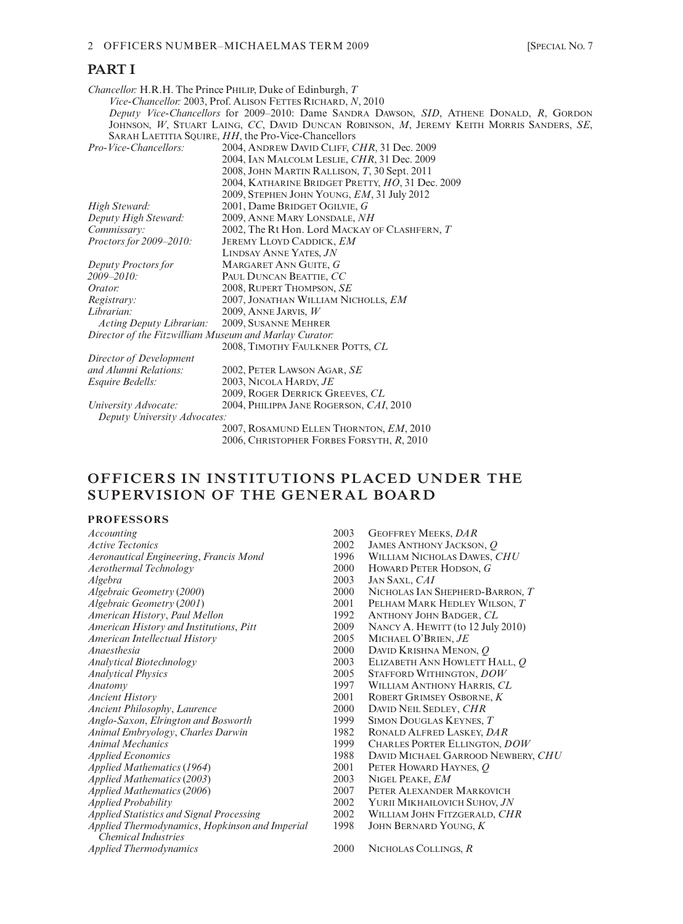# **PART I**

*Chancellor:* H.R.H. The Prince PHILIP, Duke of Edinburgh, *T Vice-Chancellor:* 2003, Prof. ALISON FETTES RICHARD, *N*, 2010 *Deputy Vice-Chancellors* for 2009–2010: Dame SANDRA DAWSON, *SID*, ATHENE DONALD, *R*, GORDON JOHNSON, *W*, STUART LAING, *CC*, DAVID DUNCAN ROBINSON, *M*, JEREMY KEITH MORRIS SANDERS, *SE*, SARAH LAETITIA SQUIRE, *HH*, the Pro-Vice-Chancellors<br>*Pro-Vice-Chancellors:* 2004, ANDREW DAVID CLIFF, C *Pro-Vice-Chancellors:* 2004, ANDREW DAVID CLIFF, *CHR*, 31 Dec. 2009 2004, IAN MALCOLM LESLIE, *CHR*, 31 Dec. 2009 2008, JOHN MARTIN RALLISON, *T*, 30 Sept. 2011 2004, KATHARINE BRIDGET PRETTY, *HO*, 31 Dec. 2009 2009, STEPHEN JOHN YOUNG, *EM*, 31 July 2012 *High Steward:* 2001, Dame BRIDGET OGILVIE, *G Deputy High Steward:* 2009, ANNE MARY LONSDALE, *NH*<br> *Commissary:* 2002, The Rt Hon. Lord MACKAY C *Commissary:* 2002, The Rt Hon. Lord MACKAY OF CLASHFERN, *T Proctors for 2009–2010:* JEREMY LLOYD CADDICK, *EM Proctors for 2009–2010:* JEREMY LLOYD CADDICK, *EM* LINDSAY ANNE YATES, *JN Deputy Proctors for* MARGARET ANN GUITE, *G 2009–2010:* PAUL DUNCAN BEATTIE, *CC Orator:* 2008, RUPERT THOMPSON, *SE*<br>*Registrary:* 2007, JONATHAN WILLIAM NI *Registrary:* 2007, JONATHAN WILLIAM NICHOLLS, *EM Librarian:* 2009, ANNE JARVIS, *W Acting Deputy Librarian: Director of the Fitzwilliam Museum and Marlay Curator:* 2008, TIMOTHY FAULKNER POTTS, *CL Director of Development and Alumni Relations:* 2002, PETER LAWSON AGAR, *SE Esquire Bedells:* 2003, NICOLA HARDY, *JE* 2009, ROGER DERRICK GREEVES, *CL University Advocate:* 2004, PHILIPPA JANE ROGERSON, *CAI*, 2010 *Deputy University Advocates:* 2007, ROSAMUND ELLEN THORNTON, *EM*, 2010 2006, CHRISTOPHER FORBES FORSYTH, *R*, 2010

# **OFFICERS IN INSTITUTIONS PLACED UNDER THE SUPERVISION OF THE GENERAL BOARD**

# **PROFESSORS**

| Accounting                                      | 2003 | <b>GEOFFREY MEEKS, DAR</b>         |
|-------------------------------------------------|------|------------------------------------|
| <b>Active Tectonics</b>                         | 2002 | JAMES ANTHONY JACKSON, Q           |
| Aeronautical Engineering, Francis Mond          | 1996 | WILLIAM NICHOLAS DAWES, CHU        |
| Aerothermal Technology                          | 2000 | HOWARD PETER HODSON, G             |
| Algebra                                         | 2003 | JAN SAXL, CAI                      |
| Algebraic Geometry (2000)                       | 2000 | NICHOLAS IAN SHEPHERD-BARRON, T    |
| Algebraic Geometry (2001)                       | 2001 | PELHAM MARK HEDLEY WILSON, T       |
| American History, Paul Mellon                   | 1992 | ANTHONY JOHN BADGER, CL            |
| American History and Institutions, Pitt         | 2009 | NANCY A. HEWITT (to 12 July 2010)  |
| <b>American Intellectual History</b>            | 2005 | MICHAEL O'BRIEN, JE                |
| <i>Anaesthesia</i>                              | 2000 | DAVID KRISHNA MENON, Q             |
| <b>Analytical Biotechnology</b>                 | 2003 | ELIZABETH ANN HOWLETT HALL, O      |
| <b>Analytical Physics</b>                       | 2005 | STAFFORD WITHINGTON, DOW           |
| Anatomy                                         | 1997 | WILLIAM ANTHONY HARRIS, CL         |
| <b>Ancient History</b>                          | 2001 | ROBERT GRIMSEY OSBORNE, K          |
| Ancient Philosophy, Laurence                    | 2000 | DAVID NEIL SEDLEY, CHR             |
| Anglo-Saxon, Elrington and Bosworth             | 1999 | SIMON DOUGLAS KEYNES, T            |
| Animal Embryology, Charles Darwin               | 1982 | RONALD ALFRED LASKEY, DAR          |
| Animal Mechanics                                | 1999 | CHARLES PORTER ELLINGTON, DOW      |
| <b>Applied Economics</b>                        | 1988 | DAVID MICHAEL GARROOD NEWBERY, CHU |
| Applied Mathematics (1964)                      | 2001 | PETER HOWARD HAYNES, O             |
| Applied Mathematics (2003)                      | 2003 | NIGEL PEAKE, EM                    |
| Applied Mathematics (2006)                      | 2007 | PETER ALEXANDER MARKOVICH          |
| <i>Applied Probability</i>                      | 2002 | YURII MIKHAILOVICH SUHOV, JN       |
| <b>Applied Statistics and Signal Processing</b> | 2002 | WILLIAM JOHN FITZGERALD, CHR       |
| Applied Thermodynamics, Hopkinson and Imperial  | 1998 | JOHN BERNARD YOUNG, K              |
| <i><b>Chemical Industries</b></i>               |      |                                    |
| <b>Applied Thermodynamics</b>                   | 2000 | NICHOLAS COLLINGS, R               |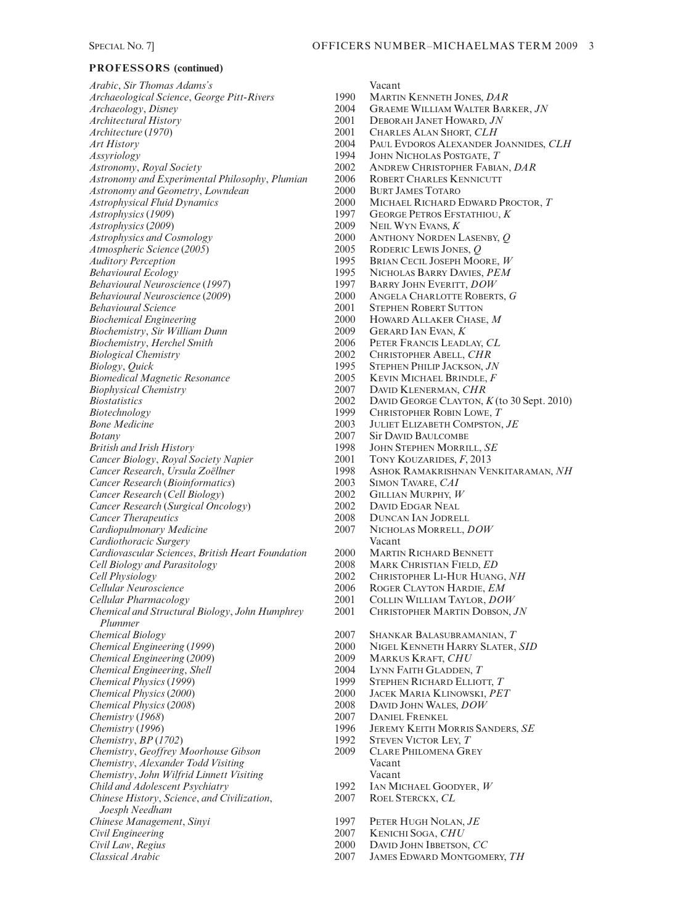*Arabic*, *Sir Thomas Adams's* Vacant *Archaeological Science, George Pitt-Rivers* 1990<br>*Archaeology, Disney* 2004 *Archaeology*, *Disney* 2004 GRAEME WILLIAM WALTER BARKER, *JN Architectural History* 2001 DEBORAH JANET HOWARD, *JN Assyriology* 1994 JOHN NICHOLAS POSTGATE, T<br> *Astronomy, Royal Society* 2002 ANDREW CHRISTOPHER FABIA *Astronomy and Experimental Philosophy, Plumian* 2006 ROBERT CHARLES KE<br>Astronomy and Geometry, Lowndean 2000 BURT JAMES TOTARO *Astronomy and Geometry, Lowndean* 2000<br> *Astrophysical Fluid Dynamics* 2000 *Astrophysics* (1909) 1997 GEORGE PETROS EFSTATHIOU, *K*<br> *Astrophysics* (2009) 1997 2009 NEIL WYN EVANS. *K Astrophysics (2009)* 2009<br> *Astrophysics and Cosmology* 2000 *Atmospheric Science* (*2005*) 2005<br> *Auditory Perception* 2995 *Auditory Perception*<br> *Behavioural Ecology*<br>
1995 **BRIAN CECIL JOSEPH MOORE,** *W*<br>
1995 **NICHOLAS BARRY DAVIES,** *PEM Behavioural Neuroscience* (*1997*) 1997<br> *Behavioural Neuroscience* (2009) 2000 *Behavioural Neuroscience* (*2009*) 2000 ANGELA CHARLOTTE ROBERTS, *G Biochemical Engineering* 2000 HOWARD ALLAKER CHASE, *M*<br>*Biochemistry. Sir William Dunn* 2009 GERARD JAN EVAN. *K Biochemistry*, *Sir William Dunn* 2009 GERARD IAN EVAN, *K Biochemistry*, *Herchel Smith* 2006<br> *Biological Chemistry* 2002 *Biology*, *Quick* 1995 STEPHEN PHILIP JACKSON, *JN Biomedical Magnetic Resonance* 2005<br> *Biophysical Chemistry* 2007 *Biophysical Chemistry* 2007 DAVID KLENERMAN, *CHR* **Bone Medicine** 2003 **JULIET ELIZABETH COMPSTON,** *JE* **Botany** 2007 **Sir DAVID BAULCOMBE** *Botany* 2007 Sir DAVID BAULCOMBE<br>British and Irish History 2007 2007 2008 JOHN STEPHEN MORRII *Cancer Biology, Royal Society Napier* 2001<br> *Cancer Research, Ursula Zoëllner* 2007 *Cancer Research (Bioinformatics)* 2003<br> *Cancer Research (Cell Biology)* 2002 *Cancer Research* (*Cell Biology*) 2002 GILLIAN MURPHY, *W Cancer Research (Surgical Oncology)* 2002<br> *Cancer Therapeutics* 2008 **Cancer Therapeutics** 2008 DUNCAN IAN JODRELL<br>
Cardiopulmonary Medicine 2007 NICHOLAS MORRELL, 1 *Cardiothoracic Surgery* Vacant *Cardiovascular Sciences*, *British Heart Foundation* 2000 MARTIN RICHARD BENNETT *Cell Biology and Parasitology Cell Physiology* 2002 CHRISTOPHER LI-HUR HUANG, NH<br> *Cellular Neuroscience* 2006 ROGER CLAYTON HARDIE, *EM Cellular Pharmacology* 2001 COLLIN WILLIAM TAYLOR, *DOW Chemical and Structural Biology*, *John Humphrey Plummer Chemical Engineering* (*1999*) 2000 NIGEL KENNETH HARRY SLATER, *SID Chemical Engineering* (*2009*) 2009 MARKUS KRAFT, *CHU Chemical Engineering, Shell* 2004<br> *Chemical Physics* (1999) <sup>1999</sup> *Chemical Physics (1999)* 1999 STEPHEN RICHARD ELLIOTT, *T*<br> *Chemical Physics (2000)* 2000 JACEK MARIA KLINOWSKI, *PE Chemical Physics* (2008) 2008 DAVID JOHN WALES, *DOW*<br> *Chemistry* (1968) 2007 DANIEL FRENKEL *Chemistry* (1968) 2007 DANIEL FRENKEL Chemistry (1996) 2007 DANIEL FRENKEL *Chemistry*, *BP* (1702) 1992 STEVEN VICTOR LEY, *T* (*Chemistry*, *Geoffrey Moorhouse Gibson* 2009 CLARE PHILOMENA GREY *Chemistry, Geoffrey Moorhouse Gibson* 2009 CLARE Chemistry, Alexander Todd Visiting Vacant *Chemistry, Alexander Todd Visiting Chemistry*, *John Wilfrid Linnett Visiting* Vacant *Child and Adolescent Psychiatry* 1992 IAN MICHAEL GOOD<br> *Chinese History, Science, and Civilization*, 2007 ROEL STERCKX, CL *Chinese History, Science, and Civilization, Joesph Needham Chinese Management*, *Sinyi* 1997 PETER HUGH NOLAN, *JE*<br> *Civil Engineering* 2007 KENICHI SOGA, *CHU Civil Engineering* 2007 KENICHI SOGA, *CHU Civil Law*, *Regius* 2000 DAVID JOHN IBBETSON, *CC*

*Architecture* (*1970*) 2001 CHARLES ALAN SHORT, *CLH Art History* 2004 PAUL EVDOROS ALEXANDER JOANNIDES, *CLH Astronomy*, *Royal Society* 2002 ANDREW CHRISTOPHER FABIAN, *DAR* 2000 MICHAEL RICHARD EDWARD PROCTOR, *T*<br>1997 George Petros Efstathiou. *K Astrophysics and Cosmology* 2000 ANTHONY NORDEN LASENBY, *Q Behavioural Ecology* 1995 NICHOLAS BARRY DAVIES, *PEM* 2001 STEPHEN ROBERT SUTTON<br>2000 Howard Allaker Chase *Biological Chemistry* 2002 CHRISTOPHER ABELL, *CHR Biostatistics* 2002 DAVID GEORGE CLAYTON, *K* (to 30 Sept. 2010)<br>*Biotechnology* 1999 CHRISTOPHER ROBIN LOWE, *T Biotechnology* 1999 CHRISTOPHER ROBIN LOWE, *T* 1998 JOHN STEPHEN MORRILL, *SE*<br>2001 TONY KOUZARIDES, *F*. 2013 *Cancer Research*, *Ursula Zoëllner* 1998 ASHOK RAMAKRISHNAN VENKITARAMAN, *NH Cardiopulmonary Medicine* 2007 NICHOLAS MORRELL, *DOW* **ROGER CLAYTON HARDIE,** *EM Chemical Biology* 2007 SHANKAR BALASUBRAMANIAN, *T Chemical Physics* (*2000*) 2000 JACEK MARIA KLINOWSKI, *PET Chemistry* (*1996*) 1996 JEREMY KEITH MORRIS SANDERS, *SE Classical Arabic* 2007 JAMES EDWARD MONTGOMERY, *TH*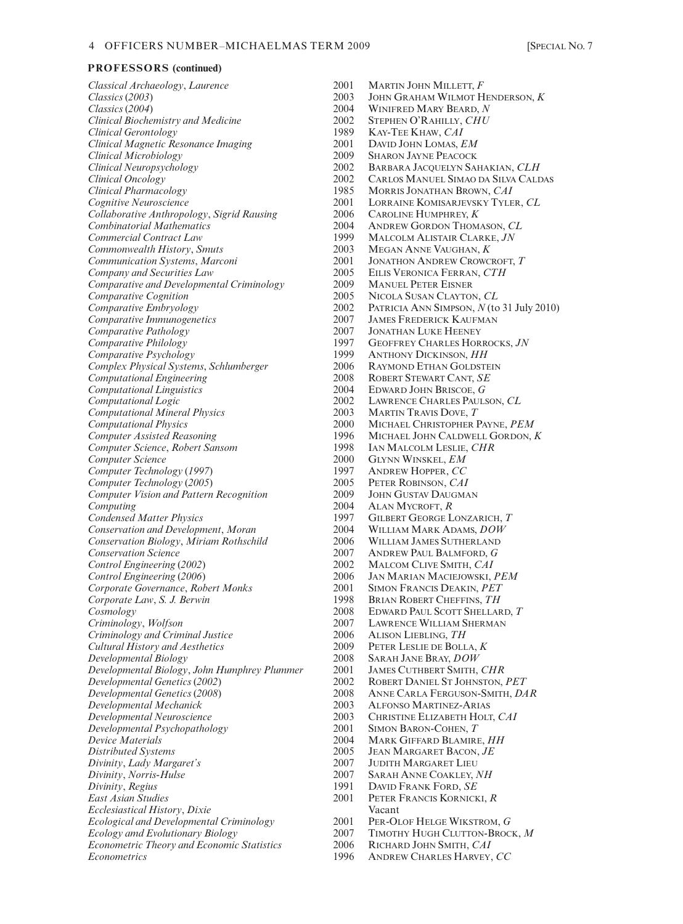*Classical Archaeology*, *Laurence* 2001 MARTIN JOHN MILLETT, *F Classics* (2003) 2003 JOHN GRAHAM WILMOT H *Classics (2003)* 2003 JOHN GRAHAM WILMOT HENDERSON, *K Classics (2004*) 2004 WINIFRED MARY BEARD, *N Clinical Biochemistry and Medicine* 2002<br>*Clinical Gerontology* 1989 *Clinical Magnetic Resonance Imaging* 2001 DAVID JOHN LOMAS, *EM Clinical Microbiology* 2009 SHARON JAYNE PEACOCK *Clinical Neuropsychology* 2002 BARBARA JACQUELYN SAHAKIAN, *CLH Clinical Pharmacology* 1985 MORRIS JONATHAN BROWN, *CAI Collaborative Anthropology*, *Sigrid Rausing* 2006 CAROLINE HUMPHREY, *K Combinatorial Mathematics* 2004 ANDREW GORDON THOMASON, *CL*<br>
2004 ANDREW GORDON THOMASON, *CL*<br>
2009 MALCOLM ALISTAIR CLARKE, *JN*  $Commonwealth History, Smuts$ *Communication Systems, Marconi* 2001 JONATHON ANDREW CROWCROFT, *T Company and Securities Law* 2005 EILIS VERONICA FERRAN, *CTH Comparative and Developmental Criminology* 2009<br> *Comparative Coenition* 2005 *Comparative Cognition*<br> *Comparative Embryology*<br>
2002 **PATRICIA ANN SIMPSON,** *N* (to *Comparative Immunogenetics* 2007 JAMES FREDERICK KAUFMAN<br> *Comparative Pathology* 2007 JONATHAN LUKE HEENEY *Comparative Pathology*<br> *Comparative Philology*<br>
2007 **JONATHAN LUKE HEENEY**<br>
2007 **JONATHAN LUKE HEENEY** *Comparative Philology* 1997 GEOFFREY CHARLES HORROCKS, *JN*<br> *Comparative Psychology* 1999 ANTHONY DICKINSON. HH *Complex Physical Systems, Schlumberger* 2006 RAYMOND ETHAN GOLDSTEIN<br> *Computational Engineering* 2008 ROBERT STEWART CANT, *SE Computational Engineering* 2008 ROBERT STEWART CANT, *SE Computational Linguistics* 2004<br> *Computational Logic Computational Mineral Physics Computational Physics* 2000 MICHAEL CHRISTOPHER PAYNE, *PEM Computer Assisted Reasoning* 1996 MICHAEL JOHN CALDWELL GORDON, *K Computer Science, Robert Sansom* 1998<br> *Computer Science* 2000 *Computer Technology (1997)* 1997 ANDREW HOPPER, *CC*<br> *Computer Technology (2005)* 2005 PETER ROBINSON, *CAI Computer Technology (2005)* 2005<br> *Computer Vision and Pattern Recognition* 2009 *Computer Vision and Pattern Recognition* 2009 JOHN GUSTAV DAUGMAN<br> *Computing* 2004 ALAN MYCROFT, R *Computing* 2004 ALAN MYCROFT, *R*<br> *Condensed Matter Physics* 2004 2007 GILBERT GEORGE L *Conservation and Development*, *Moran* 2004<br> *Conservation Biology, Miriam Rothschild* 2006 *Conservation Biology*, *Miriam Rothschild* 2006 WILLIAM JAMES SUTHERLAND *Control Engineering (2002) Control Engineering* (*2006*) 2006 JAN MARIAN MACIEJOWSKI, *PEM Corporate Governance, Robert Monks Corporate Law, S. J. Berwin* 1998 BRIAN ROBERT CHEFFINS, TH Cosmology *Cosmology* 2008 EDWARD PAUL SCOTT SHELLARD, *T* 2007 EDWARD PAUL SCOTT SHELLARD, *T Criminology and Criminal Justice* 2006 ALISON LIEBLING, *TH Cultural History and Aesthetics* 2009 PETER LESLIE DE BOLLA, *K Developmental Biology* 2008 SARAH JANE BRAY, *DOW Developmental Biology*, *John Humphrey Plummer* 2001 JAMES CUTHBERT SMITH, *CHR Developmental Genetics (2002)* 2002<br> *Developmental Genetics (2008)* 2008 *Developmental Mechanick* 2003 ALFONSO MARTINEZ-ARIAS *Developmental Neuroscience* 2003 CHRISTINE ELIZABETH HOLT, *CAI*<br> *Developmental Psychopathology* 2001 SIMON BARON-COHEN, *T Developmental Psychopathology* 2001<br> *Device Materials* 2004 *Device Materials* 2004 MARK GIFFARD BLAMIRE, *HH*<br>*Distributed Systems* 2005 JEAN MARGARET BACON, *JE Divinity*, *Lady Margaret's Divinity*, *Norris-Hulse* 2007 SARAH ANNE COAKLEY, *NH*<br>*Divinity*, *Regius* 2007 2007 DAVID FRANK FORD, *SE Divinity*, *Regius* 1991 DAVID FRANK FORD, *SE*<br> *East Asian Studies* 2001 PETER FRANCIS KORNICK *Ecclesiastical History, Dixie* Vacant<br> *Ecological and Developmental Criminology* 2001 PER-OLOF HELGE WIKSTROM, G *Ecological and Developmental Criminology* 2001<br> *Ecology amd Evolutionary Biology* 2007 *Ecology amd Evolutionary Biology* 2007 TIMOTHY HUGH CLUTTON-BROCK, *M*<br>*Econometric Theory and Economic Statistics* 2006 RICHARD JOHN SMITH, *CAI Econometric Theory and Economic Statistics* 2006<br>*Econometrics* 1996

*Classics* (*2004*) 2004 WINIFRED MARY BEARD, *N Clinical Gerontology* 1989 KAY-TEE KHAW, *CAI Clinical Oncology* 2002 CARLOS MANUEL SIMAO DA SILVA CALDAS<br>
2002 CARLOS MORRIS JONATHAN BROWN, CAI LORRAINE KOMISARJEVSKY TYLER, CL 1999 MALCOLM ALISTAIR CLARKE, *JN*<br>2003 MEGAN ANNE VAUGHAN, *K Company and Securities Law* 2005 EILIS VERONICA FERRAN, *CTH Comparative Embryology* 2002 PATRICIA ANN SIMPSON, *N* (to 31 July 2010) **ANTHONY DICKINSON, HH** 2002 LAWRENCE CHARLES PAULSON, *CL*<br>2003 MARTIN TRAVIS DOVE, *T* 2000 GLYNN WINSKEL, *EM*<br>1997 ANDREW HOPPER, *CC* **CONDERT GEORGE LONZARICH, T** 2004 WILLIAM MARK ADAMS, *DOW Conservation Science* 2007 ANDREW PAUL BALMFORD, *G* LAWRENCE WILLIAM SHERMAN *Developmental Genetics* (*2008*) 2008 ANNE CARLA FERGUSON-SMITH, *DAR Distributed Systems* 2005 JEAN MARGARET BACON, *JE East Asian Studies* 2001 PETER FRANCIS KORNICKI, *R* **ANDREW CHARLES HARVEY, CC**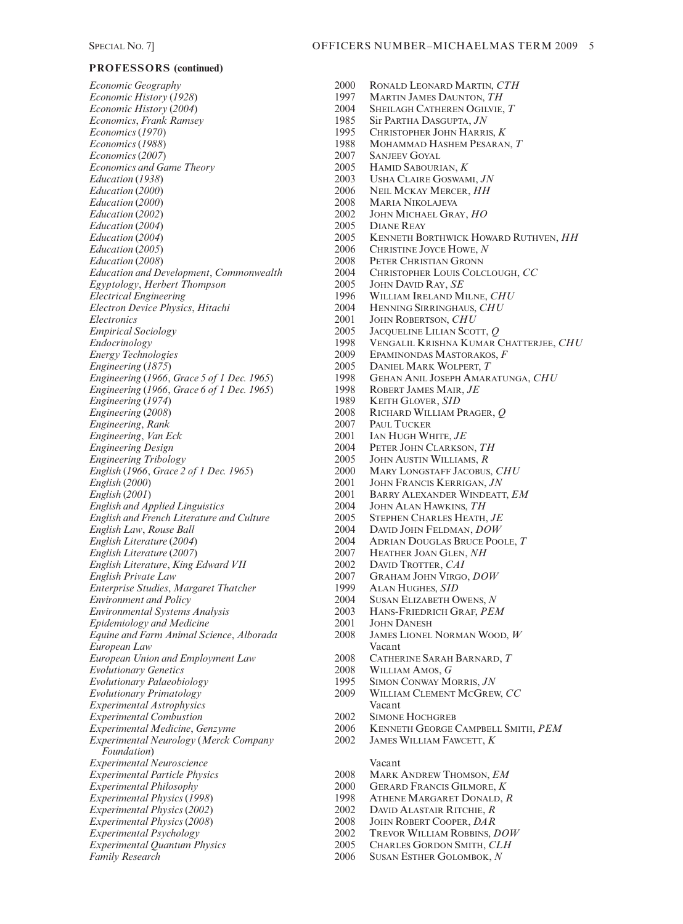*Economic Geography* 2000 RONALD LEONARD MARTIN, *CTH*<br>*Economic History* (1928) 2001 1997 MARTIN JAMES DAUNTON, *TH Economic History* (*1928*) 1997 MARTIN JAMES DAUNTON, *TH Economics, Frank Ramsey* 1985<br> *Economics* (1970) 1995 *Economics* (1988) 1988 MOHAMMAD HASHEM PESARAN, *T*<br>*Economics* (2007) 2007 SANJEEV GOYAL *Economics (2007)* 2007 SANJEEV GOYAL<br> *Economics and Game Theory* 2005 HAMID SABOURIAN, *K Economics and Game Theory* 2005<br> *Education* (1938) 2003 *Education* (1938) 2003 USHA CLAIRE GOSWAMI, *JN*<br> *Education* (2000) 2006 NEIL MCKAY MERCER, *HH Education (2000)* 2006 NEIL MCKAY MERCER, *HH*<br>*Education (2000)* 2008 MARIA NIKOLAJEVA *Education* (2002) 2002 JOHN MICHAEL GRAY, *HO*<br>*Education* (2004) 2005 DIANE REAY *Education* (*2004*) 2005<br> *Education* (*2004*) 2005 *Education and Development*, *Commonwealth* 2004 CHRISTOPHER LOUIS (*Eevptology, Herbert Thompson* 2005 JOHN DAVID RAY, *SE Egyptology, Herbert Thompson* 2005<br>*Electrical Engineering* 1996 *Electron Device Physics, Hitachi* 2004<br>*Electronics* 2001 *Electronics* 2001 JOHN ROBERTSON, *CHU*<br> *Empirical Sociology* 2005 JACQUELINE LILIAN SCO *Empirical Sociology* 2005 JACQUELINE LILIAN SCOTT, *Q Engineering* (1875) 2005 DANIEL MARK WOLPERT, T<br> *Engineering* (1966, *Grace 5 of 1 Dec. 1965*) 1998 GEHAN ANIL JOSEPH AMAR *Engineering* (1966, *Grace 6 of 1 Dec. 1965*) 1998 ROBERT JAMES MAIR<br>*Engineering* (1974) 1989 KEITH GLOVER, *SID Engineering* (1974) 1989<br> *Engineering* (2008) 2008 *Engineering*, *Rank* 2007 PAUL TUCKER<br> *Engineering*, *Van Eck* 2001 IAN HUGH WHITE, *JE Engineering, Van Eck* 2001<br> *Engineering Design* 2004 *Engineering Design* 2004 PETER JOHN CLARKSON, *TH English (1966, Grace 2 of 1 Dec. 1965)* 2000<br>*English (2000)* 2001 *English (2000)* 2001 JOHN FRANCIS KERRIGAN, *JN*<br> *English (2001)* 2001 BARRY ALEXANDER WINDEAT *English and Applied Linguistics* 2004 JOHN ALAN HAWKINS, *TH English and French Literature and Culture* 2005<br> *English Law, Rouse Ball English Law*, *Rouse Ball* 2004 DAVID JOHN FELDMAN, *DOW English Literature* (2007) 2007 <br>*English Literature. King Edward VII* 2002 DAVID TROTTER. *CAI English Literature*, *King Edward VII*<br>*English Private Law Enterprise Studies, Margaret Thatcher Environment and Policy* 2004 SUSAN ELIZABETH OWENS, *N*<br>*Environmental Systems Analysis* 2003 HANS-FRIEDRICH GRAF. *PEN Environmental Systems Analysis* 2003 HANS-FRIEDRICH GRAF, *PEM Epidemiology and Medicine 2001* JOHN DANESH<br> *Equine and Farm Animal Science, Alborada* 2008 JAMES LIONEL NORMAN WOOD, *W Equine and Farm Animal Science, Alborada* 2008 *European Law* Vacant *European Union and Employment Law* 2008 CATHERINE SARAH BARNARD, *T Evolutionary Genetics* **2008** WILLIAM AMOS, *G*<br>*Evolutionary Palaeobiology* **2008** 2008 MONWAY MORRIS, *JN Evolutionary Palaeobiology* 1995<br> *Evolutionary Primatology* 2009 *Experimental Astrophysics* Vacant *Experimental Combustion* 2002 SIMONE HOCHGREB *Experimental Neurology* (*Merck Company Foundation*) *Experimental Neuroscience* Vacant *Experimental Particle Physics* 2008 MARK ANDREW THOMSON, *EM*<br> *Experimental Philosophy* 2000 GERARD FRANCIS GILMORE, *K Experimental Philosophy* 2000 GERARD FRANCIS GILMORE, *K*<br>*Experimental Physics* (1998) 2000 GERARD FRANCIS GILMORE, *K Experimental Physics (2002)* 2002 DAVID ALASTAIR RITCHIE, *R*<br>*Experimental Physics (2008)* 2008 JOHN ROBERT COOPER, *DAR Experimental Physics (2008)* 2008<br> *Experimental Psychology* 2002 *Experimental Quantum Physics* 2005<br> *Family Research* 2006

*Economic History* (*2004*) 2004 SHEILAGH CATHEREN OGILVIE, *T Economics* (*1970*) 1995 CHRISTOPHER JOHN HARRIS, *K Education* (*2000*) 2008 MARIA NIKOLAJEVA *Education* (2004) 2005 **KENNETH BORTHWICK HOWARD RUTHVEN**, *HH*<br>*Education* (2005) 2006 CHRISTINE JOYCE HOWE, *N Education* (*2005*) 2006 CHRISTINE JOYCE HOWE, *N Education (2008)* 2008 PETER CHRISTIAN GRONN<br> *Education and Development, Commonwealth* 2004 CHRISTOPHER LOUIS COLCLOUGH, CC *Electrical Engineering* 1996 WILLIAM IRELAND MILNE, *CHU Endocrinology* 1998 VENGALIL KRISHNA KUMAR CHATTERJEE, *CHU* EPAMINONDAS MASTORAKOS, *F Engineering* (*1966*, *Grace 5 of 1 Dec. 1965*) 1998 GEHAN ANIL JOSEPH AMARATUNGA, *CHU Engineering* (*2008*) 2008 RICHARD WILLIAM PRAGER, *Q Engineering Tribology* 2005 JOHN AUSTIN WILLIAMS, *R English* (*2001*) 2001 BARRY ALEXANDER WINDEATT, *EM English Literature* (*2004*) 2004 ADRIAN DOUGLAS BRUCE POOLE, *T English Private Law* 2007 GRAHAM JOHN VIRGO, *DOW Evolutionary Primatology* 2009 WILLIAM CLEMENT MCGREW, *CC* **EXPERIMENTAL MEDICINE CONFIDELL SMITH, PEM** 2002 JAMES WILLIAM FAWCETT, *K* **EXPREMENTAL PHYSICS PHYSICS ATHENE MARGARET DONALD,** *R* 2002 DAVID ALASTAIR RITCHIE, *R* 

- 
- *Experimental Psychology* 2002 TREVOR WILLIAM ROBBINS, *DOW*
- 
- *SUSAN ESTHER GOLOMBOK, N*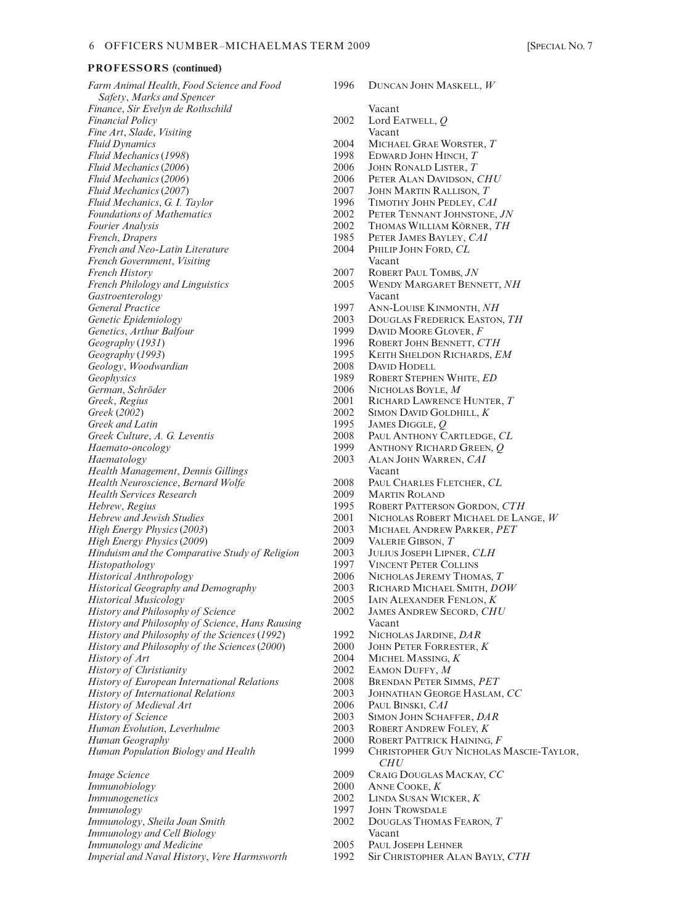| Farm Animal Health, Food Science and Food<br>Safety, Marks and Spencer | 1996 | DUNCA                |
|------------------------------------------------------------------------|------|----------------------|
| Finance, Sir Evelyn de Rothschild                                      |      | Vacant               |
| <b>Financial Policy</b>                                                | 2002 | Lord E               |
| Fine Art, Slade, Visiting                                              |      | Vacant               |
| <b>Fluid Dynamics</b>                                                  | 2004 | Micha                |
| Fluid Mechanics (1998)                                                 | 1998 | EDWAR                |
| Fluid Mechanics (2006)                                                 | 2006 | JOHN F               |
| Fluid Mechanics (2006)                                                 | 2006 | PETER.               |
| Fluid Mechanics (2007)                                                 | 2007 | JOHN N               |
| Fluid Mechanics, G. I. Taylor                                          | 1996 | <b>TIMOTI</b>        |
| <b>Foundations of Mathematics</b>                                      | 2002 | PETER                |
| Fourier Analysis                                                       | 2002 | <b>Тном</b>          |
| French, Drapers                                                        | 1985 | PETER                |
| French and Neo-Latin Literature                                        | 2004 | PHILIP               |
| French Government, Visiting                                            |      | Vacant               |
| <b>French History</b>                                                  | 2007 | <b>ROBER</b>         |
| <b>French Philology and Linguistics</b>                                | 2005 | <b>WEND</b>          |
| Gastroenterology                                                       |      | Vacant               |
| <b>General Practice</b>                                                | 1997 | Ann-L                |
| Genetic Epidemiology                                                   | 2003 | Dougi                |
| Genetics, Arthur Balfour                                               | 1999 | <b>DAVID</b>         |
| Geography (1931)                                                       | 1996 | <b>ROBER</b>         |
| Geography (1993)                                                       | 1995 | Keith                |
| Geology, Woodwardian                                                   | 2008 | DAVID                |
| Geophysics                                                             | 1989 | <b>ROBER</b>         |
| German, Schröder                                                       | 2006 | <b>NICHO</b>         |
|                                                                        | 2001 |                      |
| Greek, Regius                                                          |      | <b>RICHA</b>         |
| Greek (2002)                                                           | 2002 | <b>SIMON</b>         |
| Greek and Latin                                                        | 1995 | <b>JAMES</b>         |
| Greek Culture, A. G. Leventis                                          | 2008 | Paul A               |
| Haemato-oncology                                                       | 1999 | ANTHC                |
| Haematology                                                            | 2003 | ALAN J               |
| Health Management, Dennis Gillings                                     |      | Vacant               |
| Health Neuroscience, Bernard Wolfe                                     | 2008 | PAUL C               |
| Health Services Research                                               | 2009 | MARTI                |
| Hebrew, Regius                                                         | 1995 | <b>ROBER</b>         |
| <b>Hebrew and Jewish Studies</b>                                       | 2001 | <b>NICHO</b>         |
| High Energy Physics (2003)                                             | 2003 | <b>MICHA</b>         |
| High Energy Physics (2009)                                             | 2009 | VALERI               |
| Hinduism and the Comparative Study of Religion                         | 2003 | <b>JULIUS</b>        |
| Histopathology                                                         | 1997 | <b>VINCE</b>         |
| <b>Historical Anthropology</b>                                         | 2006 | <b>NICHO</b>         |
| <b>Historical Geography and Demography</b>                             | 2003 | <b>RICHA</b>         |
| Historical Musicology                                                  | 2005 | <b>IAIN A</b>        |
| <b>History and Philosophy of Science</b>                               | 2002 | JAMES.               |
| History and Philosophy of Science, Hans Rausing                        |      | Vacant               |
| History and Philosophy of the Sciences (1992)                          | 1992 | <b>NICHO</b>         |
| History and Philosophy of the Sciences (2000)                          | 2000 | <b>JOHN</b> P        |
| History of Art                                                         | 2004 | <b>MICHE</b>         |
| <b>History of Christianity</b>                                         | 2002 | EAMON                |
| <b>History of European International Relations</b>                     | 2008 | <b>BREND</b>         |
| <b>History of International Relations</b>                              | 2003 | <b>J</b> OHNA        |
| History of Medieval Art                                                | 2006 | Paul B               |
| <b>History of Science</b>                                              | 2003 | <b>SIMON</b>         |
| Human Evolution, Leverhulme                                            | 2003 | <b>ROBER</b>         |
|                                                                        | 2000 | <b>ROBER</b>         |
| Human Geography                                                        | 1999 |                      |
| Human Population Biology and Health                                    |      | <b>CHRIST</b><br>CHl |
| <b>Image Science</b>                                                   | 2009 | CRAIG                |
| Immunobiology                                                          | 2000 | Anne (               |

*Immunogenetics* 2002 LINDA SUSAN WICKER, *K*<br> *Immunology* 2007 JOHN TROWSDALE *Immunology* 1997 JOHN TROWSDALE *Immunology*, *Sheila Joan Smith Immunology and Cell Biology* Vacant *Immunology and Medicine*<br> *Imperial and Naval History, Vere Harmsworth*2005 PAUL JOSEPH LEHNER<br>
2005 PAUL JOSEPH LEHNER ALAN BAYLY, CTH *Imperial and Naval History, Vere Harmsworth* 

*Farm Animal Health*, *Food Science and Food* 1996 DUNCAN JOHN MASKELL, *W Financial Policy* 2002 Lord EATWELL, *Q Fluid Dynamics* 2004 MICHAEL GRAE WORSTER, *T Fluid Mechanics* (*1998*) 1998 EDWARD JOHN HINCH, *T* 2006 JOHN RONALD LISTER, *T*<br>2006 PETER ALAN DAVIDSON. *Fluid Mechanics* (*2006*) 2006 PETER ALAN DAVIDSON, *CHU* 2007 JOHN MARTIN RALLISON, *T*<br>1996 TIMOTHY JOHN PEDLEY, *CA Fluid Mechanics*, *G. I. Taylor* 1996 TIMOTHY JOHN PEDLEY, *CAI Foundations of Mathematics* 2002 PETER TENNANT JOHNSTONE, *JN Fourier Analysis* 2002 THOMAS WILLIAM KÖRNER, *TH* 1985 PETER JAMES BAYLEY, *CAI*<br>2004 PHILIP JOHN FORD, *CL French and Neo-Latin Literature* 2004 PHILIP JOHN FORD, *CL French History* 2007 ROBERT PAUL TOMBS, *JN* **WENDY MARGARET BENNETT, NH** *General Practice* 1997 ANN-LOUISE KINMONTH, *NH* 2003 DOUGLAS FREDERICK EASTON, *TH*<br>1999 DAVID MOORE GLOVER F **FIGURE BALFOUR BANJID MOORE GLOVER,** *F*<br>**ARTHUR BENNETT.** *C* **1996** ROBERT JOHN BENNETT, *CTH*<br>1995 KEITH SHELDON RICHARDS, *E Geography* (*1993*) 1995 KEITH SHELDON RICHARDS, *EM Geology*, *Woodwardian* 2008 DAVID HODELL 1989 ROBERT STEPHEN WHITE, *ED*<br>2006 NICHOLAS BOYLE, *M* 2006 NICHOLAS BOYLE, *M*<br>2001 RICHARD LAWRENCE 2001 RICHARD LAWRENCE HUNTER, *T*<br>2002 SIMON DAVID GOLDHILL, *K Greek* (*2002*) 2002 SIMON DAVID GOLDHILL, *K Greek and Latin* 1995 JAMES DIGGLE, *Q* **2008** PAUL ANTHONY CARTLEDGE, *CL*<br>1999 ANTHONY RICHARD GREEN. *O Haemato-oncology* 1999 ANTHONY RICHARD GREEN, *Q Haematology* 2003 ALAN JOHN WARREN, *CAI Health Neuroscience*, *Bernard Wolfe* 2008 PAUL CHARLES FLETCHER, *CL Health Services Research* 2009 MARTIN ROLAND 1995 ROBERT PATTERSON GORDON, *CTH*<br>2001 NICHOLAS ROBERT MICHAEL DE LAI **2001 NICHOLAS ROBERT MICHAEL DE LANGE,** *W* **2003** MICHAEL ANDREW PARKER, *PET High Energy Physics* (*2003*) 2003 MICHAEL ANDREW PARKER, *PET High Energy Physics* (*2009*) 2009 VALERIE GIBSON, *T Hinduism and the Comparative Study of Religion* 2003 JULIUS JOSEPH LIPNER, *CLH VINCENT PETER COLLINS* 2006 NICHOLAS JEREMY THOMAS, *T*<br>2003 RICHARD MICHAEL SMITH, *DC Historical Geography and Demography* 2003 RICHARD MICHAEL SMITH, *DOW Historical Musicology* 2005 IAIN ALEXANDER FENLON, *K* **JAMES ANDREW SECORD, CHU**<br>Vacant *History and Philosophy of the Sciences* (*1992*) 1992 NICHOLAS JARDINE, *DAR History and Philosophy of the Sciences* (*2000*) 2000 JOHN PETER FORRESTER, *K History of Art* 2004 MICHEL MASSING, *K History of Christianity* 2002 EAMON DUFFY, *M History of European International Relations* 2008 BRENDAN PETER SIMMS, *PET History of International Relations* 2003 JOHNATHAN GEORGE HASLAM, *CC History of Medieval Art* 2006 PAUL BINSKI, *CAI* 2003 SIMON JOHN SCHAFFER, *DAR*<br>2003 ROBERT ANDREW FOLEY, *K Human Evolution*, *Leverhulme* 2003 ROBERT ANDREW FOLEY, *K* 2000 ROBERT PATTRICK HAINING, *F*<br>1999 CHRISTOPHER GUY NICHOLAS CHRISTOPHER GUY NICHOLAS MASCIE-TAYLOR, *CHU* 2009 CRAIG DOUGLAS MACKAY, *CC*<br>2000 ANNE COOKE, *K* 2000 ANNE COOKE, *K*<br>2002 LINDA SUSAN WI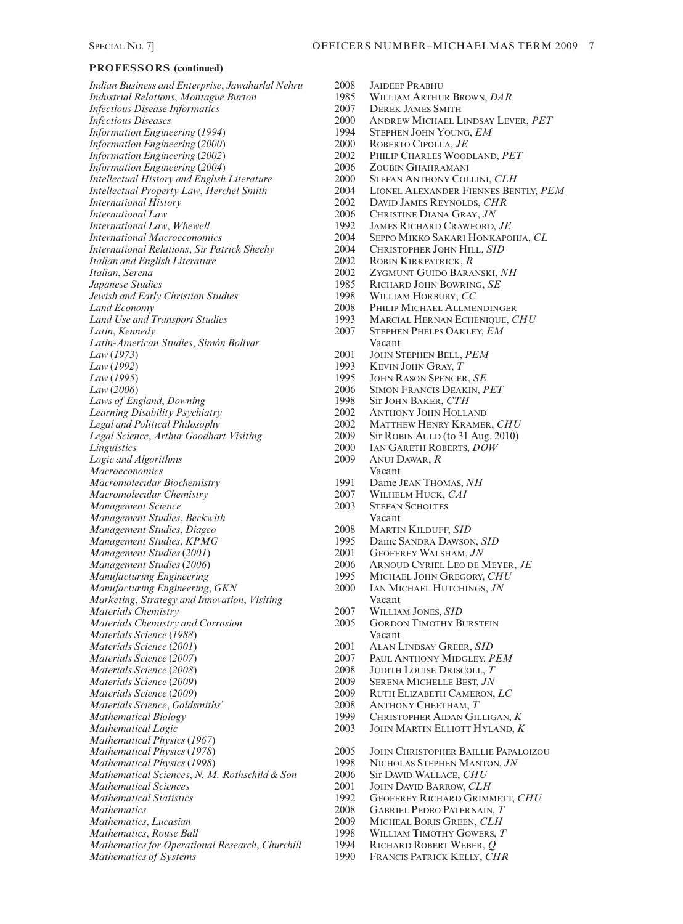*Indian Business and Enterprise, Jawaharlal Nehru* 2008 JAIDEEP PRABHU<br>*Industrial Relations, Montague Burton* 1985 WILLIAM ARTHUR BROWN, *DAR Industrial Relations, Montague Burton* 1985 WILLIAM ARTHUR BR<br>1985 Disease Informatics 2007 DEREK JAMES SMITH *Infectious Disease Informatics* 2007<br>*Infectious Diseases* 2000 *Information Engineering* (1994) *Information Engineering* (*2000*) 2000 ROBERTO CIPOLLA, *JE Information Engineering (2002)* 2002 PHILIP CHARLES WOODLAND, *PET*<br>*Information Engineering (2004)* 2006 ZOUBIN GHAHRAMANI *Information Engineering (2004)* 2006 ZOUBIN GHAHRAMANI<br> *Intellectual History and English Literature* 2000 STEFAN ANTHONY COLLINI. *CLH Intellectual History and English Literature* 2000<br> *Intellectual Property Law, Herchel Smith* 2004 *International Law* 2006 CHRISTINE DIANA GRAY, *JN*<br>*International Law, Whewell* 2006 2006 2006 CHRISTINE DIANA GRAY, *JN International Law*, *Whewell* 1992 JAMES RICHARD CRAWFORD, *JE International Relations, Sir Patrick Sheehy Italian and English Literature* 2002 ROBIN KIRKPATRICK, *R*<br>*Italian, Serena* 2002 ZYGMUNT GUIDO BARA *Italian*, *Serena* 2002 ZYGMUNT GUIDO BARANSKI, *NH Jewish and Early Christian Studies* 1998<br> *Land Economy* 2008 *Land Use and Transport Studies* 1993 MARCIAL HERNAN ECHENIQUE, *CHU*<br> *Latin, Kennedy* 2007 STEPHEN PHELPS OAKLEY, *EM Latin*, *Kennedy* 2007 STEPHEN PHELPS OAKLEY, *EM*<br> *Latin-American Studies. Simón Bolívar* 2007 Vacant  $Latin$ -American Studies, Simón Bolívar *Law* (*1973*) 2001 JOHN STEPHEN BELL, *PEM Law* (*1992*) 1993 KEVIN JOHN GRAY, *T Law* (*2006*) 2006 SIMON FRANCIS DEAKIN, *PET Laws of England*, *Downing* 1998 Sir JOHN BAKER, *CTH Learning Disability Psychiatry Legal and Political Philosophy* 2002 MATTHEW HENRY KRAMER, *CHU Legal Science, Arthur Goodhart Visiting* 2009 Sir ROBIN AULD (to 31 Aug. 2010)<br> *Linguistics* 2000 LAN GARETH ROBERTS, *DOW Logic and Algorithms* 2009 ANUJ DARGE 2009 ANUJ DARGE 2009 ANUJ DARGE 2009 ANUJ DARGE 2009 ANUJ DARGE 2009 ANU *Macroeconomics* Vacant *Macromolecular Biochemistry Macromolecular Chemistry* 2007 WILHELM HUCK, *CAI*<br> *Management Science* 2003 STEFAN SCHOLTES *Management Science* 2003 STEFAN Science 2003 STEFAN SCHOLTES And SCHOLTES And SCHOLTES ASSESSMENT SCHOLTES ASSESSMENT SCHOLTES ASSESSMENT SCHOLTES ASSESSMENT SCHOLTES ASSESSMENT SCHOLTES ASSESSMENT SCHOLTES ASSESSMENT SCH *Management Studies*, *Beckwith* Vacant *Management Studies, Diageo* 2008<br> *Management Studies, KPMG* 1995 *Management Studies, KPMG* 1995 Dame SANDRA DAWSON, *SID*<br> *Management Studies* (2001) 2001 GEOFFREY WALSHAM, JN *Management Studies* (*2001*) 2001<br> *Management Studies* (*2006*) 2006 *Manufacturing Engineering* 1995 MICHAEL JOHN GREGORY, *CHU Manufacturing Engineering*, *GKN* 2000 IAN MICHAEL HUTCHINGS, *JN Marketing*, *Strategy and Innovation*, *Visiting* Vacant<br> *Materials Chemistry* 2007 WILLIAM JONES, *SID Materials Chemistry* 2007 WILLIAM JONES, *SID* **Materials Chemistry and Corrosion** *Materials Science* (*1988*) Vacant *Materials Science* (*2001*) 2001 ALAN LINDSAY GREER, *SID Materials Science* (2007) 2007 PAUL ANTHONY MIDGLEY, *PEM*<br> *Materials Science* (2008) 2008 JUDITH LOUISE DRISCOLL, *T Materials Science* (2008) 2008 JUDITH LOUISE DRISCOLL, *T*<br> *Materials Science* (2009) 2009 SERENA MICHELLE BEST, *JN Materials Science* (*2009*) 2009 SERENA MICHELLE BEST, *JN Materials Science*, *Goldsmiths'* 2008 ANTHONY CHEETHAM, *T Mathematical Biology* 1999 CHRISTOPHER AIDAN GILLIGAN, *K Mathematical Logic* 2003 JOHN MARTIN ELLIOTT HYLAND, *K Mathematical Physics* (*1967*) *Mathematical Sciences*, *N. M. Rothschild & Son* 2006 Sir DAVID WALLACE, *CHU Mathematical Sciences* 2001 JOHN DAVID BARROW, *CLH Mathematical Statistics* 1992 GEOFFREY RICHARD GRIMMETT, *CHU*<br>*2008* GABRIEL PEDRO PATERNAIN, *T Mathematics* 2008 GABRIEL PEDRO PATERNAIN, *T*<br> *Mathematics*, *Lucasian* 2009 MICHEAL BORIS GREEN, CLH *Mathematics, Rouse Ball* 1998 WILLIAM TIMOTHY GOWERS, T<br>*Mathematics for Operational Research, Churchill* 1994 RICHARD ROBERT WEBER, O *Mathematics for Operational Research, Churchill* 1994<br>*Mathematics of Systems* (1990)

*Infectious Diseases* 2000 ANDREW MICHAEL LINDSAY LEVER, *PET Intellectual Property Law*, *Herchel Smith* 2004 LIONEL ALEXANDER FIENNES BENTLY, *PEM* DAVID JAMES REYNOLDS, *CHR International Macroeconomics* 2004 SEPPO MIKKO SAKARI HONKAPOHJA, *CL Japanese Studies* 1985 RICHARD JOHN BOWRING, *SE Land Economy* 2008 PHILIP MICHAEL ALLMENDINGER 1995 JOHN RASON SPENCER, *SE*<br>2006 SIMON FRANCIS DEAKIN. P *Linguistics* 2000 IAN GARETH ROBERTS, *DOW* 2006 **ARNOUD CYRIEL LEO DE MEYER,** *JE*<br>1995 MICHAEL JOHN GREGORY, CHU *Materials Science* (*2009*) 2009 RUTH ELIZABETH CAMERON, *LC Mathematical Physics (1978)* 2005 JOHN CHRISTOPHER BAILLIE PAPALOIZOU<br> *Mathematical Physics (1998)* 2005 1998 NICHOLAS STEPHEN MANTON, JN *Mathematical Physics* (*1998*) 1998 NICHOLAS STEPHEN MANTON, *JN Mathematics*, *Lucasian* 2009 MICHEAL BORIS GREEN, *CLH Mathematics of Systems* 1990 FRANCIS PATRICK KELLY, *CHR*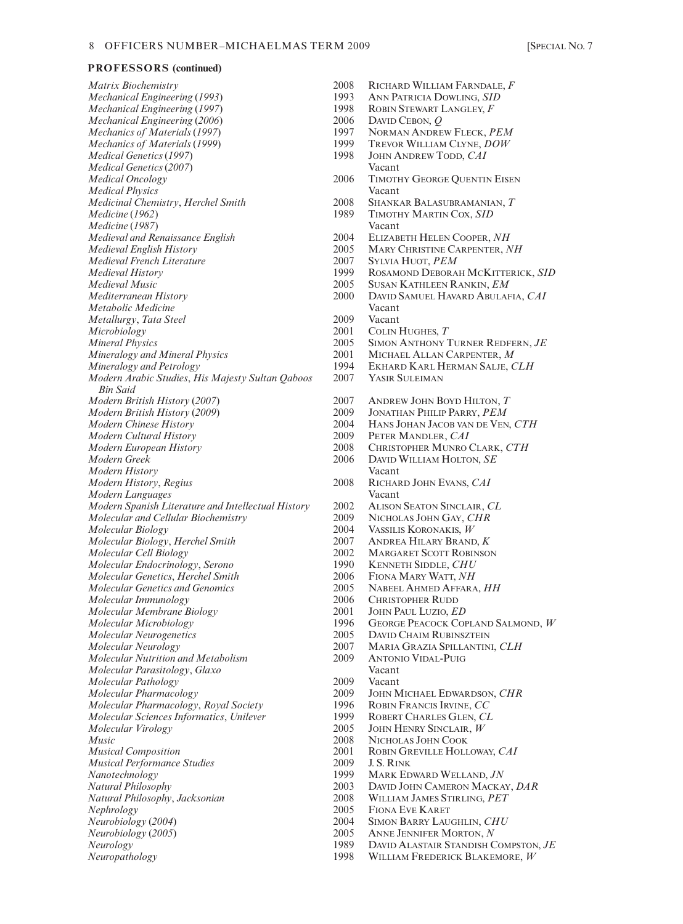$Matrix Biochemistry$ *Mechanical Engineering (1993) Mechanical Engineering (1997) Mechanical Engineering* (2006) *Mechanics of Materials* (1997) *Mechanics of Materials (1999) Medical Genetics (1997) Medical Genetics* (2007) **Medical Oncology Medical Physics** *Medicinal Chemistry*, *Herchel Smith Medicine* (1962) *Medicine* (1987) *Medieval and Renaissance English Medieval English History*  $Medieval French Literature$  $Medieval History$  $Medieval Music$ *Mediterranean History Metabolic Medicine Metallurgy*, *Tata Steel*  $Microbiology$ *Mineral Physics Mineralogy and Mineral Physics Mineralogy and Petrology Modern Arabic Studies, His Majesty Sultan Oaboos Bin Said Modern British History (2007) Modern British History (2009)*  $Modern$  *Chinese History*  $Modern$  *Cultural History Modern European History*  $Modern$  Greek *Modern History*  $Modern History, Regius$ *Modern Languages Modern Spanish Literature and Intellectual History Molecular and Cellular Biochemistry*  $Molecular Biology$  $Molecular Biology, Herchel Smith$ *Molecular Cell Biology*  $Molecular Endocrinology, Serono$ *Molecular Genetics, Herchel Smith Molecular Genetics and Genomics Molecular Immunology Molecular Membrane Biology*  $Molecular Microbiology$ *Molecular Neurogenetics Molecular Neurology Molecular Nutrition and Metabolism*  $Molecular$  Parasitology, Glaxo *Molecular Pathology Molecular Pharmacology Molecular Pharmacology, Royal Society Molecular Sciences Informatics, Unilever Molecular Virology Music* 2008 NICHOLAS JOHN COOK *Musical Composition* **Musical Performance Studies**  $N$ anotechnology  $Natural Philosophy$  $Natural Philosophy, Jacksonian$  $Nephrology$  $Newrobiology (2004)$ *Neurobiology* (2005)<br>*Neurology Neurology* 1989 DAVID ALASTAIR STANDISH COMPSTON, *JE Neuropathology* 1998 WILLIAM FREDERICK BLAKEMORE, *W*

| 2008         | RICHARD WILLIAM FARNDALE, F          |
|--------------|--------------------------------------|
| 1993         | ANN PATRICIA DOWLING, SID            |
| 1998         | ROBIN STEWART LANGLEY, F             |
| 2006         | DAVID CEBON, $Q$                     |
| 1997         | NORMAN ANDREW FLECK, PEM             |
| 1999         | TREVOR WILLIAM CLYNE, DOW            |
| 1998         | JOHN ANDREW TODD, CAI                |
|              | Vacant                               |
| 2006         | TIMOTHY GEORGE QUENTIN EISEN         |
|              | Vacant                               |
| 2008         | SHANKAR BALASUBRAMANIAN, T           |
| 1989         | TIMOTHY MARTIN COX, SID              |
|              | Vacant                               |
| 2004         | ELIZABETH HELEN COOPER, NH           |
| 2005         | MARY CHRISTINE CARPENTER, NH         |
| 2007         | SYLVIA HUOT, PEM                     |
| 1999         | ROSAMOND DEBORAH MCKITTERICK, SID    |
| 2005         | SUSAN KATHLEEN RANKIN, EM            |
| 2000         | DAVID SAMUEL HAVARD ABULAFIA, CAI    |
|              | Vacant                               |
| 2009         | Vacant                               |
| 2001         | COLIN HUGHES, T                      |
| 2005         | SIMON ANTHONY TURNER REDFERN, JE     |
| 2001         | MICHAEL ALLAN CARPENTER, M           |
| 1994         | EKHARD KARL HERMAN SALJE, CLH        |
| 2007         | YASIR SULEIMAN                       |
|              |                                      |
| 2007         | ANDREW JOHN BOYD HILTON, T           |
| 2009         | JONATHAN PHILIP PARRY, PEM           |
| 2004         | HANS JOHAN JACOB VAN DE VEN, CTH     |
| 2009         | PETER MANDLER, CAI                   |
| 2008         | CHRISTOPHER MUNRO CLARK, CTH         |
| 2006         | DAVID WILLIAM HOLTON, SE             |
|              | Vacant                               |
| 2008         | RICHARD JOHN EVANS, CAI              |
|              | Vacant                               |
| 2002         | ALISON SEATON SINCLAIR, CL           |
| 2009         | NICHOLAS JOHN GAY, CHR               |
| 2004         | VASSILIS KORONAKIS, W                |
| 2007         | ANDREA HILARY BRAND, K               |
| 2002         | <b>MARGARET SCOTT ROBINSON</b>       |
| 1990         | <b>KENNETH SIDDLE, CHU</b>           |
| 2006         | FIONA MARY WATT, NH                  |
| 2005         | NABEEL AHMED AFFARA, HH              |
| 2006         | <b>CHRISTOPHER RUDD</b>              |
| 2001         | JOHN PAUL LUZIO, ED                  |
| 1996         | GEORGE PEACOCK COPLAND SALMOND, W    |
| 2005         | <b>DAVID CHAIM RUBINSZTEIN</b>       |
| 2007         | MARIA GRAZIA SPILLANTINI, CLH        |
| 2009         | <b>ANTONIO VIDAL-PUIG</b>            |
|              |                                      |
|              | Vacant                               |
| 2009<br>2009 | Vacant                               |
|              | JOHN MICHAEL EDWARDSON, CHR          |
| 1996         | ROBIN FRANCIS IRVINE, CC             |
| 1999         | ROBERT CHARLES GLEN, CL              |
| 2005         | JOHN HENRY SINCLAIR, W               |
| 2008         | NICHOLAS JOHN COOK                   |
| 2001         | ROBIN GREVILLE HOLLOWAY, CAI         |
| 2009         | J. S. RINK                           |
| 1999         | MARK EDWARD WELLAND, JN              |
| 2003         | DAVID JOHN CAMERON MACKAY, DAR       |
| 2008         | WILLIAM JAMES STIRLING, PET          |
| 2005         | <b>FIONA EVE KARET</b>               |
| 2004         | SIMON BARRY LAUGHLIN, CHU            |
| 2005         | ANNE JENNIFER MORTON, N              |
| 1989         | DAVID ALASTAIR STANDISH COMPSTON, JE |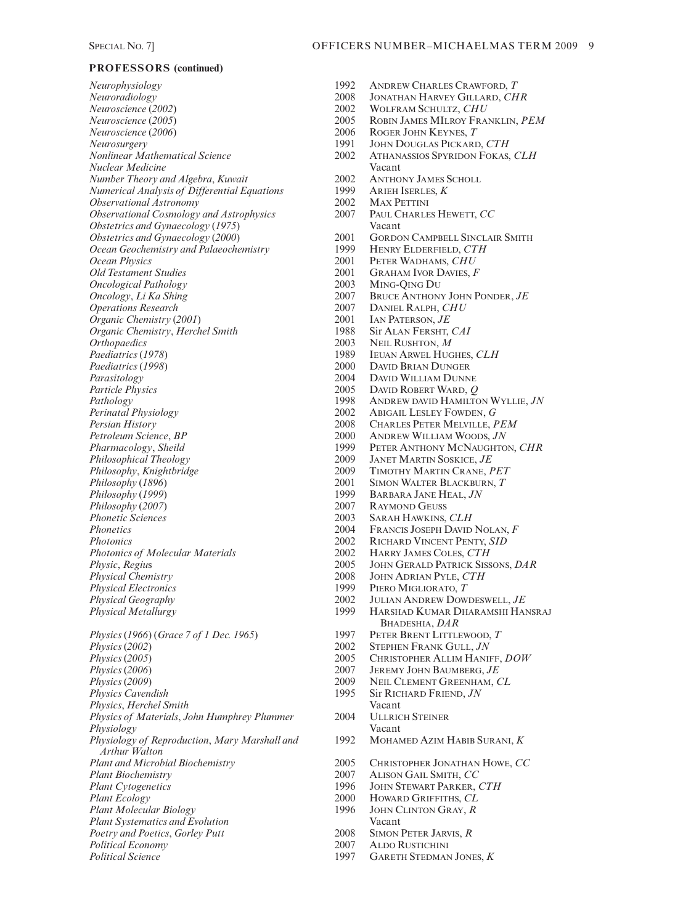*Neurophysiology* 1992 ANDREW CHARLES CRAWFORD, *T Neuroradiology* 2008 JONATHAN HARVEY GILLARD, *CHR Neuroscience* (*2002*) 2002 WOLFRAM SCHULTZ, *CHU Neurosurgery* 1991 JOHN DOUGLAS PICKARD, *CTH Nuclear Medicine* Vacant *Number Theory and Algebra, Kuwait* 2002 ANTHONY JAMES S<br>*Numerical Analysis of Differential Equations* 2999 ARIEH ISERLES, K *Numerical Analysis of Differential Equations* 1999 ARIEH ISERLE<br> *Observational Astronomy* 2002 MAX PETTINI  $Observational Astronomy$ *Observational Cosmology and Astrophysics* 2007 PAUL CHARLES HEWETT, *CC*<br>*Obstetrics and Gynaecology* (1975) Vacant *Obstetrics and Gynaecology (1975)*<br>*Obstetrics and Gynaecology (2000)* 2001 **Ocean Geochemistry and Palaeochemistry**<br>**Ocean Physics** *Ocean Physics* 2001 PETER WADHAMS, *CHU*<br> *Old Testament Studies* 2001 GRAHAM IVOR DAVIES. *Oncological Pathology* 2003<br> *Oncology*, *Li Ka Shing* 2007 *Oncology*, *Li Ka Shing* 2007 BRUCE ANTHONY JOHN PONDER, *JE*<br> *Operations Research* 2007 DANIEL RALPH, *CHU Organic Chemistry (2001)* 2001 IAN PATERSON, *JE*<br> *Organic Chemistry. Herchel Smith* 1988 Sir ALAN FERSHT. CAI *Organic Chemistry*, *Herchel Smith* 1988<br> *Orthopaedics* 2003 *Orthopaedics* 2003 NEIL RUSHTON, *M*<br> *Paediatrics* (1978) 1989 IEUAN ARWEL HUG *Paediatrics* (*1998*) 2000 DAVID BRIAN DUNGER Parasitology<br> *Particle Physics*<br>
2005 DAVID ROBERT WARD, Q *Particle Physics* 2005 DAVID ROBERT WARD, *Q Persian History* 2008 CHARLES PETER MELVILLE, *PEM Petroleum Science*, *BP* 2000 ANDREW WILLIAM WOODS, *JN Philosophical Theology* 2009 JANET MARTIN SOSKICE, *JE Philosophy, Knightbridge* 2009 TIMOTHY MARTIN CRANE, *PET*<br> *Philosophy* (1896) 2001 SIMON WALTER BLACKBURN, *T Philosophy (1896)* 2001 SIMON WALTER BLACKBURN, *T*<br> *Philosophy (1999)* 2001 BARBARA JANE HEAL, *JN Philosophy (2007)* 2007<br> *Phonetic Sciences* 2003 *Phonetic Sciences* 2003 SARAH HAWKINS, *CLH*<br>*Phonetics* 2004 FRANCIS JOSEPH DAVID Photonics<br> *Photonics* of *Molecular Materials*<br>
2002 HARRY JAMES COLES. CTH *Photonics of Molecular Materials* 2002<br> *Physic, Regius* 2005 *Physic*, *Regius* 2005 JOHN GERALD PATRICK SISSONS, *DAR*<br> *Physical Chemistry* 2008 JOHN ADRIAN PYLE, *CTH Physical Chemistry* 2008 JOHN ADRIAN PYLE, *CTH Physical Geography* 2002 JULIAN ANDREW DOWDESWELL, *JE Physics* (1966) (*Grace* 7 of 1 Dec. 1965) 1997 *Physics* (2002) 2002 STEPHEN FRANK GULL, *JN*<br> *Physics* (2005) 2005 CHRISTOPHER ALLIM HANI *Physics (2005)* 2005 CHRISTOPHER ALLIM HANIFF, *DOW Physics (2006)* 2007 JEREMY JOHN BAUMBERG, *JE Physics (2006)* 2007 JEREMY JOHN BAUMBERG, *JE*<br> *Physics (2009)* 2009 NEIL CLEMENT GREENHAM, *C Physics (2009)* 2009 **NEIL CLEMENT GREENHAM,** *CL*<br> *Physics Cavendish* 2009 **2009 NEIL CLEMENT GREENHAM,** *CL Physics*, *Herchel Smith* Vacant *Physics of Materials, John Humphrey Plummer* 2004 ULLRIC<br>*Physiology* Vacant Physiology<br> *Physiology of Reproduction, Mary Marshall and* 1992 MOHAMED AZIM HABIB SURANI, *K Physiology of Reproduction, Mary Marshall and Arthur Walton Plant Biochemistry* 2007 ALISON GAIL SMITH, *CC Plant Cytogenetics* 1996 JOHN STEWART PARKER, *CTH*<br> *Plant Ecology* 2000 HOWARD GRIFFITHS, *CL Plant Molecular Biology* 1996 JOHN C<br> *Plant Systematics and Evolution* Vacant *Plant Systematics and Evolution*<br> *Poetry and Poetics, Gorley Putt*2008 SIMON PETER JARVIS, R *Poetry and Poetics, Gorley Putt* **2008**<br> *Political Economy* 2007 *Political Economy* 2007 ALDO RUSTICHINI

*Neuroscience* (*2005*) 2005 ROBIN JAMES MILROY FRANKLIN, *PEM Neuroscience* (*2006*) 2006 ROGER JOHN KEYNES, *T Nonlinear Mathematical Science* 2002 ATHANASSIOS SPYRIDON FOKAS, *CLH* **2001 GORDON CAMPBELL SINCLAIR SMITH**<br>1999 HENRY ELDERFIELD, CTH 2001 GRAHAM IVOR DAVIES, *F*<br>2003 MING-OING DU 2007 DANIEL RALPH, *CHU*<br>2001 IAN PATERSON, *JE Paediatrics* (*1978*) 1989 IEUAN ARWEL HUGHES, *CLH* Pathology<br> *Pathology* 1998 ANDREW DAVID HAMILTON WYLLIE, *JN*<br>
2002 ABIGAIL LESLEY FOWDEN, G **ABIGAIL LESLEY FOWDEN, G** *Pharmacology*, *Sheild* 1999 PETER ANTHONY MCNAUGHTON, *CHR Philosophy* (*1999*) 1999 BARBARA JANE HEAL, *JN Phonetics* 2004 FRANCIS JOSEPH DAVID NOLAN, *F Physical Electronics* 1999 PIERO MIGLIORATO, *T Physical Metallurgy* 1999 HARSHAD KUMAR DHARAMSHI HANSRAJ BHADESHIA, *DAR*<br>PETER BRENT LITTLEWOOD. T **Sir RICHARD FRIEND,** *JN Plant and Microbial Biochemistry* 2005 CHRISTOPHER JONATHAN HOWE, *CC* 2000 HOWARD GRIFFITHS, *CL*<br>1996 JOHN CLINTON GRAY, *R Political Science* 1997 GARETH STEDMAN JONES, *K*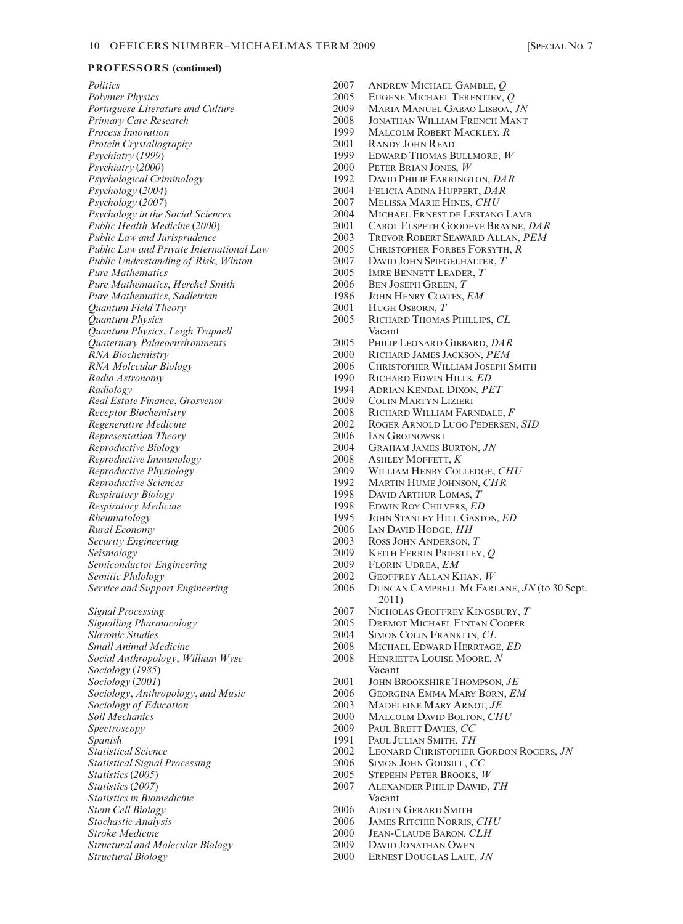| Politics                                                                 | 2007         | <b>ANDREW MICHAEL GAMBLE</b>                                     |
|--------------------------------------------------------------------------|--------------|------------------------------------------------------------------|
| <b>Polymer Physics</b>                                                   | 2005         | <b>EUGENE MICHAEL TERENTJI</b>                                   |
| Portuguese Literature and Culture                                        | 2009         | <b>MARIA MANUEL GABAO LIS</b>                                    |
| Primary Care Research                                                    | 2008         | <b>JONATHAN WILLIAM FRENCI</b>                                   |
| <b>Process Innovation</b>                                                | 1999         | <b>MALCOLM ROBERT MACKLE</b>                                     |
| Protein Crystallography                                                  | 2001         | <b>RANDY JOHN READ</b>                                           |
| Psychiatry (1999)                                                        | 1999         | <b>EDWARD THOMAS BULLMOR</b>                                     |
| Psychiatry (2000)                                                        | 2000         | PETER BRIAN JONES, W                                             |
| Psychological Criminology                                                | 1992         | DAVID PHILIP FARRINGTON,                                         |
| Psychology (2004)                                                        | 2004         | FELICIA ADINA HUPPERT, D.                                        |
| Psychology (2007)                                                        | 2007         | MELISSA MARIE HINES, CH                                          |
| Psychology in the Social Sciences                                        | 2004         | <b>MICHAEL ERNEST DE LESTAI</b>                                  |
| Public Health Medicine (2000)                                            | 2001<br>2003 | <b>CAROL ELSPETH GOODEVE B</b><br><b>TREVOR ROBERT SEAWARD A</b> |
| Public Law and Jurisprudence<br>Public Law and Private International Law | 2005         | <b>CHRISTOPHER FORBES FORS'</b>                                  |
| Public Understanding of Risk, Winton                                     | 2007         | <b>DAVID JOHN SPIEGELHALTER</b>                                  |
| <b>Pure Mathematics</b>                                                  | 2005         | IMRE BENNETT LEADER, T                                           |
| Pure Mathematics, Herchel Smith                                          | 2006         | <b>BEN JOSEPH GREEN, T</b>                                       |
| Pure Mathematics, Sadleirian                                             | 1986         | JOHN HENRY COATES, EM                                            |
| Quantum Field Theory                                                     | 2001         | HUGH OSBORN, T                                                   |
| Quantum Physics                                                          | 2005         | RICHARD THOMAS PHILLIPS,                                         |
| Quantum Physics, Leigh Trapnell                                          |              | Vacant                                                           |
| Quaternary Palaeoenvironments                                            | 2005         | PHILIP LEONARD GIBBARD,                                          |
| RNA Biochemistry                                                         | 2000         | RICHARD JAMES JACKSON, P.                                        |
| RNA Molecular Biology                                                    | 2006         | <b>CHRISTOPHER WILLIAM JOSE</b>                                  |
| Radio Astronomy                                                          | 1990         | RICHARD EDWIN HILLS, ED                                          |
| Radiology                                                                | 1994         | <b>ADRIAN KENDAL DIXON, PE</b>                                   |
| Real Estate Finance, Grosvenor                                           | 2009         | <b>COLIN MARTYN LIZIERI</b>                                      |
| <b>Receptor Biochemistry</b>                                             | 2008         | RICHARD WILLIAM FARNDA                                           |
| Regenerative Medicine                                                    | 2002         | <b>ROGER ARNOLD LUGO PEDE</b>                                    |
| Representation Theory                                                    | 2006         | <b>IAN GROJNOWSKI</b>                                            |
| Reproductive Biology                                                     | 2004         | <b>GRAHAM JAMES BURTON, JN</b>                                   |
| Reproductive Immunology                                                  | 2008         | ASHLEY MOFFETT, K                                                |
| Reproductive Physiology                                                  | 2009<br>1992 | <b>WILLIAM HENRY COLLEDGE</b>                                    |
| Reproductive Sciences                                                    | 1998         | <b>MARTIN HUME JOHNSON, CI</b><br>DAVID ARTHUR LOMAS, T          |
| <b>Respiratory Biology</b><br><b>Respiratory Medicine</b>                | 1998         | <b>EDWIN ROY CHILVERS, ED</b>                                    |
| Rheumatology                                                             | 1995         | <b>JOHN STANLEY HILL GASTON</b>                                  |
| Rural Economy                                                            | 2006         | IAN DAVID HODGE, HH                                              |
| Security Engineering                                                     | 2003         | ROSS JOHN ANDERSON, T                                            |
| Seismology                                                               | 2009         | KEITH FERRIN PRIESTLEY, Q                                        |
| Semiconductor Engineering                                                | 2009         | FLORIN UDREA, EM                                                 |
| Semitic Philology                                                        | 2002         | <b>GEOFFREY ALLAN KHAN, W</b>                                    |
| <b>Service and Support Engineering</b>                                   | 2006         | <b>DUNCAN CAMPBELL MCFAR</b><br>2011)                            |
| <b>Signal Processing</b>                                                 | 2007         | NICHOLAS GEOFFREY KINGS                                          |
| Signalling Pharmacology                                                  | 2005         | <b>DREMOT MICHAEL FINTAN (</b>                                   |
| <i><b>Slavonic Studies</b></i>                                           | 2004         | SIMON COLIN FRANKLIN, CI                                         |
| <b>Small Animal Medicine</b>                                             | 2008         | <b>MICHAEL EDWARD HERRTAC</b>                                    |
| Social Anthropology, William Wyse                                        | 2008         | HENRIETTA LOUISE MOORE,                                          |
| Sociology (1985)                                                         |              | Vacant                                                           |
| Sociology (2001)                                                         | 2001         | <b>JOHN BROOKSHIRE THOMPSO</b>                                   |
| Sociology, Anthropology, and Music                                       | 2006         | <b>GEORGINA EMMA MARY BOI</b>                                    |
| Sociology of Education                                                   | 2003         | MADELEINE MARY ARNOT, J                                          |
| Soil Mechanics                                                           | 2000         | <b>MALCOLM DAVID BOLTON, C</b>                                   |
| Spectroscopy                                                             | 2009<br>1991 | PAUL BRETT DAVIES, CC                                            |
| Spanish<br><b>Statistical Science</b>                                    | 2002         | PAUL JULIAN SMITH, TH<br><b>LEONARD CHRISTOPHER GO</b>           |
| <b>Statistical Signal Processing</b>                                     | 2006         | SIMON JOHN GODSILL, CC                                           |
| Statistics (2005)                                                        | 2005         | STEPEHN PETER BROOKS, W                                          |
| Statistics (2007)                                                        | 2007         | <b>ALEXANDER PHILIP DAWID,</b>                                   |
| <i><b>Statistics in Biomedicine</b></i>                                  |              | Vacant                                                           |
| <b>Stem Cell Biology</b>                                                 | 2006         | <b>AUSTIN GERARD SMITH</b>                                       |
| Stochastic Analysis                                                      | 2006         | <b>JAMES RITCHIE NORRIS, CH</b>                                  |
| <b>Stroke Medicine</b>                                                   | 2000         | <b>JEAN-CLAUDE BARON, CLH</b>                                    |
| Structural and Molecular Biology                                         | 2009         | <b>DAVID JONATHAN OWEN</b>                                       |
| Structural Biology                                                       | 2000         | ERNEST DOUGLAS LAUE, JN                                          |

*Politics* 2007 ANDREW MICHAEL GAMBLE, *Q Polymer Physics* 2005 EUGENE MICHAEL TERENTJEV, *Q Portuguese Literature and Culture* 2009 MARIA MANUEL GABAO LISBOA, *JN* 2008 JONATHAN WILLIAM FRENCH MANT<br>1999 MALCOLM ROBERT MACKLEY, *R* **MALCOLM ROBERT MACKLEY,** *R Protein Crystallography* 2001 RANDY JOHN READ *Psychiatry* (*1999*) 1999 EDWARD THOMAS BULLMORE, *W Psychiatry* (*2000*) 2000 PETER BRIAN JONES, *W Psychological Criminology* 1992 DAVID PHILIP FARRINGTON, *DAR Psychology* (*2004*) 2004 FELICIA ADINA HUPPERT, *DAR Psychology* (*2007*) 2007 MELISSA MARIE HINES, *CHU* 2004 MICHAEL ERNEST DE LESTANG LAMB<br>2001 CAROL ELSPETH GOODEVE **BRAYNE** *Public Health Medicine* (*2000*) 2001 CAROL ELSPETH GOODEVE BRAYNE, *DAR* **2003 TREVOR ROBERT SEAWARD ALLAN, PEM**<br>**Public CHRISTOPHER FORBES FORSYTH, R Public 2005** CHRISTOPHER FORBES FORSYTH, *R* 2007 DAVID JOHN SPIEGELHALTER. *T* 2007 DAVID JOHN SPIEGELHALTER, *T*<br>2005 DARE RENNETT LEADER *T* 2005 IMRE BENNETT LEADER, *T*<br>2006 BEN JOSEPH GREEN, *T Pure Mathematics*, *Herchel Smith* 2006 BEN JOSEPH GREEN, *T* **Pure Mathematics** JOHN HENRY COATES, *EM*<br>2001 HUGH OSBORN, *T* 2001 HUGH OSBORN, *T*<br>2005 RICHARD THOMAS **RICHARD THOMAS PHILLIPS, CL**<br>Vacant *Quaternary Palaeoenvironments* 2005 PHILIP LEONARD GIBBARD, *DAR RNA Biochemistry* 2000 RICHARD JAMES JACKSON, *PEM RNA Molecular Biology* 2006 CHRISTOPHER WILLIAM JOSEPH SMITH *Radio Astronomy* 1990 RICHARD EDWIN HILLS, *ED Radiology* 1994 ADRIAN KENDAL DIXON, *PET Real Estate Finance*, *Grosvenor* 2009 COLIN MARTYN LIZIERI *Receptor Biochemistry* 2008 RICHARD WILLIAM FARNDALE, *F Regenerative Medicine* 2002 ROGER ARNOLD LUGO PEDERSEN, *SID* 2006 IAN GROJNOWSKI<br>2004 GRAHAM JAMES B 2004 GRAHAM JAMES BURTON, *JN*<br>2008 ASHLEY MOFFETT, *K Reproductive Immunology* 2008 ASHLEY MOFFETT, *K Reproductive Physiology* 2009 WILLIAM HENRY COLLEDGE, *CHU* **Reproductive Sciences** MARTIN HUME JOHNSON, *CHR*<br>1998 DAVID ARTHUR LOMAS. *T* **Respirator Biology** Biology<br>**Respirator Biology** Chilvers, *ED*<br>*Respirator* Chilvers, *ED* **Respirator CHILVERS, ED<br>1995 LOHN STANLEY HILL GAST** *Rheumatology* 1995 JOHN STANLEY HILL GASTON, *ED* 2006 IAN DAVID HODGE, *HH*<br>2003 ROSS JOHN ANDERSON. 2003 ROSS JOHN ANDERSON, *T*<br>2009 KEITH FERRIN PRIESTLEY *Seismology* 2009 KEITH FERRIN PRIESTLEY, *Q Semiconductor Engineering* 2009 FLORIN UDREA, *EM Semitic Philology* 2002 GEOFFREY ALLAN KHAN, *W Service and Support Engineering* 2006 DUNCAN CAMPBELL MCFARLANE, *JN* (to 30 Sept. 2011) *Signal Processing* 2007 NICHOLAS GEOFFREY KINGSBURY, *T* 2005 DREMOT MICHAEL FINTAN COOPER<br>2004 SIMON COLIN FRANKLIN. CL **SIMON COLIN FRANKLIN, CL** *Small Animal Medicine* 2008 MICHAEL EDWARD HERRTAGE, *ED* 2008 **HENRIETTA LOUISE MOORE,** *N*<br>Vacant *Sociology* (*2001*) 2001 JOHN BROOKSHIRE THOMPSON, *JE Sociology*, *Anthropology*, *and Music* 2006 GEORGINA EMMA MARY BORN, *EM Sociology of Education* 2003 MADELEINE MARY ARNOT, *JE Soil Mechanics* 2000 MALCOLM DAVID BOLTON, *CHU Spectroscopy* 2009 PAUL BRETT DAVIES, *CC Spanish* 1991 PAUL JULIAN SMITH, *TH Statistical Science* 2002 LEONARD CHRISTOPHER GORDON ROGERS, *JN* 2006 SIMON JOHN GODSILL, *CC*<br>2005 STEPEHN PETER BROOKS, *V Statistics* (*2005*) 2005 STEPEHN PETER BROOKS, *W Statistics* (*2007*) 2007 ALEXANDER PHILIP DAWID, *TH Stem Cell Biology* 2006 AUSTIN GERARD SMITH *Stochastic Analysis* 2006 JAMES RITCHIE NORRIS, *CHU Stroke Medicine* 2000 JEAN-CLAUDE BARON, *CLH Structural and Molecular Biology* 2009 DAVID JONATHAN OWEN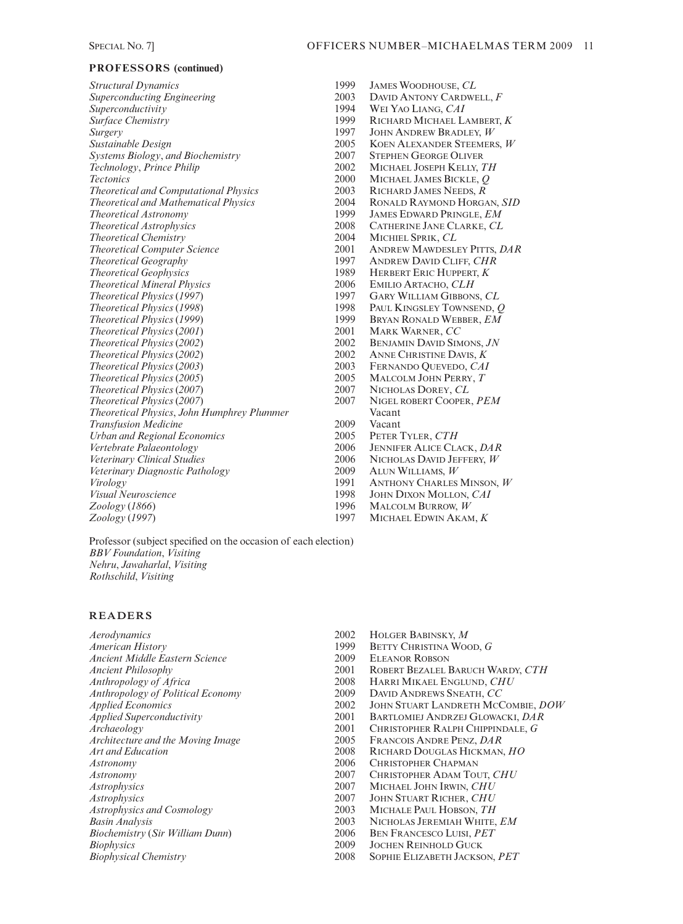| <b>Structural Dynamics</b>                   | 1999 | <b>JAMES</b>      |
|----------------------------------------------|------|-------------------|
|                                              | 2003 | DAVID.            |
| <b>Superconducting Engineering</b>           | 1994 | WEI Y             |
| Superconductivity                            | 1999 | <b>RICHA</b>      |
| <i>Surface Chemistry</i>                     | 1997 | JOHN A            |
| Surgery                                      | 2005 | <b>KOEN</b>       |
| Sustainable Design                           | 2007 |                   |
| Systems Biology, and Biochemistry            |      | <b>STEPHE</b>     |
| Technology, Prince Philip                    | 2002 | <b>MICHA</b>      |
| <b>Tectonics</b>                             | 2000 | <b>MICHA</b>      |
| <b>Theoretical and Computational Physics</b> | 2003 | <b>RICHA</b>      |
| Theoretical and Mathematical Physics         | 2004 | <b>RONAL</b>      |
| <b>Theoretical Astronomy</b>                 | 1999 | <b>JAMES</b>      |
| <b>Theoretical Astrophysics</b>              | 2008 | <b>CATHE</b>      |
| <b>Theoretical Chemistry</b>                 | 2004 | MICHII            |
| <b>Theoretical Computer Science</b>          | 2001 | ANDRE             |
| Theoretical Geography                        | 1997 | ANDRE             |
| <b>Theoretical Geophysics</b>                | 1989 | <b>HERBE</b>      |
| <b>Theoretical Mineral Physics</b>           | 2006 | <b>EMILIC</b>     |
| Theoretical Physics (1997)                   | 1997 | GARY <sup>V</sup> |
| Theoretical Physics (1998)                   | 1998 | PAUL K            |
| Theoretical Physics (1999)                   | 1999 | <b>BRYAN</b>      |
| Theoretical Physics (2001)                   | 2001 | <b>MARK</b>       |
| Theoretical Physics (2002)                   | 2002 | <b>BENJAN</b>     |
| Theoretical Physics (2002)                   | 2002 | <b>ANNE</b>       |
| Theoretical Physics (2003)                   | 2003 | FERNA             |
| Theoretical Physics (2005)                   | 2005 | <b>MALCO</b>      |
| Theoretical Physics (2007)                   | 2007 | <b>NICHO</b>      |
| Theoretical Physics (2007)                   | 2007 | <b>NIGEL</b>      |
| Theoretical Physics, John Humphrey Plummer   |      | Vacant            |
| <b>Transfusion Medicine</b>                  | 2009 | Vacant            |
| <b>Urban and Regional Economics</b>          | 2005 | <b>PETER</b>      |
| Vertebrate Palaeontology                     | 2006 | <b>JENNIF</b>     |
| Veterinary Clinical Studies                  | 2006 | <b>NICHO</b>      |
| Veterinary Diagnostic Pathology              | 2009 | ALUN <sup>1</sup> |
| Virology                                     | 1991 | <b>ANTHC</b>      |
| Visual Neuroscience                          | 1998 | <b>JOHN</b> L     |
| Zoology (1866)                               | 1996 | <b>MALCO</b>      |
| Zoology (1997)                               | 1997 | Micha             |

*Structural Dynamics* 1999 JAMES WOODHOUSE, *CL Superconducting Engineering* 2003 DAVID ANTONY CARDWELL, *F Superconductivity* 1994 WEI YAO LIANG, *CAI Surface Chemistry* 1999 RICHARD MICHAEL LAMBERT, *K Surgery* 1997 JOHN ANDREW BRADLEY, *W Sustainable Design* 2005 KOEN ALEXANDER STEEMERS, *W Systems Biology*, *and Biochemistry* 2007 STEPHEN GEORGE OLIVER *Technology*, *Prince Philip* 2002 MICHAEL JOSEPH KELLY, *TH Tectonics* 2000 MICHAEL JAMES BICKLE, *Q Theoretical and Computational Physics* 2003 RICHARD JAMES NEEDS, *R Theoretical and Mathematical Physics* 2004 RONALD RAYMOND HORGAN, *SID Theoretical Astronomy* 1999 JAMES EDWARD PRINGLE, *EM Theoretical Astrophysics* 2008 CATHERINE JANE CLARKE, *CL Theoretical Chemistry* 2004 MICHIEL SPRIK, *CL Theoretical Computer Science* 2001 ANDREW MAWDESLEY PITTS, *DAR Theoretical Geography* 1997 ANDREW DAVID CLIFF, *CHR Theoretical Geophysics* 1989 HERBERT ERIC HUPPERT, *K Theoretical Mineral Physics* 2006 EMILIO ARTACHO, *CLH Theoretical Physics* (*1997*) 1997 GARY WILLIAM GIBBONS, *CL Theoretical Physics* (*1998*) 1998 PAUL KINGSLEY TOWNSEND, *Q Theoretical Physics* (*1999*) 1999 BRYAN RONALD WEBBER, *EM Theoretical Physics* (*2001*) 2001 MARK WARNER, *CC Theoretical Physics* (*2002*) 2002 BENJAMIN DAVID SIMONS, *JN Theoretical Physics* (*2002*) 2002 ANNE CHRISTINE DAVIS, *K Theoretical Physics* (*2003*) 2003 FERNANDO QUEVEDO, *CAI Theoretical Physics* (*2005*) 2005 MALCOLM JOHN PERRY, *T Theoretical Physics* (*2007*) 2007 NICHOLAS DOREY, *CL Theoretical Physics* (*2007*) 2007 NIGEL ROBERT COOPER, *PEM Urban and Regional Economics* 2005 PETER TYLER, *CTH Vertebrate Palaeontology* 2006 JENNIFER ALICE CLACK, *DAR Veterinary Clinical Studies* 2006 NICHOLAS DAVID JEFFERY, *W Veterinary Diagnostic Pathology* 2009 ALUN WILLIAMS, *W Virology* 1991 ANTHONY CHARLES MINSON, *W Visual Neuroscience* 1998 JOHN DIXON MOLLON, *CAI Zoology* (*1866*) 1996 MALCOLM BURROW, *W Zoology* (*1997*) 1997 MICHAEL EDWIN AKAM, *K*

Professor (subject specified on the occasion of each election) *BBV Foundation*, *Visiting Nehru*, *Jawaharlal*, *Visiting Rothschild*, *Visiting*

#### **READERS**

| Aerodynamics                       |
|------------------------------------|
| American History                   |
| Ancient Middle Eastern Science     |
| Ancient Philosophy                 |
| Anthropology of Africa             |
| Anthropology of Political Economy  |
| Applied Economics                  |
| Applied Superconductivity          |
| Archaeology                        |
| Architecture and the Moving Image  |
| Art and Education                  |
| Astronomy                          |
| Astronomy                          |
| Astrophysics                       |
| Astrophysics                       |
| Astrophysics and Cosmology         |
| Basin Analysis                     |
| Biochemistry (Sir William Dunn)    |
| Biophysics                         |
| $D_{i}$ or leased and Cleansiators |

*Aerodynamics* 2002 HOLGER BABINSKY, *M American History* 1999 BETTY CHRISTINA WOOD, *G* 2009 ELEANOR ROBSON<br>2001 ROBERT BEZALEL I *Ancient Philosophy* 2001 ROBERT BEZALEL BARUCH WARDY, *CTH Anthropology of Africa* 2008 HARRI MIKAEL ENGLUND, *CHU Anthropology of Political Economy* 2009 DAVID ANDREWS SNEATH, *CC Applied Economics* 2002 JOHN STUART LANDRETH MCCOMBIE, *DOW Applied Superconductivity* 2001 BARTLOMIEJ ANDRZEJ GLOWACKI, *DAR* 2001 CHRISTOPHER RALPH CHIPPINDALE, *G*<br>2005 Francois Andre Penz. *DAR* 2005 FRANCOIS ANDRE PENZ, *DAR*<br>2008 RICHARD DOUGLAS HICKMAN *Art and Education* 2008 RICHARD DOUGLAS HICKMAN, *HO* **CHRISTOPHER CHAPMAN** *Astronomy* 2007 CHRISTOPHER ADAM TOUT, *CHU* 2007 MICHAEL JOHN IRWIN, *CHU*<br>2007 JOHN STUART RICHER, *CHU Astrophysics* 2007 JOHN STUART RICHER, *CHU Astrophysics and Cosmology* 2003 MICHALE PAUL HOBSON, *TH Basin Analysis* 2003 NICHOLAS JEREMIAH WHITE, *EM Biochemistry* (*Sir William Dunn*) 2006 BEN FRANCESCO LUISI, *PET* **2009 JOCHEN REINHOLD GUCK<br>2008 SOPHIE ELIZABETH JACKSC** *Biophysical Chemistry* 2008 SOPHIE ELIZABETH JACKSON, *PET*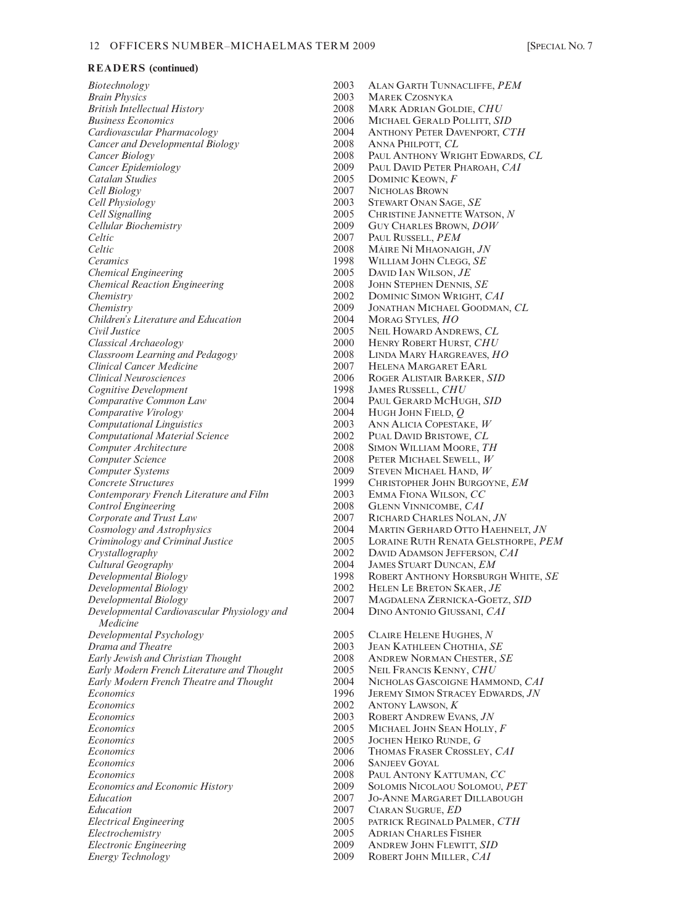*Biotechnology* 2003 ALAN GARTH TUNNACLIFFE, *PEM Brain Physics* 2003 MAREK CZOSNYKA *British Intellectual History* 2008 MARK ADRIAN GOLDIE, *CHU*<br>*Business Economics* 2006 MICHAEL GERALD POLLITT. *SI Business Economics* 2006 MICHAEL GERALD POLLITT, *SID Cancer and Developmental Biology* 2008 ANNA PHILPOTT, *CL*<br>
2008 PAUL ANTHONY WRI *Cancer Biology* 2008 PAUL ANTHONY WRIGHT EDWARDS, *CL*<br> *Cancer Epidemiology* 2009 PAUL DAVID PETER PHAROAH, *CAI Cancer Epidemiology* 2009 PAUL DAVID PETER PHAROAH, *CAI*<br> *Catalan Studies* 2005 DOMINIC KEOWN, F *Catalan Studies* 2005 DOMINIC KEOWN, *F*<br> *Cell Biology* 2007 NICHOLAS BROWN *Cell Biology* 2007 NICHOLAS BROWN<br> *Cell Physiology* 2003 STEWART ONAN SA *Cell Signalling* 2005 CHRISTINE JANNETTE WATSON, *N*<br> *Cellular Biochemistry* 2009 GUY CHARLES BROWN *DOW Cellular Biochemistry* 2009 GUY CHARLES BROWN, *DOW Celtic* 2008 MÁIRE NÍ MHAONAIGH, *JN*<br>*Ceramics* 2008 WILLIAM JOHN CLEGG. *SE Ceramics* 1998 WILLIAM JOHN CLEGG, *SE*<br> *Chemical Engineering* 2005 DAVID JAN WILSON, *JE Chemical Engineering*<br> *Chemical Reaction Engineering*<br>
2008 JOHN STEPHEN DENNIS. SE *Chemical Reaction Engineering* 2008<br> *Chemistry* 2002 *Chemistry* 2002 DOMINIC SIMON WRIGHT, *CAI*<br> *Chemistry* 2009 JONATHAN MICHAEL GOODMAN *Children's Literature and Education* 2004 MORAG STYLES, *HO Civil Justice* 2005 NEIL HOWARD ANDREWS, *CL Classroom Learning and Pedagogy* 2008 *Clinical Cancer Medicine*  $2007$  HELENA MARGARET EARL *Clinical Neurosciences* 2006 ROGER ALISTAIR BARKER, *Cognitive Development* 1998<br> *Comparative Common Law* 2004 *Comparative Common Law* 2004 PAUL GERARD MCHUGH, *SID*<br> *Comparative Virology* 2004 HUGH JOHN FIELD, *O Computational Linguistics* 2003 ANN ALICIA COPESTAKE, *W Computational Material Science* 2002 PUAL DAVID BRISTOWE, *CL Computer Architecture* 2008 SIMON WILLIAM MOORE, TH Computer Science 2008 2008 PETER MICHAEL SEWELL, W *Computer Science* 2008 PETER MICHAEL SEWELL, *W* **Computer Systems** 2009 STEVEN MICHAEL HAND, *W*<br>
2009 CHRISTOPHER JOHN BURGOY *Contemporary French Literature and Film* 2003 EMMA FIONA WILSON, *CC*<br> *Control Engineering* 2008 GLENN VINNICOMBE. *CAI Control Engineering* 2008 GLENN VINNICOMBE, *CAI*<br> *Corporate and Trust Law* 2007 RICHARD CHARLES NOLAN *Cultural Geography* 2004 JAMES STUART DUNCAN, *EM Developmental Biology* 2002 HELEN LE BRETON SKAER, *JE Developmental Biology* 2007 MAGDALENA ZERNICKA-GOETZ, *SID Developmental Cardiovascular Physiology and* 2004 DINO ANTONIO GIUSSANI, *CAI Medicine Developmental Psychology* 2005 CLAIRE HELENE HUGHES, *N Drama and Theatre* 2003 JEAN KATHLEEN CHOTHIA, *SE Early Jewish and Christian Thought* 2008 ANDREW NORMAN CHESTER, *SE Early Modern French Literature and Thought* 2005 NEIL FRANCIS KENNY, *CHU Early Modern French Theatre and Thought* 2004<br>*Economics* 1996 *Economics* 2002 ANTONY LAWSON, *K*<br>*Economics* 2003 ROBERT ANDREW EV *Economics* 2005 MICHAEL JOHN SEAN HOLLY, *F*<br>*Economics* 2005 JOCHEN HEIKO RUNDE. *G Economics* 2005 JOCHEN HEIKO RUNDE, *G*<br>*Economics* 2006 THOMAS FRASER CROSSLE Economics 2006 THOMAS FRASER CROSSLEY, *CAI*<br>
2006 SANJEEV GOYAL *Economics* 2008 PAUL ANTONY KATTUMAN, *CC Economics and Economic History* 2009<br>*Education* 2007 *Education* 2007 Jo-ANNE MARGARET DILLABOUGH<br> *Education* 2007 CIARAN SUGRUE. *ED Education*<br> *Electrical Engineering*<br>
2005 **PATRICK REGINALD P. 2005** *Electrochemistry* 2005 ADRIAN CHARLES FISHER *Electronic Engineering* 2009 ANDREW JOHN FLEWITT, *SID*<br> *Energy Technology* 2009 ROBERT JOHN MILLER, *CAI* 

*Cardiovascular Pharmacology* 2004 ANTHONY PETER DAVENPORT, *CTH Cell Physiology* 2003 STEWART ONAN SAGE, *SE Celtic* 2007 PAUL RUSSELL, *PEM Chemistry* 2009 JONATHAN MICHAEL GOODMAN, *CL* **HENRY ROBERT HURST, CHU<br>LINDA MARY HARGREAVES, HO** *Clinical Neurosciences* 2006 ROGER ALISTAIR BARKER, *SID Comparative Virology* 2004 HUGH JOHN FIELD, *Q Concrete Structures* 1999 CHRISTOPHER JOHN BURGOYNE, *EM Corporate and Trust Law* 2007 RICHARD CHARLES NOLAN, *JN Cosmology and Astrophysics* 2004 MARTIN GERHARD OTTO HAEHNELT, *JN Criminology and Criminal Justice* 2005 LORAINE RUTH RENATA GELSTHORPE, *PEM Crystallography* 2002 DAVID ADAMSON JEFFERSON, *CAI Developmental Biology* 1998 ROBERT ANTHONY HORSBURGH WHITE, *SE* **JEREMY SIMON STRACEY EDWARDS,**  $JN$ *Economics* 2003 ROBERT ANDREW EVANS, *JN* **SANJEEV GOYAL** *Electrical Engineering* 2005 PATRICK REGINALD PALMER, *CTH Energy Technology* 2009 ROBERT JOHN MILLER, *CAI*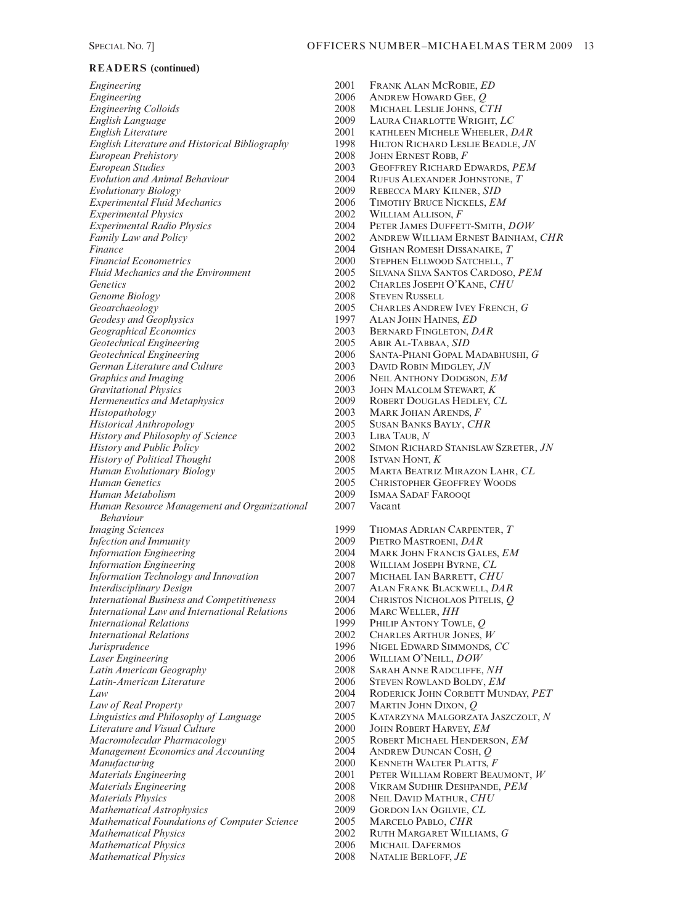*Engineering* 2001 FRANK ALAN MCROBIE, *ED Engineering*<br> *Engineering Colloids*<br>
2008 MICHAEL LESLIE JOHNS, C *Engineering Colloids* 2008 MICHAEL LESLIE JOHNS, *CTH English Language* 2009 LAURA CHARLOTTE WRIGHT, *LC English Literature and Historical Bibliography* 1998 HILTON RICHARD LESLIE BEADLE, *JN European Prehistory* 2008 JOHN ERNEST ROBB, *F Evolution and Animal Behaviour* 2004<br>*Evolutionary Biology* 2009 *Experimental Fluid Mechanics* 2006<br> *Experimental Physics Experimental Physics* 2002 WILLIAM ALLISON, *F*<br> *Experimental Radio Physics* 2004 PETER JAMES DUFFET *Experimental Radio Physics* 2004 PETER JAMES DUFFETT-SMITH, *DOW Financial Econometrics* 2000 STEPHEN ELLWOOD SATCHELL, *T*<br>*Fluid Mechanics and the Environment* 2005 SILVANA SILVA SANTOS CARDOSO *Genetics* 2002 CHARLES JOSEPH O'KANE, *CHU*<br>*Genome Biology* 2008 STEVEN RUSSELL *Genome Biology* 2008<br> *Geoarchaeology* 2005 *Geodesy and Geophysics* 1997 ALAN JOHN HAINES, *ED*<br>*Geographical Economics* 1997 2003 **BERNARD FINGLETON**. *DAR Geographical Economics* 2003 BERNARD FINGLETON,<br>*Geotechnical Engineering* 2005 ABIR AL-TABBAA. *SID Geotechnical Engineering* 2005<br>*Geotechnical Engineering* 2006 *Geotechnical Engineering* 2006 SANTA-PHANI GOPAL MADABHUSHI, *G German Literature and Culture* 2003 DAVID ROBIN MIDGLEY, *JN Graphics and Imaging* 2006 2006 NEIL ANTHONY DODGSON. *Graphics and Imaging* 2006 NEIL ANTHONY DODGSON, *EM*<br> *Gravitational Physics* 2003 JOHN MALCOLM STEWART, *K Gravitational Physics* 2003 JOHN MALCOLM STEWART, *K Hermeneutics and Metaphysics* 2009 ROBERT DOUGLAS HEDLEY, *CL*<br>*Histopathology* 2003 MARK JOHAN ARENDS, *F Historical Anthropology* 2005 SUSAN BANKS BAYLY, *CHR History and Philosophy of Science* 2003 LIBA TAUB, *N*<br>*History and Public Policy* 2002 SIMON RICHA *History of Political Thought* 2008<br> *Human Evolutionary Biology* 2005 *Human Evolutionary Biology* 2005 MARTA BEATRIZ MIRAZON LAHR, *CL Human Metabolism* 2009 ISMAA SADAF FAROOQI *Human Resource Management and Organizational Behaviour Infection and Immunity* 2009 PIETRO MASTROENI, *DAR*<br>*Information Engineering* 2004 MARK JOHN FRANCIS GAI *Information Engineering*<br> *Information Technology and Innovation*<br>
2007 MICHAEL JAN BARRETT, CHU *Information Technology and Innovation* 2007<br> *Interdisciplinary Design* 2007 *International Business and Competitiveness* 2004 CHRISTOS NICHOLAOS PITELIS, *Q International Law and International Relations* 2006 MARC WELLER, *HH*<br>*International Relations* 2009 PHILIP ANTONY TOW *International Relations* 2002 CHARLES ARTHUR JONES, *W Jurisprudence* 1996 NIGEL EDWARD SIMMONDS, *CC Laser Engineering* 2006 WILLIAM O'NEILL, *DOW Latin American Geography* 2008 SARAH ANNE RADCLIFFE, *NH Latin-American Literature* 2006 STEVEN ROWLAND BOLDY, *EM Law of Real Property* 2007 MARTIN JOHN DIXON, *Q Literature and Visual Culture* 2000<br> *Macromolecular Pharmacology* 2005 *Management Economics and Accounting* 2004<br> *Manufacturing* 2000 *Materials Engineering* 2001 PETER WILLIAM ROBERT BEAUMONT, *W Materials Engineering* 2008 VIKRAM SUDHIR DESHPANDE, *PEM Mathematical Astrophysics* 2009 GORDON IAN OGILVIE, *Mathematical Foundations of Computer Science* 2005 MARCELO PABLO, *CHR Mathematical Foundations of Computer Science* 2005<br> *Mathematical Physics* 2002 *Mathematical Physics* 2006 MICHAIL DAFERMOS  $Mathematical Physics$ 

*English Literature* 2001 KATHLEEN MICHELE WHEELER, *DAR European Studies* 2003 GEOFFREY RICHARD EDWARDS, *PEM Evolutionary Biology* 2009 REBECCA MARY KILNER, *SID Family Law and Policy*  $\begin{array}{cc}\n 2002 \\
 2004 \\
 2004\n\end{array}$  ANDREW WILLIAM ERNEST BAINHAM, *CHR*<br>*Finance Finance* 2004 GISHAN ROMESH DISSANAIKE, *T Fluid Mechanics and the Environment* 2005 SILVANA SILVA SANTOS CARDOSO, *PEM* 2005 CHARLES ANDREW IVEY FRENCH, *G*<br>1997 ALAN JOHN HAINES. *ED Histopathology* 2003 MARK JOHAN ARENDS, *F* 2002 SIMON RICHARD STANISLAW SZRETER, *JN* 2008 ISTVAN HONT. *K* 2005 CHRISTOPHER GEOFFREY WOODS<br>2009 ISMAA SADAF FAROOOI 1999 THOMAS ADRIAN CARPENTER, *T*<br>2009 PIETRO MASTROENI, *DAR Information Engineering* 2004 MARK JOHN FRANCIS GALES, *EM Interdisciplinary Design* 2007 ALAN FRANK BLACKWELL, *DAR PHILIP ANTONY TOWLE, Q*<br>2002 CHARLES ARTHUR JONES. **RODERICK JOHN CORBETT MUNDAY, PET** *Linguistics and Philosophy of Language* 2005 KATARZYNA MALGORZATA JASZCZOLT, *N* 2005 ROBERT MICHAEL HENDERSON, *EM*<br>2004 ANDREW DUNCAN COSH, *O Manufacturing* 2000 KENNETH WALTER PLATTS, *F Materials Physics* 2008 NEIL DAVID MATHUR, *CHU Mathematical Physics* 2002 RUTH MARGARET WILLIAMS, *G*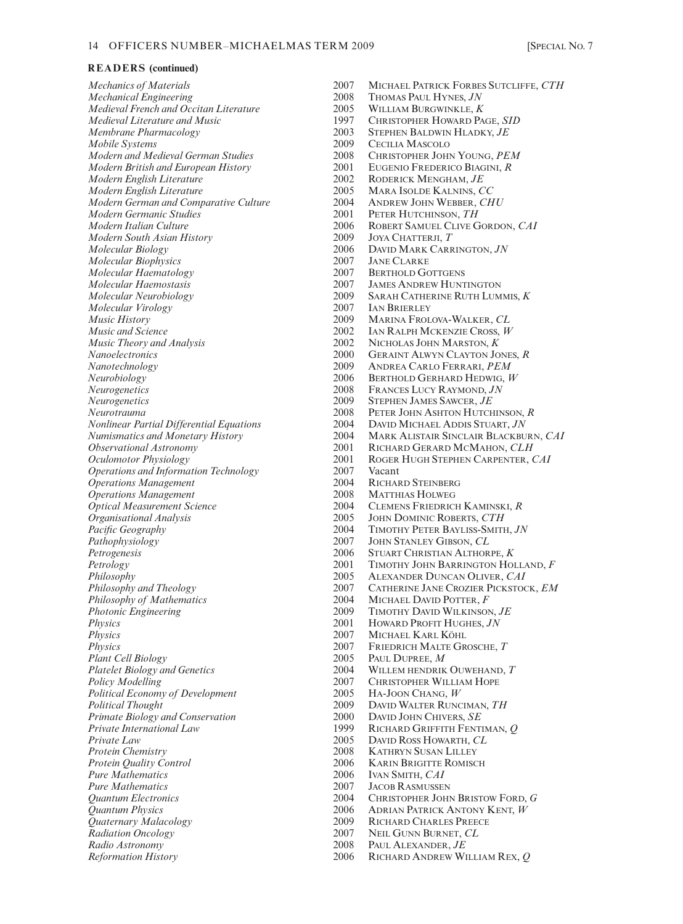*Medieval French and Occitan Literature* 2005<br>*Medieval Literature and Music* 1997 *Mobile Systems* 2009 CECILIA MASCOLO *Modern British and European History* 2001 EUGENIO FREDERICO BIAC<br>*Modern English Literature* 2002 RODERICK MENGHAM. *JE Modern English Literature* 2002<br>*Modern English Literature* 2005 *Modern German and Comparative Culture Modern Germanic Studies*  $2001$  PETER HUTCHINSON, *TH*<br>*Modern Italian Culture*  $2006$  ROBERT SAMUEL CLIVE G *Modern South Asian History* 2009<br>*Molecular Biology* 2006 *Molecular Biophysics* 2007 JANE CLARKE *Molecular Haematology* 2007<br>*Molecular Haemostasis* 2007 *Molecular Haemostasis* 2007 JAMES ANDREW HUNTINGTON *Molecular Virology* 2007<br> *Music History* 2009 *Music History* 2009 MARINA FROLOVA-WALKER, CL 2002 MARINA FROLOVA-WALKER, CL 2002 MARINA FROLOVA-WALKER, CL *Music and Science*<br> *Music Theory and Analysis*<br>
2002 **MICHOLAS JOHN MARSTON,** *K Nanotechnology* 2009 ANDREA CARLO FERRARI, *PEM Neurogenetics* 2008 FRANCES LUCY RAYMOND, *JN Neurogenetics* 2009 STEPHEN JAMES SAWCER, *JE Operations and Information Technology* 2007 Vacant *Operations Management* 2004<br> *Operations Management* 2008 *Operations Management* 2008 MATTHIAS HOLWEG *Organisational Analysis* 2005 JOHN DOMINIC ROBERTS, *CTH*<br> *Pacific Geography* 2004 TIMOTHY PETER BAYLISS-SMITI Pathophysiology 2007 JOHN STANLEY GIBSON, *CL*<br>Petrogenesis 2006 STUART CHRISTIAN ALTHOR *Philosophy of Mathematics* 2004 MICHAEL DAVID POTTER, *F*<br> *Photonic Engineering* 2009 TIMOTHY DAVID WILKINSON *Photonic Engineering* 2009 TIMOTHY DAVID WILKINSON, *JE*<br> *Physics* 2001 Howard Profit Hughes, *JN Physics* 2007 MICHAEL KARL KÖHL *Physics* 2007 FRIEDRICH MALTE GROSCHE, *T Plant Cell Biology* 2005 PAUL DUPREE, *M*<br>*Platelet Biology and Genetics* 2004 WILLEM HENDRIK *Political Economy of Development Political Thought* 2009 DAVID WALTER RUNCIMAN, *TH Primate Biology and Conservation* 2000 DAVID JOHN CHIVERS, *SE Private Law* 2005 DAVID ROSS HOWARTH, *CL*<br>*Protein Chemistry* 2008 KATHRYN SUSAN LILLEY Protein Chemistry **2008** KATHRYN SUSAN LILLEY<br>Protein Quality Control 2006 KARIN BRIGITTE ROMIS *Pure Mathematics* 2006 IVAN SMITH, *CAI*<br>*Pure Mathematics* 2007 JACOB RASMUSSE Pure Mathematics<br> *Quantum Electronics*<br>
2004 CHRISTOPHER JOHI *Radiation Oncology* 2007 NEIL GUNN BURNET, *CL*<br> *Radio Astronomy* 2008 PAUL ALEXANDER JE *Radio Astronomy* 2008 PAUL ALEXANDER, *JE*

*Mechanics of Materials* 2007 MICHAEL PATRICK FORBES SUTCLIFFE, *CTH* 2008 THOMAS PAUL HYNES, *JN*<br>2005 WILLIAM BURGWINKLE, *K Medieval Literature and Music* 1997 CHRISTOPHER HOWARD PAGE, *SID*<br> *Membrane Pharmacology* 2003 STEPHEN BALDWIN HLADKY, *JE Membrane Pharmacology* 2003 STEPHEN BALDWIN HLADKY, *JE Modern and Medieval German Studies* 2008 CHRISTOPHER JOHN YOUNG, *PEM* 2005 MARA ISOLDE KALNINS, *CC*<br>2004 ANDREW JOHN WEBBER, *CHU Modern Italian Culture* 2006 ROBERT SAMUEL CLIVE GORDON, *CAI Molecular Biology* 2006 DAVID MARK CARRINGTON, *JN Molecular Neurobiology* 2009 SARAH CATHERINE RUTH LUMMIS, *K Music Theory and Analysis* 2002 NICHOLAS JOHN MARSTON, *K Nanoelectronics* 2000 GERAINT ALWYN CLAYTON JONES, *R Neurobiology* 2006 BERTHOLD GERHARD HEDWIG, *W* PETER JOHN ASHTON HUTCHINSON, *R Nonlinear Partial Differential Equations* 2004 DAVID MICHAEL ADDIS STUART, *JN Numismatics and Monetary History* 2004 MARK ALISTAIR SINCLAIR BLACKBURN, *CAI Observational Astronomy* 2001 RICHARD GERARD MCMAHON, CLH *Oculomotor Physiology* 2001 ROGER HUGH STEPHEN CARPENTER, *Oculomotor Physiology* 2001 ROGER HUGH STEPHEN CARPENTER, *CAI Optical Measurement Science* 2004 CLEMENS FRIEDRICH KAMINSKI, *R Pacific Geography* 2004 TIMOTHY PETER BAYLISS-SMITH, *JN Petrogenesis* 2006 STUART CHRISTIAN ALTHORPE, *K Petrology* 2001 TIMOTHY JOHN BARRINGTON HOLLAND, *F Philosophy* 2005 ALEXANDER DUNCAN OLIVER, *CAI*<br>*Philosophy and Theology* 2007 2007 CATHERINE JANE CROZIER PICKSTOC *Philosophy and Theology* 2007 CATHERINE JANE CROZIER PICKSTOCK, *EM Physics* 2001 HOWARD PROFIT HUGHES, *JN Platelet Biology and Genetics* 2004 WILLEM HENDRIK OUWEHAND, *T*<br> *Policy Modelling* 2007 CHRISTOPHER WILLIAM HOPE 2007 CHRISTOPHER WILLIAM HOPE<br>2005 HA-JOON CHANG, W *Private International Law* 1999 RICHARD GRIFFITH FENTIMAN, *Q*<br>*Private Law* 2005 DAVID ROSS HOWARTH. *CL* **KARIN BRIGITTE ROMISCH** *Quantum Electronics* 2004 CHRISTOPHER JOHN BRISTOW FORD, *G Quantum Physics* 2006 ADRIAN PATRICK ANTONY KENT, *W* 2009 RICHARD CHARLES PREECE<br>2007 Neil Gunn Burnet, CL

- 
- *Reformation History* 2006 RICHARD ANDREW WILLIAM REX, *Q*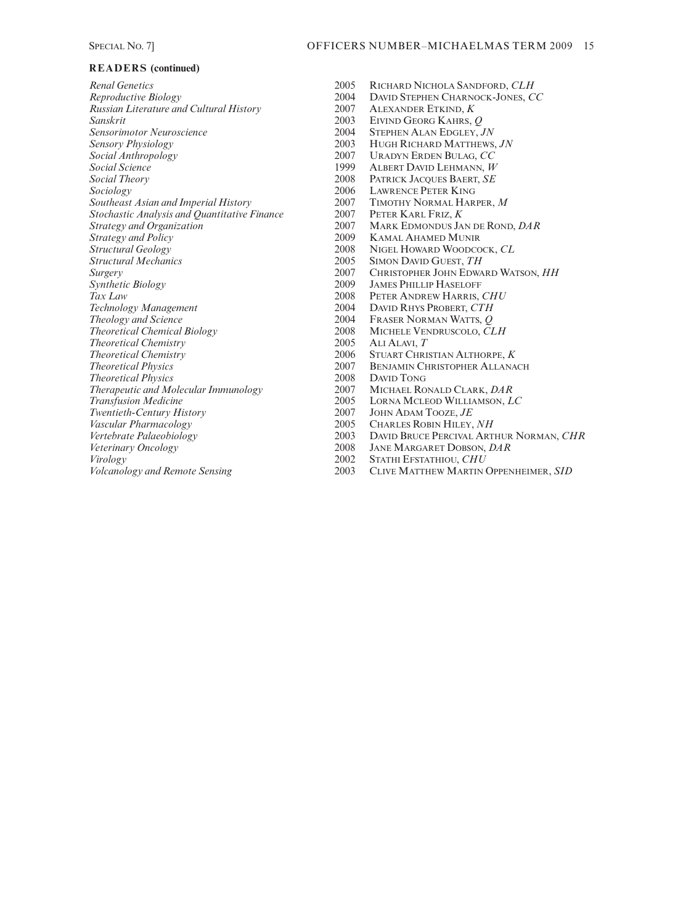| <b>Renal Genetics</b>                               |
|-----------------------------------------------------|
| Reproductive Biology                                |
| Russian Literature and Cultural History             |
| Sanskrit                                            |
| <b>Sensorimotor Neuroscience</b>                    |
| Sensory Physiology                                  |
| Social Anthropology                                 |
| Social Science                                      |
| <b>Social Theory</b>                                |
| Sociology                                           |
| Southeast Asian and Imperial History                |
| <b>Stochastic Analysis and Quantitative Finance</b> |
| <b>Strategy and Organization</b>                    |
| <b>Strategy and Policy</b>                          |
| Structural Geology                                  |
| <b>Structural Mechanics</b>                         |
| Surgery                                             |
| Synthetic Biology                                   |
| Tax Law                                             |
| Technology Management                               |
| <b>Theology and Science</b>                         |
| <b>Theoretical Chemical Biology</b>                 |
| <b>Theoretical Chemistry</b>                        |
| <b>Theoretical Chemistry</b>                        |
| <b>Theoretical Physics</b>                          |
| <b>Theoretical Physics</b>                          |
| Therapeutic and Molecular Immunology                |
| <b>Transfusion Medicine</b>                         |
| Twentieth-Century History                           |
| Vascular Pharmacology                               |
| Vertebrate Palaeobiology                            |
| Veterinary Oncology                                 |
| Virology                                            |
| <i>Volcanology and Remote Sensing</i>               |
|                                                     |

- *Renal Genetics* 2005 RICHARD NICHOLA SANDFORD, *CLH Reproductive Biology* 2004 DAVID STEPHEN CHARNOCK-JONES, *CC Russian Literature and Cultural History* 2007 ALEXANDER ETKIND, *K Sanskrit* 2003 EIVIND GEORG KAHRS, *Q Sensorimotor Neuroscience* 2004 STEPHEN ALAN EDGLEY, *JN Sensory Physiology* 2003 HUGH RICHARD MATTHEWS, *JN Social Anthropology* 2007 URADYN ERDEN BULAG, *CC Social Science* 1999 ALBERT DAVID LEHMANN, *W Social Theory* 2008 PATRICK JACQUES BAERT, *SE* 2006 LAWRENCE PETER KING<br>2007 TIMOTHY NORMAL HARI 2007 TIMOTHY NORMAL HARPER, *M*<br>2007 PETER KARL FRIZ, *K* 2007 **PETER KARL FRIZ,** *K* 2007 **MARK FINONDUS** JA *Strategy and Organization* 2007 MARK EDMONDUS JAN DE ROND, *DAR Strategy and Policy* 2009 KAMAL AHAMED MUNIR 2008 NIGEL HOWARD WOODCOCK, *CL*<br>2005 SIMON DAVID GUEST, *TH Structural Mechanics* 2005 SIMON DAVID GUEST, *TH Surgery* 2007 CHRISTOPHER JOHN EDWARD WATSON, *HH*  2009 JAMES PHILLIP HASELOFF<br>2008 PETER ANDREW HARRIS, 0 *Tax Law* 2008 PETER ANDREW HARRIS, *CHU* 2004 DAVID RHYS PROBERT, *CTH*<br>2004 FRASER NORMAN WATTS, *Q Theology and Science* 2004 FRASER NORMAN WATTS, *Q* 2008 MICHELE VENDRUSCOLO,  $\tilde{C}LH$ <br>2005 ALI ALAVI, *T Theoretical Chemistry* 2005 ALI ALAVI, *T Theoretical Chemistry* 2006 STUART CHRISTIAN ALTHORPE, *K* 2007 BENJAMIN CHRISTOPHER ALLANACH<br>2008 DAVID TONG 2008 DAVID TONG<br>2007 MICHAEL RO 2007 MICHAEL RONALD CLARK, *DAR*<br>2005 LORNA MCLEOD WILLIAMSON, *L* 2005 LORNA MCLEOD WILLIAMSON, *LC*<br>2007 JOHN ADAM TOOZE, *JE* JOHN ADAM TOOZE,  $JE$
- *Vascular Pharmacology* 2005 CHARLES ROBIN HILEY, *NH*
- 2003 DAVID BRUCE PERCIVAL ARTHUR NORMAN, *CHR*<br>2008 JANE MARGARET DOBSON, *DAR*
- 2008 JANE MARGARET DOBSON, *DAR*<br>2002 STATHI EFSTATHIOU. *CHU*
- **2002 STATHI EFSTATHIOU,** *CHU*<br>**2003** CLIVE MATTHEW MARTIN
- *Volcanology and Remote Sensing* 2003 CLIVE MATTHEW MARTIN OPPENHEIMER, *SID*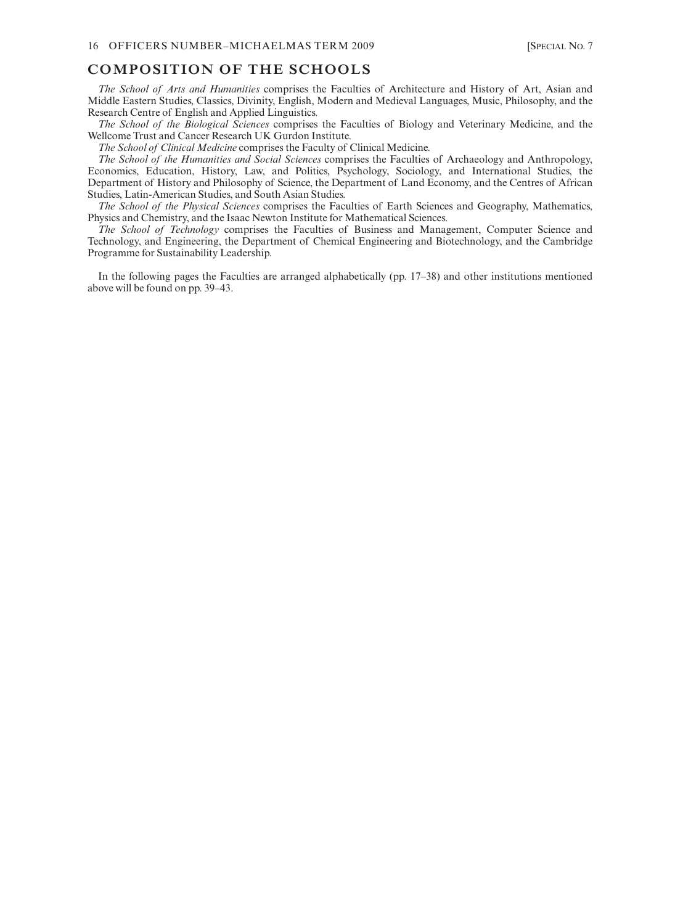# **COMPOSITION OF THE SCHOOLS**

*The School of Arts and Humanities* comprises the Faculties of Architecture and History of Art, Asian and Middle Eastern Studies, Classics, Divinity, English, Modern and Medieval Languages, Music, Philosophy, and the Research Centre of English and Applied Linguistics.

*The School of the Biological Sciences* comprises the Faculties of Biology and Veterinary Medicine, and the Wellcome Trust and Cancer Research UK Gurdon Institute.

*The School of Clinical Medicine* comprises the Faculty of Clinical Medicine.

*The School of the Humanities and Social Sciences* comprises the Faculties of Archaeology and Anthropology, Economics, Education, History, Law, and Politics, Psychology, Sociology, and International Studies, the Department of History and Philosophy of Science, the Department of Land Economy, and the Centres of African Studies, Latin-American Studies, and South Asian Studies.

*The School of the Physical Sciences* comprises the Faculties of Earth Sciences and Geography, Mathematics, Physics and Chemistry, and the Isaac Newton Institute for Mathematical Sciences.

*The School of Technology* comprises the Faculties of Business and Management, Computer Science and Technology, and Engineering, the Department of Chemical Engineering and Biotechnology, and the Cambridge Programme for Sustainability Leadership.

In the following pages the Faculties are arranged alphabetically (pp. 17–38) and other institutions mentioned above will be found on pp. 39–43.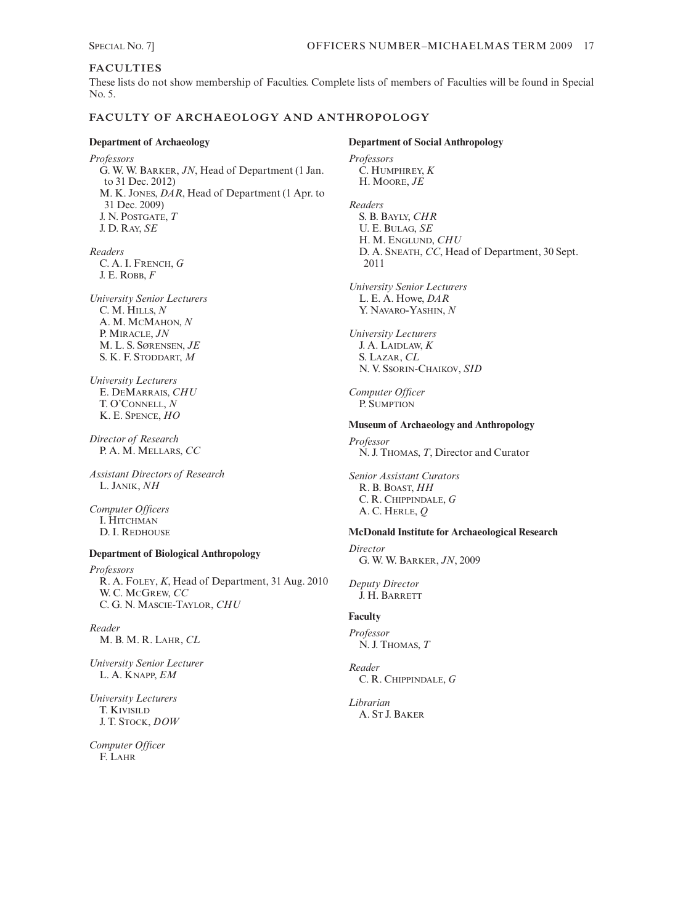# **FACULTIES**

These lists do not show membership of Faculties. Complete lists of members of Faculties will be found in Special No. 5.

# **FACULTY OF ARCHAEOLOGY AND ANTHROPOLOGY**

**Department of Archaeology** *Professors* G. W. W. BARKER, *JN*, Head of Department (1 Jan. to 31 Dec. 2012) M. K. JONES, *DAR*, Head of Department (1 Apr. to 31 Dec. 2009) J. N. POSTGATE, *T* J. D. RAY, *SE*

*Readers* C. A. I. FRENCH, *G* J. E. ROBB, *F*

*University Senior Lecturers* C. M. HILLS, *N* A. M. MCMAHON, *N* P. MIRACLE, *JN* M. L. S. SØRENSEN, *JE* S. K. F. STODDART, *M*

*University Lecturers* E. DEMARRAIS, *CHU* T. O'CONNELL, *N* K. E. SPENCE, *HO*

*Director of Research* P. A. M. MELLARS, *CC*

*Assistant Directors of Research* L. JANIK, *NH*

*Computer Officers* I. HITCHMAN D. I. REDHOUSE

#### **Department of Biological Anthropology**

*Professors* R. A. FOLEY, *K*, Head of Department, 31 Aug. 2010 W. C. MCGREW, *CC* C. G. N. MASCIE-TAYLOR, *CHU*

*Reader*  M. B. M. R. LAHR, *CL*

*University Senior Lecturer*  L. A. KNAPP, *EM* 

*University Lecturers* T. KIVISILD J. T. STOCK, *DOW*

*Computer Officer* F. LAHR

**Department of Social Anthropology** *Professors* C. HUMPHREY, *K* H. MOORE, *JE Readers*  S. B. BAYLY, *CHR* U. E. BULAG, *SE* H. M. ENGLUND, *CHU* D. A. SNEATH, *CC*, Head of Department, 30 Sept. 2011 *University Senior Lecturers* L. E. A. Howe, *DAR* Y. NAVARO-YASHIN, *N University Lecturers* J. A. LAIDLAW, *K* S. LAZAR, *CL* N. V. SSORIN-CHAIKOV, *SID Computer Officer* P. SUMPTION **Museum of Archaeology and Anthropology** *Professor* N. J. THOMAS, *T*, Director and Curator *Senior Assistant Curators* R. B. BOAST, *HH* C. R. CHIPPINDALE, *G* A. C. HERLE, *Q* **McDonald Institute for Archaeological Research** *Director* G. W. W. BARKER, *JN*, 2009 *Deputy Director* J. H. BARRETT **Faculty** *Professor*  N. J. THOMAS, *T Reader* C. R. CHIPPINDALE, *G Librarian* A. ST J. BAKER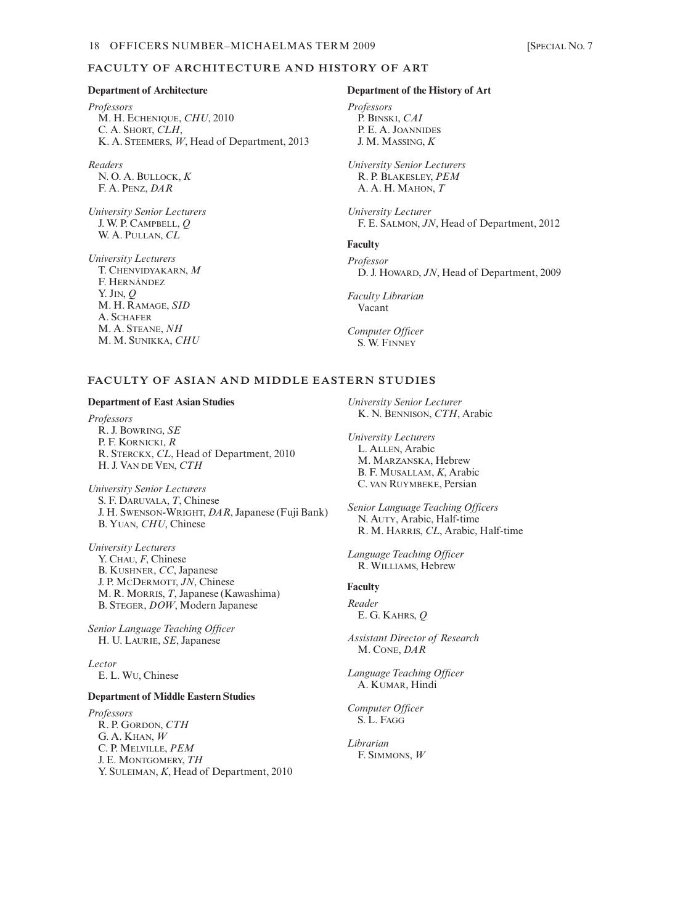#### **FACULTY OF ARCHITECTURE AND HISTORY OF ART**

#### **Department of Architecture**

*Professors* M. H. ECHENIQUE, *CHU*, 2010 C. A. SHORT, *CLH*, K. A. STEEMERS, *W*, Head of Department, 2013

*Readers* N. O. A. BULLOCK, *K* F. A. PENZ, *DAR*

*University Senior Lecturers* J. W. P. CAMPBELL, *Q* W. A. PULLAN, *CL*

*University Lecturers*

T. CHENVIDYAKARN, *M* F. HERNÁNDEZ Y. JIN, *Q* M. H. RAMAGE, *SID* A. SCHAFER M. A. STEANE, *NH* M. M. SUNIKKA, *CHU*

#### **Department of the History of Art**

*Professors* P. BINSKI, *CAI* P. E. A. JOANNIDES J. M. MASSING, *K*

*University Senior Lecturers* R. P. BLAKESLEY, *PEM* A. A. H. MAHON, *T*

*University Lecturer* F. E. SALMON, *JN*, Head of Department, 2012

#### **Faculty**

*Professor* D. J. HOWARD, *JN*, Head of Department, 2009

*Faculty Librarian*  Vacant

*Computer Officer* S. W. FINNEY

#### **FACULTY OF ASIAN AND MIDDLE EASTERN STUDIES**

#### **Department of East Asian Studies**

*Professors* R. J. BOWRING, *SE* P. F. KORNICKI, *R* R. STERCKX, *CL*, Head of Department, 2010 H. J. VAN DE VEN, *CTH*

*University Senior Lecturers* S. F. DARUVALA, *T*, Chinese J. H. SWENSON-WRIGHT, *DAR*, Japanese (Fuji Bank) B. YUAN, *CHU*, Chinese

*University Lecturers* Y. CHAU, *F*, Chinese B. KUSHNER, *CC*, Japanese J. P. MCDERMOTT, *JN*, Chinese M. R. MORRIS, *T*, Japanese (Kawashima) B. STEGER, *DOW*, Modern Japanese

*Senior Language Teaching Officer* H. U. LAURIE, *SE*, Japanese

*Lector* E. L. WU, Chinese

#### **Department of Middle Eastern Studies**

*Professors* R. P. GORDON, *CTH* G. A. KHAN, *W* C. P. MELVILLE, *PEM* J. E. MONTGOMERY, *TH* Y. SULEIMAN, *K*, Head of Department, 2010 *University Senior Lecturer* K. N. BENNISON, *CTH*, Arabic

*University Lecturers* L. ALLEN, Arabic M. MARZANSKA, Hebrew B. F. MUSALLAM, *K*, Arabic C. VAN RUYMBEKE, Persian

*Senior Language Teaching Officers* N. AUTY, Arabic, Half-time R. M. HARRIS, *CL*, Arabic, Half-time

*Language Teaching Officer* R. WILLIAMS, Hebrew

#### **Faculty**

*Reader* E. G. KAHRS, *Q*

*Assistant Director of Research* M. CONE, *DAR*

*Language Teaching Officer* A. KUMAR, Hindi

*Computer Officer* S. L. FAGG

*Librarian* F. SIMMONS, *W*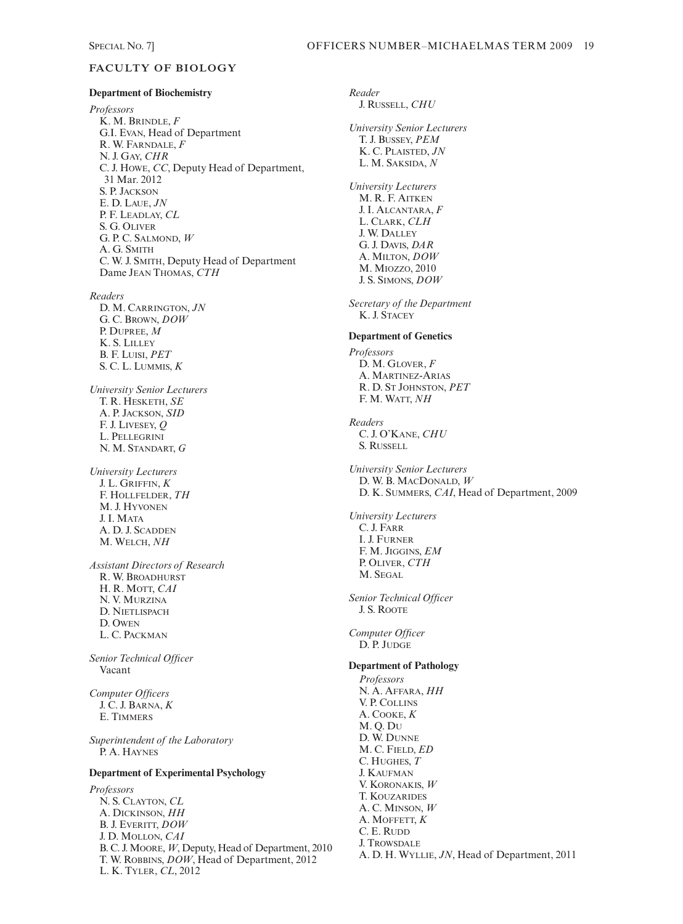# **FACULTY OF BIOLOGY**

#### **Department of Biochemistry**

*Professors* K. M. BRINDLE, *F* G.I. EVAN, Head of Department R. W. FARNDALE, *F* N. J. GAY, *CHR* C. J. HOWE, *CC*, Deputy Head of Department, 31 Mar. 2012 S. P. JACKSON E. D. LAUE, *JN* P. F. LEADLAY, *CL* S. G. OLIVER G. P. C. SALMOND, *W* A. G. SMITH C. W. J. SMITH, Deputy Head of Department Dame JEAN THOMAS, *CTH*

*Readers* D. M. CARRINGTON, *JN*

G. C. BROWN, *DOW* P. DUPREE, *M* K. S. LILLEY B. F. LUISI, *PET*  S. C. L. LUMMIS, *K*

*University Senior Lecturers* T. R. HESKETH, *SE* A. P. JACKSON, *SID* F. J. LIVESEY, *Q* L. PELLEGRINI N. M. STANDART, *G*

*University Lecturers* J. L. GRIFFIN, *K* F. HOLLFELDER, *TH* M. J. HYVONEN J. I. MATA A. D. J. SCADDEN M. WELCH, *NH*

*Assistant Directors of Research* R. W. BROADHURST H. R. MOTT, *CAI* N. V. MURZINA D. NIETLISPACH D. OWEN L. C. PACKMAN

*Senior Technical Officer* Vacant

*Computer Officers* J. C. J. BARNA, *K* E. TIMMERS

*Superintendent of the Laboratory* P. A. HAYNES

# **Department of Experimental Psychology**

*Professors* N. S. CLAYTON, *CL* A. DICKINSON, *HH* B. J. EVERITT, *DOW* J. D. MOLLON, *CAI* B. C. J. MOORE,*W*, Deputy, Head of Department, 2010 T. W. ROBBINS, *DOW*, Head of Department, 2012 L. K. TYLER, *CL*, 2012

*Reader* J. RUSSELL, *CHU University Senior Lecturers* T. J. BUSSEY, *PEM* K. C. PLAISTED, *JN*  L. M. SAKSIDA, *N University Lecturers* M. R. F. AITKEN J. I. ALCANTARA, *F* L. CLARK, *CLH* J. W. DALLEY G. J. DAVIS, *DAR* A. MILTON, *DOW* M. MIOZZO, 2010 J. S. SIMONS, *DOW Secretary of the Department* K. J. STACEY **Department of Genetics** *Professors* D. M. GLOVER, *F* A. MARTINEZ-ARIAS R. D. ST JOHNSTON, *PET* F. M. WATT, *NH Readers* C. J. O'KANE, *CHU* S. RUSSELL *University Senior Lecturers* D. W. B. MACDONALD, *W* D. K. SUMMERS, *CAI*, Head of Department, 2009 *University Lecturers* C. J. FARR I. J. FURNER F. M. JIGGINS, *EM* P. OLIVER, *CTH* M. SEGAL *Senior Technical Officer* J. S. ROOTE *Computer Officer* D. P. JUDGE **Department of Pathology** *Professors* N. A. AFFARA, *HH* V. P. COLLINS A. COOKE, *K* M. Q. DU D. W. DUNNE M. C. FIELD, *ED*  C. HUGHES, *T* J. KAUFMAN V. KORONAKIS, *W* T. KOUZARIDES A. C. MINSON, *W* A. MOFFETT, *K* C. E. RUDD J. TROWSDALE A. D. H. WYLLIE, *JN*, Head of Department, 2011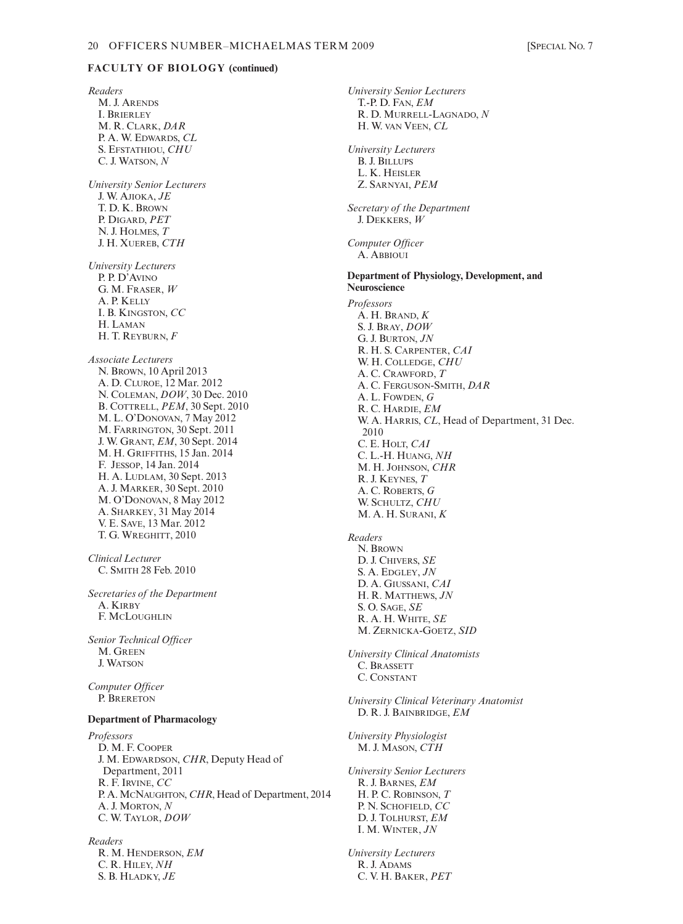# **FACULTY OF BIOLOGY (continued)**

*Readers* M. J. ARENDS I. BRIERLEY M. R. CLARK, *DAR* P. A. W. EDWARDS, *CL* S. EFSTATHIOU, *CHU* C. J. WATSON, *N University Senior Lecturers* J. W. AJIOKA, *JE* T. D. K. BROWN P. DIGARD, *PET* N. J. HOLMES, *T* J. H. XUEREB, *CTH University Lecturers* P. P. D'AVINO G. M. FRASER, *W* A. P. KELLY I. B. KINGSTON, *CC* H. LAMAN H. T. REYBURN, *F Associate Lecturers* N. BROWN, 10 April 2013 A. D. CLUROE, 12 Mar. 2012 N. COLEMAN, *DOW*, 30 Dec. 2010 B. COTTRELL, *PEM*, 30 Sept. 2010 M. L. O'DONOVAN, 7 May 2012 M. FARRINGTON, 30 Sept. 2011 J. W. GRANT, *EM*, 30 Sept. 2014 M. H. GRIFFITHS, 15 Jan. 2014 F. JESSOP, 14 Jan. 2014 H. A. LUDLAM, 30 Sept. 2013 A. J. MARKER, 30 Sept. 2010 M. O'DONOVAN, 8 May 2012 A. SHARKEY, 31 May 2014 V. E. SAVE, 13 Mar. 2012 T. G. WREGHITT, 2010 *Clinical Lecturer* C. SMITH 28 Feb. 2010 *Secretaries of the Department* A. KIRBY F. MCLOUGHLIN *Senior Technical Officer* M. GREEN J. WATSON *Computer Officer* P. BRERETON **Department of Pharmacology** *Professors* D. M. F. COOPER J. M. EDWARDSON, *CHR*, Deputy Head of Department, 2011 R. F. IRVINE, *CC* P. A. MCNAUGHTON, *CHR*, Head of Department, 2014 A. J. MORTON, *N* C. W. TAYLOR, *DOW Readers* R. M. HENDERSON, *EM* C. R. HILEY, *NH*

S. B. HLADKY, *JE*

*Computer Officer* A. ABBIOUI **Department of Physiology, Development, and Neuroscience** *Professors*  $\overline{A}$  H  $\overline{B}$ *RAND*  $\overline{K}$ S. J. BRAY, *DOW* G. J. BURTON, *JN* R. H. S. CARPENTER, *CAI* W. H. COLLEDGE, *CHU* A. C. CRAWFORD, *T* A. C. FERGUSON-SMITH, *DAR* A. L. FOWDEN, *G* R. C. HARDIE, *EM* W. A. HARRIS, *CL*, Head of Department, 31 Dec. 2010 C. E. HOLT, *CAI* C. L.-H. HUANG, *NH* M. H. JOHNSON, *CHR* R. J. KEYNES, *T* A. C. ROBERTS, *G* W. SCHULTZ, *CHU* M. A. H. SURANI, *K Readers* N. BROWN D. J. CHIVERS, *SE* S. A. EDGLEY, *JN* D. A. GIUSSANI, *CAI* H. R. MATTHEWS, *JN* S. O. SAGE, *SE* R. A. H. WHITE, *SE* M. ZERNICKA-GOETZ, *SID University Clinical Anatomists* C. BRASSETT C. CONSTANT *University Clinical Veterinary Anatomist* D. R. J. BAINBRIDGE, *EM University Physiologist* M. J. MASON, *CTH University Senior Lecturers* R. J. BARNES, *EM* H. P. C. ROBINSON, *T* P. N. SCHOFIELD, *CC* D. J. TOLHURST, *EM* I. M. WINTER, *JN University Lecturers* R. J. ADAMS C. V. H. BAKER, *PET*

*University Senior Lecturers* T.-P. D. FAN, *EM*

H. W. VAN VEEN, *CL*

*Secretary of the Department* J. DEKKERS, *W*

*University Lecturers* B. J. BILLUPS L. K. HEISLER Z. SARNYAI, *PEM*

R. D. MURRELL-LAGNADO, *N*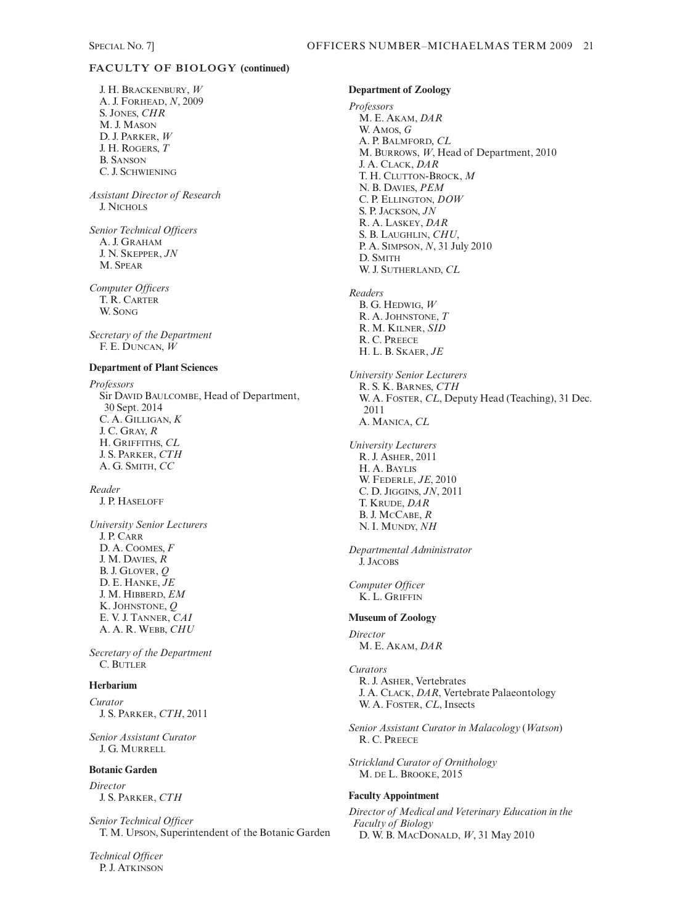# **FACULTY OF BIOLOGY (continued)**

J. H. BRACKENBURY, *W* A. J. FORHEAD, *N*, 2009 S. JONES, *CHR* M. J. MASON D. J. PARKER, *W* J. H. ROGERS, *T* B. SANSON C. J. SCHWIENING

*Assistant Director of Research* J. NICHOLS

*Senior Technical Officers* A. J. GRAHAM J. N. SKEPPER, *JN* M. SPEAR

*Computer Officers* T. R. CARTER W. SONG

*Secretary of the Department* F. E. DUNCAN, *W*

### **Department of Plant Sciences**

*Professors* Sir DAVID BAULCOMBE, Head of Department, 30 Sept. 2014 C. A. GILLIGAN, *K* J. C. GRAY, *R* H. GRIFFITHS, *CL* J. S. PARKER, *CTH* A. G. SMITH, *CC*

*Reader* J. P. HASELOFF

*University Senior Lecturers* J. P. CARR D. A. COOMES, *F* J. M. DAVIES, *R* B. J. GLOVER, *Q* D. E. HANKE, *JE* J. M. HIBBERD, *EM* K. JOHNSTONE, *Q* E. V. J. TANNER, *CAI*  A. A. R. WEBB, *CHU*

*Secretary of the Department*  C. BUTLER

#### **Herbarium**

*Curator*  J. S. PARKER, *CTH*, 2011

*Senior Assistant Curator* J. G. MURRELL

#### **Botanic Garden**

*Director* J. S. PARKER, *CTH*

*Senior Technical Officer* T. M. UPSON, Superintendent of the Botanic Garden

*Technical Officer* P. J. ATKINSON

### **Department of Zoology**

*Professors* M. E. AKAM, *DAR* W. AMOS, *G* A. P. BALMFORD, *CL* M. BURROWS, *W*, Head of Department, 2010 J. A. CLACK, *DAR* T. H. CLUTTON-BROCK, *M* N. B. DAVIES, *PEM* C. P. ELLINGTON, *DOW* S. P. JACKSON, *JN* R. A. LASKEY, *DAR* S. B. LAUGHLIN, *CHU*, P. A. SIMPSON, *N*, 31 July 2010 D. SMITH W. J. SUTHERLAND, *CL Readers* B. G. HEDWIG, *W*

R. A. JOHNSTONE, *T* R. M. KILNER, *SID* R. C. PREECE H. L. B. SKAER, *JE University Senior Lecturers*

R. S. K. BARNES, *CTH* W. A. FOSTER, *CL*, Deputy Head (Teaching), 31 Dec. 2011 A. MANICA, *CL*

*University Lecturers* R. J. ASHER, 2011 H. A. BAYLIS W. FEDERLE, *JE*, 2010 C. D. JIGGINS, *JN*, 2011 T. KRUDE, *DAR* B. J. MCCABE, *R* N. I. MUNDY, *NH*

*Departmental Administrator* J. JACOBS

*Computer Officer* K. L. GRIFFIN

#### **Museum of Zoology**

*Director* M. E. AKAM, *DAR*

#### *Curators*

R. J. ASHER, Vertebrates J. A. CLACK, *DAR*, Vertebrate Palaeontology W. A. FOSTER, *CL*, Insects

*Senior Assistant Curator in Malacology* (*Watson*) R. C. PREECE

*Strickland Curator of Ornithology* M. DE L. BROOKE, 2015

#### **Faculty Appointment**

*Director of Medical and Veterinary Education in the Faculty of Biology* D. W. B. MACDONALD, *W*, 31 May 2010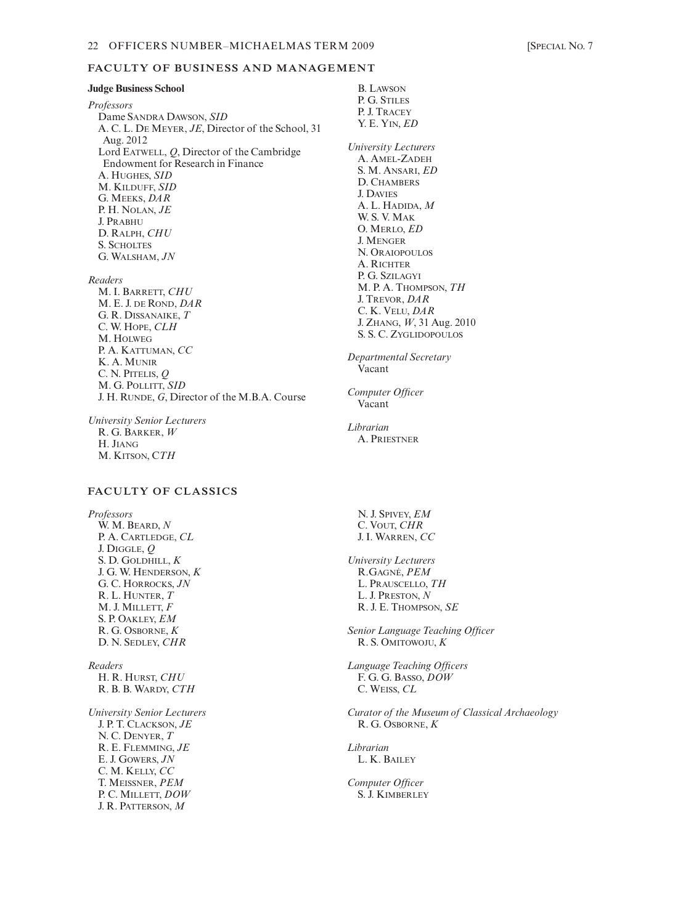#### **Judge Business School**

*Professors* Dame SANDRA DAWSON, *SID* A. C. L. DE MEYER, *JE*, Director of the School, 31 Aug. 2012 Lord EATWELL, *Q*, Director of the Cambridge Endowment for Research in Finance A. HUGHES, *SID* M. KILDUFF, *SID* G. MEEKS, *DAR* P. H. NOLAN, *JE* J. PRABHU D. RALPH, *CHU* S. SCHOLTES G. WALSHAM, *JN*

- *Readers*
	- M. I. BARRETT, *CHU* M. E. J. DE ROND, *DAR* G. R. DISSANAIKE, *T* C. W. HOPE, *CLH* M. HOLWEG P. A. KATTUMAN, *CC* K. A. MUNIR C. N. PITELIS, *Q* M. G. POLLITT, *SID* J. H. RUNDE, *G*, Director of the M.B.A. Course

*University Senior Lecturers* R. G. BARKER, *W*  H. JIANG M. KITSON, C*TH* 

# **FACULTY OF CLASSICS**

*Professors* W. M. BEARD, *N* P. A. CARTLEDGE, *CL* J. DIGGLE, *Q* S. D. GOLDHILL, *K* J. G. W. HENDERSON, *K* G. C. HORROCKS, *JN* R. L. HUNTER, *T* M. J. MILLETT, *F* S. P. OAKLEY, *EM* R. G. OSBORNE, *K* D. N. SEDLEY, *CHR*

*Readers* H. R. HURST, *CHU* R. B. B. WARDY, *CTH*

*University Senior Lecturers* J. P. T. CLACKSON, *JE* N. C. DENYER, *T* R. E. FLEMMING, *JE* E. J. GOWERS, *JN* C. M. KELLY, *CC* T. MEISSNER, *PEM* P. C. MILLETT, *DOW* J. R. PATTERSON, *M*

B. LAWSON P. G. STILES P. J. TRACEY Y. E. YIN, *ED University Lecturers* A. AMEL-ZADEH S. M. ANSARI, *ED* D. CHAMBERS J. DAVIES A. L. HADIDA, *M*  W. S. V. MAK O. MERLO, *ED*  J. MENGER N. ORAIOPOULOS A. RICHTER P. G. SZILAGYI M. P. A. THOMPSON, *TH*  J. TREVOR, *DAR* C. K. VELU, *DAR* J. ZHANG, *W*, 31 Aug. 2010 S. S. C. ZYGLIDOPOULOS *Departmental Secretary* Vacant

*Computer Officer* Vacant

*Librarian* A. PRIESTNER

> N. J. SPIVEY, *EM* C. VOUT, *CHR* J. I. WARREN, *CC*

- *University Lecturers* R.GAGNÉ, *PEM* L. PRAUSCELLO, *TH* L. J. PRESTON, *N* R. J. E. THOMPSON, *SE*
- *Senior Language Teaching Officer* R. S. OMITOWOJU, *K*

*Language Teaching Officers* F. G. G. BASSO, *DOW* C. WEISS, *CL*

*Curator of the Museum of Classical Archaeology* R. G. OSBORNE, *K*

*Librarian* L. K. BAILEY

*Computer Officer*  S. J. KIMBERLEY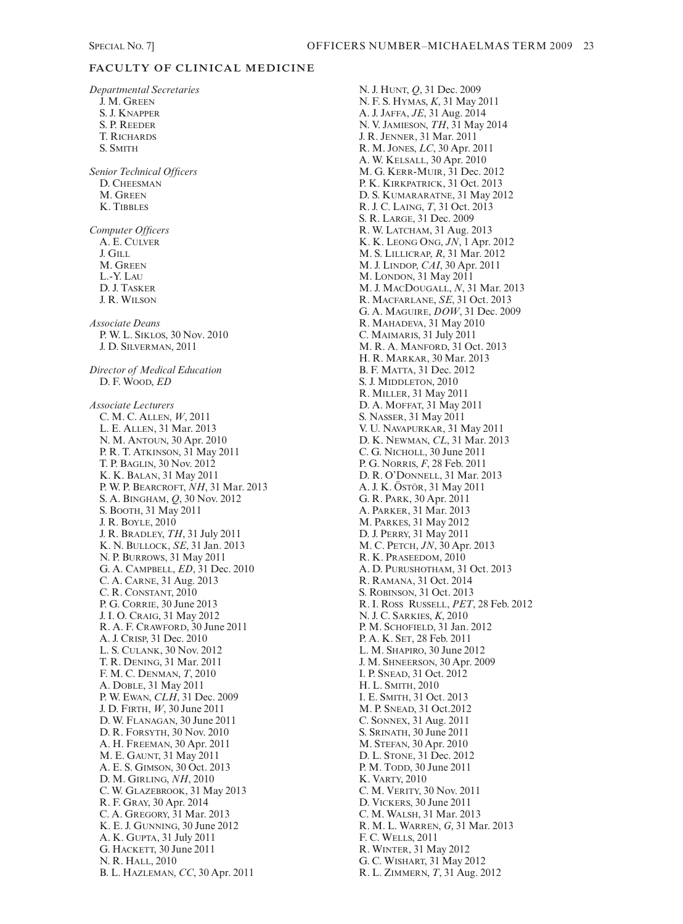# **FACULTY OF CLINICAL MEDICINE**

*Departmental Secretaries* J. M. GREEN S. J. KNAPPER S. P. REEDER T. RICHARDS S. SMITH *Senior Technical Officers* D. CHEESMAN M. GREEN K. TIBBLES *Computer Officers* A. E. CULVER J. GILL M. GREEN L.-Y. LAU D. J. TASKER J. R. WILSON *Associate Deans* P. W. L. SIKLOS, 30 Nov. 2010 J. D. SILVERMAN, 2011 *Director of Medical Education* D. F. WOOD, *ED Associate Lecturers* C. M. C. ALLEN, *W*, 2011 L. E. ALLEN, 31 Mar. 2013 N. M. ANTOUN, 30 Apr. 2010 P. R. T. ATKINSON, 31 May 2011 T. P. BAGLIN, 30 Nov. 2012 K. K. BALAN, 31 May 2011 P. W. P. BEARCROFT, *NH*, 31 Mar. 2013 S. A. BINGHAM, *Q*, 30 Nov. 2012 S. BOOTH, 31 May 2011 J. R. BOYLE, 2010 J. R. BRADLEY, *TH*, 31 July 2011 K. N. BULLOCK, *SE*, 31 Jan. 2013 N. P. BURROWS, 31 May 2011 G. A. CAMPBELL, *ED*, 31 Dec. 2010 C. A. CARNE, 31 Aug. 2013 C. R. CONSTANT, 2010 P. G. CORRIE, 30 June 2013 J. I. O. CRAIG, 31 May 2012 R. A. F. CRAWFORD, 30 June 2011 A. J. CRISP, 31 Dec. 2010 L. S. CULANK, 30 Nov. 2012 T. R. DENING, 31 Mar. 2011 F. M. C. DENMAN, *T*, 2010 A. DOBLE, 31 May 2011 P. W. EWAN, *CLH*, 31 Dec. 2009 J. D. FIRTH, *W*, 30 June 2011 D. W. FLANAGAN, 30 June 2011 D. R. FORSYTH, 30 Nov. 2010 A. H. FREEMAN, 30 Apr. 2011 M. E. GAUNT, 31 May 2011 A. E. S. GIMSON, 30 Oct. 2013 D. M. GIRLING, *NH*, 2010 C. W. GLAZEBROOK, 31 May 2013 R. F. GRAY, 30 Apr. 2014 C. A. GREGORY, 31 Mar. 2013 K. E. J. GUNNING, 30 June 2012 A. K. GUPTA, 31 July 2011 G. HACKETT, 30 June 2011 N. R. HALL, 2010 B. L. HAZLEMAN, *CC*, 30 Apr. 2011

N. J. HUNT, *Q*, 31 Dec. 2009 N. F. S. HYMAS, *K*, 31 May 2011 A. J. JAFFA, *JE*, 31 Aug. 2014 N. V. JAMIESON, *TH*, 31 May 2014 J. R. JENNER, 31 Mar. 2011 R. M. JONES, *LC*, 30 Apr. 2011 A. W. KELSALL, 30 Apr. 2010 M. G. KERR-MUIR, 31 Dec. 2012 P. K. KIRKPATRICK, 31 Oct. 2013 D. S. KUMARARATNE, 31 May 2012 R. J. C. LAING, *T*, 31 Oct. 2013 S. R. LARGE, 31 Dec. 2009 R. W. LATCHAM, 31 Aug. 2013 K. K. LEONG ONG, *JN*, 1 Apr. 2012 M. S. LILLICRAP, *R*, 31 Mar. 2012 M. J. LINDOP, *CAI*, 30 Apr. 2011 M. LONDON, 31 May 2011 M. J. MACDOUGALL, *N*, 31 Mar. 2013 R. MACFARLANE, *SE*, 31 Oct. 2013 G. A. MAGUIRE, *DOW*, 31 Dec. 2009 R. MAHADEVA, 31 May 2010 C. MAIMARIS, 31 July 2011 M. R. A. MANFORD, 31 Oct. 2013 H. R. MARKAR, 30 Mar. 2013 B. F. MATTA, 31 Dec. 2012 S. J. MIDDLETON, 2010 R. MILLER, 31 May 2011 D. A. MOFFAT, 31 May 2011 S. NASSER, 31 May 2011 V. U. NAVAPURKAR, 31 May 2011 D. K. NEWMAN, *CL*, 31 Mar. 2013 C. G. NICHOLL, 30 June 2011 P. G. NORRIS, *F*, 28 Feb. 2011 D. R. O'DONNELL, 31 Mar. 2013 A. J. K. ÖSTÖR, 31 May 2011 G. R. PARK, 30 Apr. 2011 A. PARKER, 31 Mar. 2013 M. PARKES, 31 May 2012 D. J. PERRY, 31 May 2011 M. C. PETCH, *JN*, 30 Apr. 2013 R. K. PRASEEDOM, 2010 A. D. PURUSHOTHAM, 31 Oct. 2013 R. RAMANA, 31 Oct. 2014 S. ROBINSON, 31 Oct. 2013 R. I. ROSS RUSSELL, *PET*, 28 Feb. 2012 N. J. C. SARKIES, *K*, 2010 P. M. SCHOFIELD, 31 Jan. 2012 P. A. K. SET, 28 Feb. 2011 L. M. SHAPIRO, 30 June 2012 J. M. SHNEERSON, 30 Apr. 2009 I. P. SNEAD, 31 Oct. 2012 H. L. SMITH, 2010 I. E. SMITH, 31 Oct. 2013 M. P. SNEAD, 31 Oct.2012 C. SONNEX, 31 Aug. 2011 S. SRINATH, 30 June 2011 M. STEFAN, 30 Apr. 2010 D. L. STONE, 31 Dec. 2012 P. M. TODD, 30 June 2011 K. VARTY, 2010 C. M. VERITY, 30 Nov. 2011 D. VICKERS, 30 June 2011 C. M. WALSH, 31 Mar. 2013 R. M. L. WARREN, *G*, 31 Mar. 2013 F. C. WELLS, 2011 R. WINTER, 31 May 2012 G. C. WISHART, 31 May 2012 R. L. ZIMMERN, *T*, 31 Aug. 2012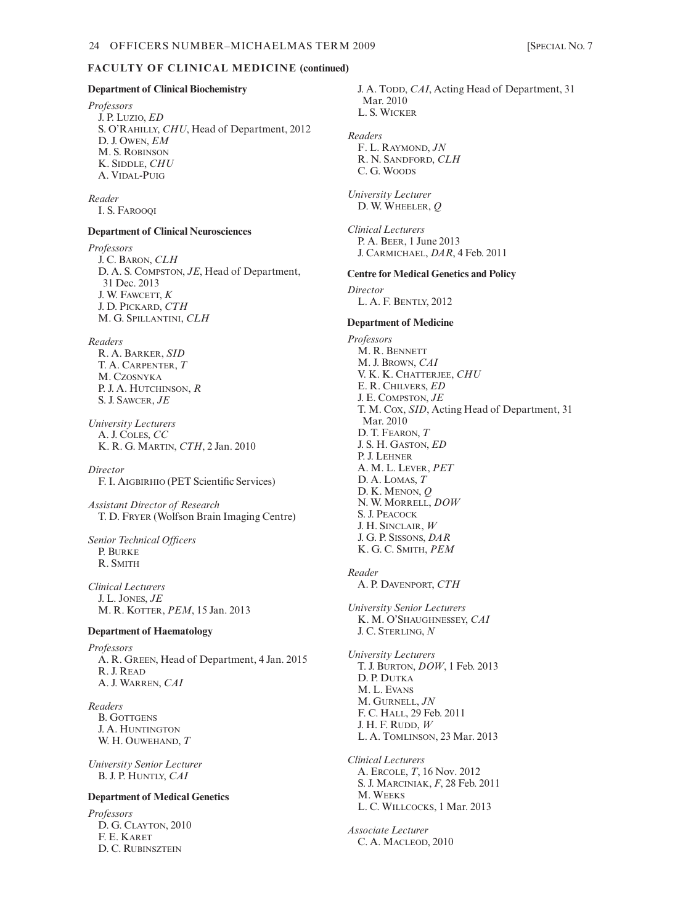#### **Department of Clinical Biochemistry**

*Professors* J. P. LUZIO, *ED* S. O'RAHILLY, *CHU*, Head of Department, 2012 D. J. OWEN, *EM* M. S. ROBINSON K. SIDDLE, *CHU*  A. VIDAL-PUIG

#### *Reader*

I. S. FAROOQI

### **Department of Clinical Neurosciences**

*Professors* J. C. BARON, *CLH* D. A. S. COMPSTON, *JE*, Head of Department, 31 Dec. 2013 J. W. FAWCETT, *K* J. D. PICKARD, *CTH* M. G. SPILLANTINI, *CLH*

#### *Readers*

R. A. BARKER, *SID* T. A. CARPENTER, *T* M. CZOSNYKA P. J. A. HUTCHINSON, *R* S. J. SAWCER, *JE*

*University Lecturers* A. J. COLES, *CC* K. R. G. MARTIN, *CTH*, 2 Jan. 2010

*Director* F. I. AIGBIRHIO (PET Scientific Services)

*Assistant Director of Research* T. D. FRYER (Wolfson Brain Imaging Centre)

*Senior Technical Officers* P. BURKE R. SMITH

*Clinical Lecturers* J. L. JONES, *JE* M. R. KOTTER, *PEM*, 15 Jan. 2013

#### **Department of Haematology**

*Professors* A. R. GREEN, Head of Department, 4 Jan. 2015 R. J. READ A. J. WARREN, *CAI*

*Readers* B. GOTTGENS J. A. HUNTINGTON W. H. OUWEHAND, *T*

*University Senior Lecturer* B. J. P. HUNTLY, *CAI*

#### **Department of Medical Genetics**

*Professors* D. G. CLAYTON, 2010 F. E. KARET D. C. RUBINSZTEIN

J. A. TODD, *CAI*, Acting Head of Department, 31 Mar. 2010 L. S. WICKER *Readers* F. L. RAYMOND, *JN* R. N. SANDFORD, *CLH* C. G. WOODS *University Lecturer* D. W. WHEELER, *Q Clinical Lecturers* P. A. BEER, 1 June 2013 J. CARMICHAEL, *DAR*, 4 Feb. 2011 **Centre for Medical Genetics and Policy** *Director* L. A. F. BENTLY, 2012 **Department of Medicine** *Professors* M. R. BENNETT M. J. BROWN, *CAI* V. K. K. CHATTERJEE, *CHU* E. R. CHILVERS, *ED* J. E. COMPSTON, *JE* T. M. COX, *SID*, Acting Head of Department, 31 Mar. 2010 D. T. FEARON, *T* J. S. H. GASTON, *ED* P. J. LEHNER A. M. L. LEVER, *PET* D. A. LOMAS, *T* D. K. MENON, *Q* N. W. MORRELL, *DOW* S. J. PEACOCK J. H. SINCLAIR, *W* J. G. P. SISSONS, *DAR* K. G. C. SMITH, *PEM Reader* A. P. DAVENPORT, *CTH University Senior Lecturers* K. M. O'SHAUGHNESSEY, *CAI* J. C. STERLING, *N University Lecturers* T. J. BURTON, *DOW*, 1 Feb. 2013 D. P. DUTKA M. L. EVANS M. GURNELL, *JN* F. C. HALL, 29 Feb. 2011 J. H. F. RUDD, *W* L. A. TOMLINSON, 23 Mar. 2013 *Clinical Lecturers* A. ERCOLE, *T*, 16 Nov. 2012 S. J. MARCINIAK, *F*, 28 Feb. 2011 M. WEEKS L. C. WILLCOCKS, 1 Mar. 2013 *Associate Lecturer*

C. A. MACLEOD, 2010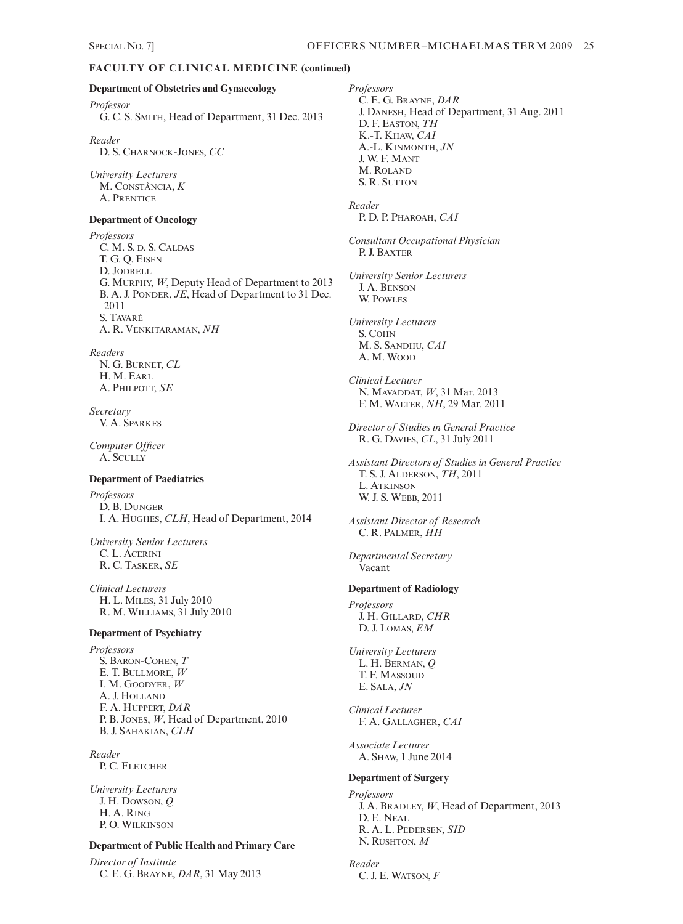# **FACULTY OF CLINICAL MEDICINE (continued)**

#### **Department of Obstetrics and Gynaecology**

*Professor* G. C. S. SMITH, Head of Department, 31 Dec. 2013

*Reader* D. S. CHARNOCK-JONES, *CC*

*University Lecturers* M. CONSTÂNCIA, *K* A. PRENTICE

#### **Department of Oncology**

*Professors* C. M. S. D. S. CALDAS T. G. Q. EISEN D. JODRELL G. MURPHY, *W*, Deputy Head of Department to 2013 B. A. J. PONDER, *JE*, Head of Department to 31 Dec. 2011 S. TAVARÉ A. R. VENKITARAMAN, *NH*

# *Readers*

N. G. BURNET, *CL*  H. M. EARL A. PHILPOTT, *SE*

*Secretary* V. A. SPARKES

*Computer Officer* A. SCULLY

#### **Department of Paediatrics**

*Professors* D. B. DUNGER I. A. HUGHES, *CLH*, Head of Department, 2014

*University Senior Lecturers* C. L. ACERINI R. C. TASKER, *SE*

*Clinical Lecturers* H. L. MILES, 31 July 2010 R. M. WILLIAMS, 31 July 2010

#### **Department of Psychiatry**

*Professors* S. BARON-COHEN, *T* E. T. BULLMORE, *W* I. M. GOODYER, *W* A. J. HOLLAND F. A. HUPPERT, *DAR* P. B. JONES, *W*, Head of Department, 2010 B. J. SAHAKIAN, *CLH*

*Reader* P. C. FLETCHER

*University Lecturers* J. H. DOWSON, *Q* H. A. RING P. O. WILKINSON

#### **Department of Public Health and Primary Care**

*Director of Institute* C. E. G. BRAYNE, *DAR*, 31 May 2013 *Professors* C. E. G. BRAYNE, *DAR* J. DANESH, Head of Department, 31 Aug. 2011 D. F. EASTON, *TH* K.-T. KHAW, *CAI* A.-L. KINMONTH, *JN* J. W. F. MANT M. ROLAND S. R. SUTTON *Reader* P. D. P. PHAROAH, *CAI Consultant Occupational Physician* P. J. BAXTER *University Senior Lecturers* J. A. BENSON W. POWLES *University Lecturers* S. COHN M. S. SANDHU, *CAI* A. M. WOOD *Clinical Lecturer* N. MAVADDAT, *W*, 31 Mar. 2013 F. M. WALTER, *NH*, 29 Mar. 2011 *Director of Studies in General Practice* R. G. DAVIES, *CL*, 31 July 2011 *Assistant Directors of Studies in General Practice* T. S. J. ALDERSON, *TH*, 2011 L. ATKINSON W. J. S. WEBB, 2011 *Assistant Director of Research* C. R. PALMER, *HH Departmental Secretary*  Vacant **Department of Radiology** *Professors* J. H. GILLARD, *CHR* D. J. LOMAS, *EM University Lecturers* L. H. BERMAN, *Q* T. F. MASSOUD E. SALA, *JN Clinical Lecturer* F. A. GALLAGHER, *CAI Associate Lecturer* A. SHAW, 1 June 2014 **Department of Surgery** *Professors* J. A. BRADLEY, *W*, Head of Department, 2013 D. E. NEAL R. A. L. PEDERSEN, *SID* N. RUSHTON, *M*

# *Reader*

C. J. E. WATSON, *F*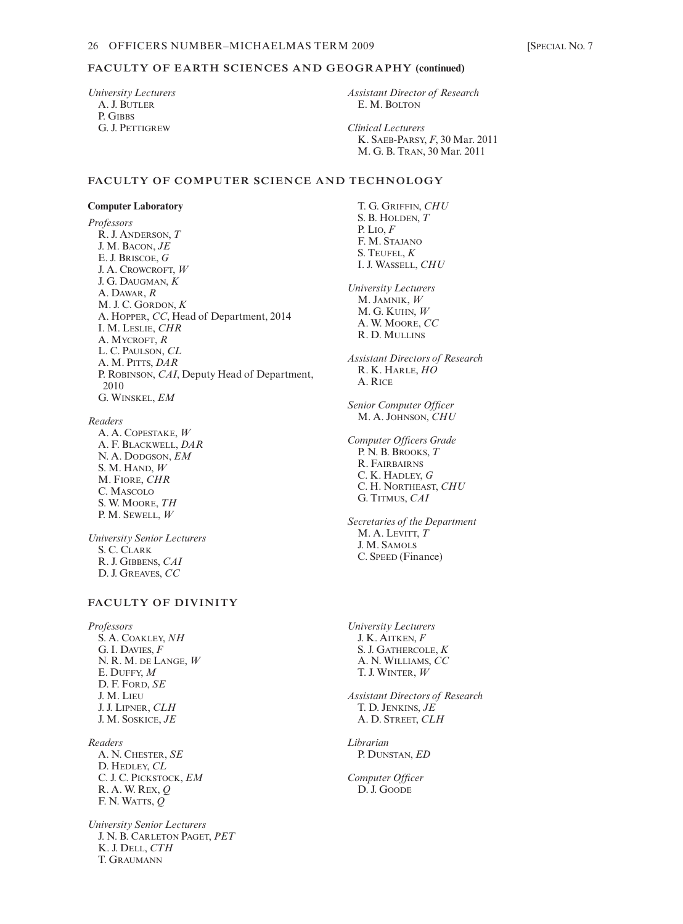# **FACULTY OF EARTH SCIENCES AND GEOGRAPHY (continued)**

*University Lecturers* A. J. BUTLER P. GIBBS G. J. PETTIGREW

*Assistant Director of Research* E. M. BOLTON

*Clinical Lecturers* K. SAEB-PARSY, *F*, 30 Mar. 2011 M. G. B. TRAN, 30 Mar. 2011

### **FACULTY OF COMPUTER SCIENCE AND TECHNOLOGY**

#### **Computer Laboratory**

*Professors* R. J. ANDERSON, *T* J. M. BACON, *JE* E. J. BRISCOE, *G* J. A. CROWCROFT, *W* J. G. DAUGMAN, *K* A. DAWAR, *R* M. J. C. GORDON, *K* A. HOPPER, *CC*, Head of Department, 2014 I. M. LESLIE, *CHR* A. MYCROFT, *R* L. C. PAULSON, *CL* A. M. PITTS, *DAR* P. ROBINSON, *CAI*, Deputy Head of Department, 2010 G. WINSKEL, *EM*

*Readers*

A. A. COPESTAKE, *W* A. F. BLACKWELL, *DAR* N. A. DODGSON, *EM* S. M. HAND, *W* M. FIORE, *CHR* C. MASCOLO S. W. MOORE, *TH*  P. M. SEWELL, *W*

*University Senior Lecturers* S. C. CLARK R. J. GIBBENS, *CAI* D. J. GREAVES, *CC*

# **FACULTY OF DIVINITY**

*Professors* S. A. COAKLEY, *NH* G. I. DAVIES, *F* N. R. M. DE LANGE, *W* E. DUFFY, *M* D. F. FORD, *SE* J. M. LIEU J. J. LIPNER, *CLH* J. M. SOSKICE, *JE*

*Readers* A. N. CHESTER, *SE* D. HEDLEY, *CL* C. J. C. PICKSTOCK, *EM* R. A. W. REX, *Q* F. N. WATTS, *Q*

*University Senior Lecturers* J. N. B. CARLETON PAGET, *PET* K. J. DELL, *CTH* T. GRAUMANN

T. G. GRIFFIN, *CHU* S. B. HOLDEN, *T* P. LIO, *F* F. M. STAJANO S. TEUFEL, *K* I. J. WASSELL, *CHU University Lecturers* M. JAMNIK, *W* M. G. KUHN, *W* A. W. MOORE, *CC* R. D. MULLINS *Assistant Directors of Research* R. K. HARLE, *HO*  A. RICE *Senior Computer Officer* M. A. JOHNSON, *CHU Computer Officers Grade* P. N. B. BROOKS, *T* R. FAIRBAIRNS C. K. HADLEY, *G* C. H. NORTHEAST, *CHU* G. TITMUS, *CAI Secretaries of the Department* M. A. LEVITT, *T* J. M. SAMOLS C. SPEED (Finance) *University Lecturers* J. K. AITKEN, *F*

S. J. GATHERCOLE, *K* A. N. WILLIAMS, *CC* T. J. WINTER, *W*

*Assistant Directors of Research* T. D. JENKINS, *JE* A. D. STREET, *CLH*

*Librarian* P. DUNSTAN, *ED*

*Computer Officer* D. J. GOODE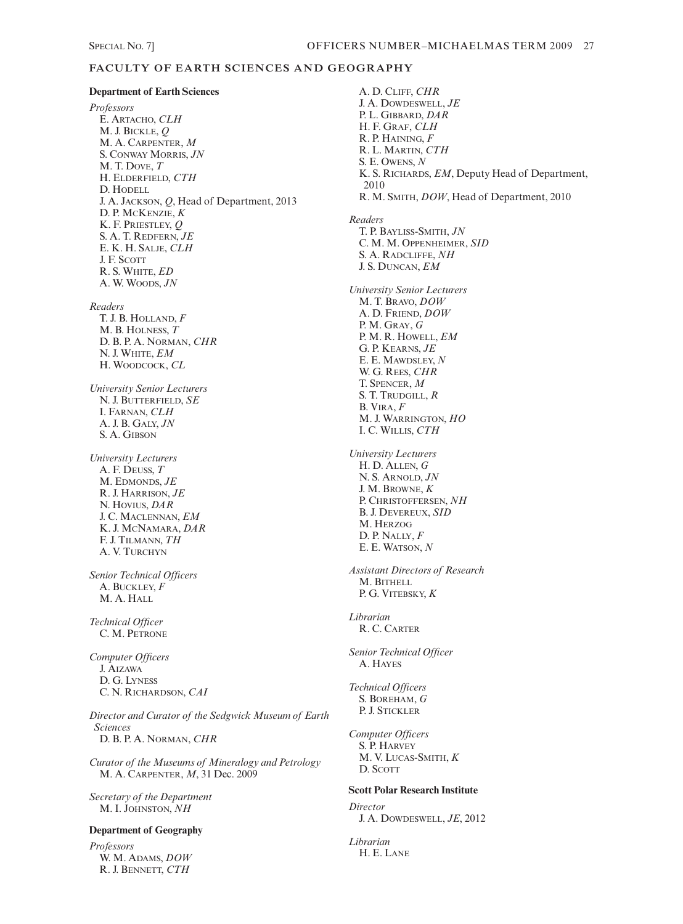## **FACULTY OF EARTH SCIENCES AND GEOGRAPHY**

#### **Department of Earth Sciences**

*Professors* E. ARTACHO, *CLH* M. J. BICKLE, *Q* M. A. CARPENTER, *M* S. CONWAY MORRIS, *JN*  M. T. DOVE, *T* H. ELDERFIELD, *CTH* D. HODELL J. A. JACKSON, *Q*, Head of Department, 2013 D. P. MCKENZIE, *K* K. F. PRIESTLEY, *Q* S. A. T. REDFERN, *JE* E. K. H. SALJE, *CLH* J. F. SCOTT R. S. WHITE, *ED* A. W. WOODS, *JN*

*Readers*

T. J. B. HOLLAND, *F* M. B. HOLNESS, *T* D. B. P. A. NORMAN, *CHR* N. J. WHITE, *EM* H. WOODCOCK, *CL*

*University Senior Lecturers* N. J. BUTTERFIELD, *SE* I. FARNAN, *CLH* A. J. B. GALY, *JN* S. A. GIBSON

*University Lecturers* A. F. DEUSS, *T* M. EDMONDS, *JE* R. J. HARRISON, *JE* N. HOVIUS, *DAR* J. C. MACLENNAN, *EM* K. J. MCNAMARA, *DAR* F. J. TILMANN, *TH* A. V. TURCHYN

*Senior Technical Officers* A. BUCKLEY, *F* M. A. HALL

*Technical Officer* C. M. PETRONE

*Computer Officers* J. AIZAWA D. G. LYNESS C. N. RICHARDSON, *CAI*

*Director and Curator of the Sedgwick Museum of Earth Sciences* D. B. P. A. NORMAN, *CHR*

*Curator of the Museums of Mineralogy and Petrology* M. A. CARPENTER, *M*, 31 Dec. 2009

*Secretary of the Department* M. I. JOHNSTON, *NH*

#### **Department of Geography**

*Professors* W. M. ADAMS, *DOW* R. J. BENNETT, *CTH*

A. D. CLIFF, *CHR* J. A. DOWDESWELL, *JE* P. L. GIBBARD, *DAR* H. F. GRAF, *CLH* R. P. HAINING, *F* R. L. MARTIN, *CTH* S. E. OWENS, *N* K. S. RICHARDS, *EM*, Deputy Head of Department, 2010 R. M. SMITH, *DOW*, Head of Department, 2010 *Readers* T. P. BAYLISS-SMITH, *JN* C. M. M. OPPENHEIMER, *SID* S. A. RADCLIFFE, *NH*  J. S. DUNCAN, *EM University Senior Lecturers* M. T. BRAVO, *DOW* A. D. FRIEND, *DOW* P. M. GRAY, *G* P. M. R. HOWELL, *EM* G. P. KEARNS, *JE* E. E. MAWDSLEY, *N* W. G. REES, *CHR* T. SPENCER, *M* S. T. TRUDGILL, *R* B. VIRA, *F* M. J. WARRINGTON, *HO* I. C. WILLIS, *CTH University Lecturers* H. D. ALLEN, *G* N. S. ARNOLD, *JN* J. M. BROWNE, *K* P. CHRISTOFFERSEN, *NH* B. J. DEVEREUX, *SID* M. HERZOG D. P. NALLY, *F* E. E. WATSON, *N Assistant Directors of Research* M. BITHELL P. G. VITEBSKY, *K Librarian* R. C. CARTER *Senior Technical Officer* A. HAYES *Technical Officers* S. BOREHAM, *G* P. J. STICKLER *Computer Officers* S. P. HARVEY M. V. LUCAS-SMITH, *K* D. SCOTT **Scott Polar Research Institute** *Director* J. A. DOWDESWELL, *JE*, 2012 *Librarian* H. E. LANE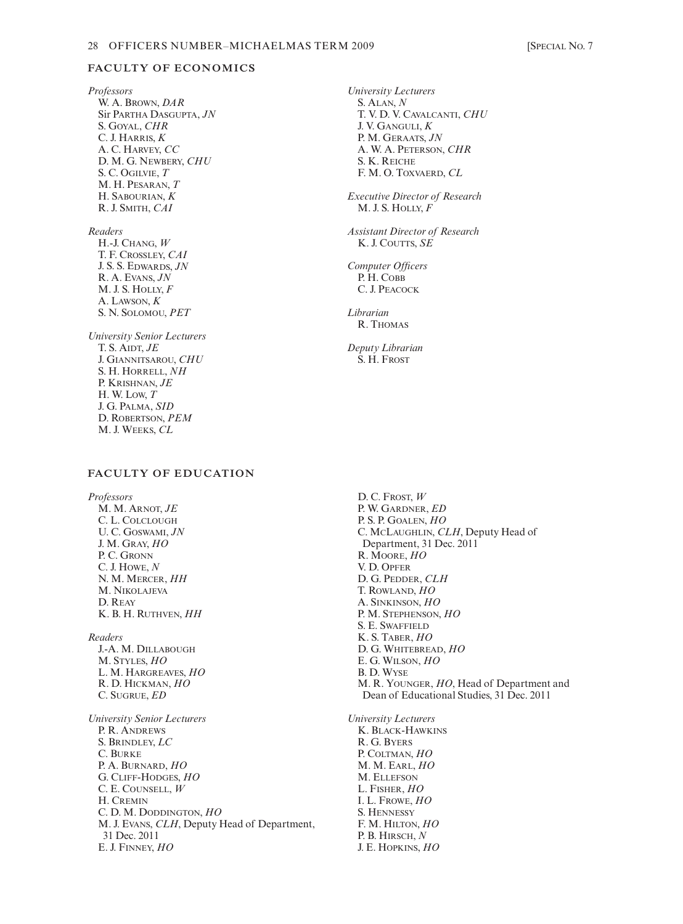#### 28 OFFICERS NUMBER-MICHAELMAS TERM 2009 [SPECIAL No. 7]

# **FACULTY OF ECONOMICS**

*Professors* W. A. BROWN, *DAR* Sir PARTHA DASGUPTA, *JN* S. GOYAL, *CHR* C. J. HARRIS, *K* A. C. HARVEY, *CC* D. M. G. NEWBERY, *CHU* S. C. OGILVIE, *T* M. H. PESARAN, *T* H. SABOURIAN, *K* R. J. SMITH, *CAI*

*Readers*

H.-J. CHANG, *W* T. F. CROSSLEY, *CAI* J. S. S. EDWARDS, *JN* R. A. EVANS, *JN* M. J. S. HOLLY, *F* A. LAWSON, *K* S. N. SOLOMOU, *PET*

*University Senior Lecturers* T. S. AIDT, *JE* J. GIANNITSAROU, *CHU* S. H. HORRELL, *NH* P. KRISHNAN, *JE* H. W. LOW, *T* J. G. PALMA, *SID* D. ROBERTSON, *PEM* M. J. WEEKS, *CL*

## **FACULTY OF EDUCATION**

*Professors* M. M. ARNOT, *JE* C. L. COLCLOUGH U. C. GOSWAMI, *JN* J. M. GRAY, *HO* P. C. GRONN C. J. HOWE, *N* N. M. MERCER, *HH* M. NIKOLAJEVA D. REAY K. B. H. RUTHVEN, *HH*

*Readers* J.-A. M. DILLABOUGH M. STYLES, *HO* L. M. HARGREAVES, *HO* R. D. HICKMAN, *HO* C. SUGRUE, *ED*

*University Senior Lecturers* P. R. ANDREWS S. BRINDLEY, *LC* C. BURKE P. A. BURNARD, *HO* G. CLIFF-HODGES, *HO* C. E. COUNSELL, *W* H. CREMIN C. D. M. DODDINGTON, *HO* M. J. EVANS, *CLH*, Deputy Head of Department, 31 Dec. 2011 E. J. FINNEY, *HO*

*University Lecturers* S. ALAN, *N* T. V. D. V. CAVALCANTI, *CHU* J. V. GANGULI, *K* P. M. GERAATS, *JN* A. W. A. PETERSON, *CHR* S. K. REICHE F. M. O. TOXVAERD, *CL*

*Executive Director of Research*  M. J. S. HOLLY, *F*

*Assistant Director of Research* K. J. COUTTS, *SE*

*Computer Officers* P. H. COBB C. J. PEACOCK

*Librarian* R. THOMAS

*Deputy Librarian* S. H. FROST

D. C. FROST, *W* P. W. GARDNER, *ED* P. S. P. GOALEN, *HO* C. MCLAUGHLIN, *CLH*, Deputy Head of Department, 31 Dec. 2011 R. MOORE, *HO* V. D. OPFER D. G. PEDDER, *CLH* T. ROWLAND, *HO* A. SINKINSON, *HO* P. M. STEPHENSON, *HO* S. E. SWAFFIELD K. S. TABER, *HO* D. G. WHITEBREAD, *HO* E. G. WILSON, *HO* B. D. WYSE M. R. YOUNGER, *HO*, Head of Department and Dean of Educational Studies, 31 Dec. 2011 *University Lecturers*

K. BLACK-HAWKINS R. G. BYERS P. COLTMAN, *HO* M. M. EARL, *HO* M. ELLEFSON L. FISHER, *HO* I. L. FROWE, *HO* S. HENNESSY F. M. HILTON, *HO* P. B. HIRSCH, *N* J. E. HOPKINS, *HO*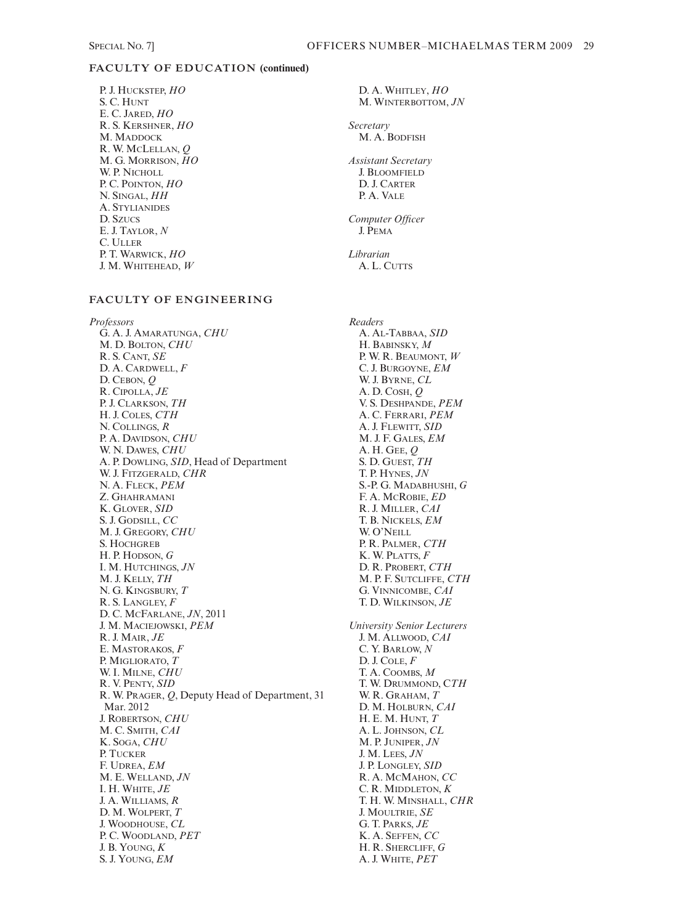# **FACULTY OF EDUCATION (continued)**

P. J. HUCKSTEP, *HO* S. C. HUNT E. C. JARED, *HO* R. S. KERSHNER, *HO* M. MADDOCK R. W. MCLELLAN, *Q* M. G. MORRISON, *HO* W. P. NICHOLL P. C. POINTON, *HO* N. SINGAL, *HH* A. STYLIANIDES D. SZUCS E. J. TAYLOR, *N* C. ULLER P. T. WARWICK, *HO* J. M. WHITEHEAD, *W*

# **FACULTY OF ENGINEERING**

*Professors* G. A. J. AMARATUNGA, *CHU* M. D. BOLTON, *CHU* R. S. CANT, *SE* D. A. CARDWELL, *F* D. CEBON, *Q* R. CIPOLLA, *JE* P. J. CLARKSON, *TH* H. J. COLES, *CTH* N. COLLINGS, *R* P. A. DAVIDSON, *CHU* W. N. DAWES, *CHU* A. P. DOWLING, *SID*, Head of Department W. J. FITZGERALD, *CHR* N. A. FLECK, *PEM* Z. GHAHRAMANI K. GLOVER, *SID* S. J. GODSILL, *CC* M. J. GREGORY, *CHU* S. HOCHGREB H. P. HODSON, *G* I. M. HUTCHINGS, *JN* M. J. KELLY, *TH* N. G. KINGSBURY, *T* R. S. LANGLEY, *F* D. C. MCFARLANE, *JN*, 2011 J. M. MACIEJOWSKI, *PEM* R. J. MAIR, *JE* E. MASTORAKOS, *F* P. MIGLIORATO, *T* W. I. MILNE, *CHU* R. V. PENTY, *SID* R. W. PRAGER, *Q*, Deputy Head of Department, 31 Mar. 2012 J. ROBERTSON, *CHU* M. C. SMITH, *CAI* K. SOGA, *CHU* P. TUCKER F. UDREA, *EM* M. E. WELLAND, *JN* I. H. WHITE, *JE* J. A. WILLIAMS, *R* D. M. WOLPERT, *T* J. WOODHOUSE, *CL* P. C. WOODLAND, *PET* J. B. YOUNG, *K* S. J. YOUNG, *EM*

D. A. WHITLEY, *HO* M. WINTERBOTTOM, *JN Secretary* M. A. BODFISH *Assistant Secretary* J. BLOOMFIELD D. J. CARTER P. A. VALE *Computer Officer* J. PEMA *Librarian* A. L. CUTTS *Readers* A. AL-TABBAA, *SID* H. BABINSKY, *M* P. W. R. BEAUMONT, *W* C. J. BURGOYNE, *EM* W. J. BYRNE, *CL* A. D. COSH, *Q* V. S. DESHPANDE, *PEM* A. C. FERRARI, *PEM* A. J. FLEWITT, *SID* M. J. F. GALES, *EM* A. H. GEE, *Q* S. D. GUEST, *TH* T. P. HYNES, *JN* S.-P. G. MADABHUSHI, *G* F. A. MCROBIE, *ED* R. J. MILLER, *CAI* T. B. NICKELS, *EM* W. O'NEILL P. R. PALMER, *CTH* K. W. PLATTS, *F* D. R. PROBERT, *CTH* M. P. F. SUTCLIFFE, *CTH* G. VINNICOMBE, *CAI*  T. D. WILKINSON, *JE University Senior Lecturers* J. M. ALLWOOD, *CAI* C. Y. BARLOW, *N* D. J. COLE, *F* T. A. COOMBS, *M* T. W. DRUMMOND, C*TH* W. R. GRAHAM, *T* D. M. HOLBURN, *CAI* H. E. M. HUNT, *T* A. L. JOHNSON, *CL* M. P. JUNIPER, *JN* J. M. LEES, *JN* J. P. LONGLEY, *SID* R. A. MCMAHON, *CC* C. R. MIDDLETON, *K* T. H. W. MINSHALL, *CHR* J. MOULTRIE, *SE* G. T. PARKS, *JE* K. A. SEFFEN, *CC* H. R. SHERCLIFF, *G*

A. J. WHITE, *PET*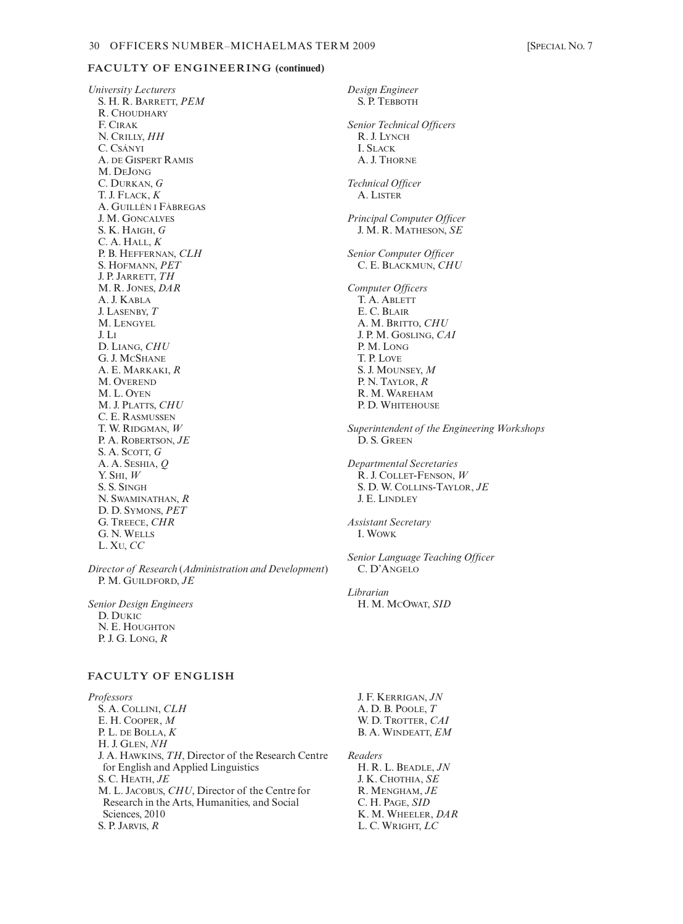#### **FACULTY OF ENGINEERING (continued)**

*University Lecturers* S. H. R. BARRETT, *PEM* R. CHOUDHARY F. CIRAK N. CRILLY, *HH* C. CSÁNYI A. DE GISPERT RAMIS M. DEJONG C. DURKAN, *G* T. J. FLACK, *K* A. GUILLÉN I FÀBREGAS J. M. GONCALVES S. K. HAIGH, *G* C. A. HALL, *K* P. B. HEFFERNAN, *CLH* S. HOFMANN, *PET* J. P. JARRETT, *TH* M. R. JONES, *DAR* A. J. KABLA J. LASENBY, *T* M. LENGYEL J. LI D. LIANG, *CHU* G. J. MCSHANE A. E. MARKAKI, *R* M. OVEREND M. L. OYEN M. J. PLATTS, *CHU* C. E. RASMUSSEN T. W. RIDGMAN, *W* P. A. ROBERTSON, *JE* S. A. SCOTT, *G* A. A. SESHIA, *Q* Y. SHI, *W* S. S. SINGH N. SWAMINATHAN, *R* D. D. SYMONS, *PET* G. TREECE, *CHR* G. N. WELLS L. XU, *CC*

*Director of Research* (*Administration and Development*) P. M. GUILDFORD, *JE*

*Senior Design Engineers* D. DUKIC N. E. HOUGHTON P. J. G. LONG, *R*

# **FACULTY OF ENGLISH**

*Professors* S. A. COLLINI, *CLH* E. H. COOPER, *M* P. L. DE BOLLA, *K* H. J. GLEN, *NH* J. A. HAWKINS, *TH*, Director of the Research Centre for English and Applied Linguistics S. C. HEATH, *JE* M. L. JACOBUS, *CHU*, Director of the Centre for Research in the Arts, Humanities, and Social Sciences, 2010 S. P. JARVIS, *R*

*Design Engineer* S. P. TEBBOTH *Senior Technical Officers* R. J. LYNCH I. SLACK A. J. THORNE *Technical Officer* A. LISTER *Principal Computer Officer* J. M. R. MATHESON, *SE Senior Computer Officer* C. E. BLACKMUN, *CHU Computer Officers* T. A. ABLETT E. C. BLAIR A. M. BRITTO, *CHU* J. P. M. GOSLING, *CAI* P. M. LONG T. P. LOVE S. J. MOUNSEY, *M* P. N. TAYLOR, *R* R. M. WAREHAM P. D. WHITEHOUSE *Superintendent of the Engineering Workshops* D. S. GREEN *Departmental Secretaries* R. J. COLLET-FENSON, *W* S. D. W. COLLINS-TAYLOR, *JE*  J. E. LINDLEY *Assistant Secretary* I. WOWK *Senior Language Teaching Officer* C. D'ANGELO *Librarian* H. M. MCOWAT, *SID*

J. F. KERRIGAN, *JN* A. D. B. POOLE, *T* W. D. TROTTER, *CAI* B. A. WINDEATT, *EM*

*Readers* H. R. L. BEADLE, *JN* J. K. CHOTHIA, *SE* R. MENGHAM, *JE* C. H. PAGE, *SID* K. M. WHEELER, *DAR* L. C. WRIGHT, *LC*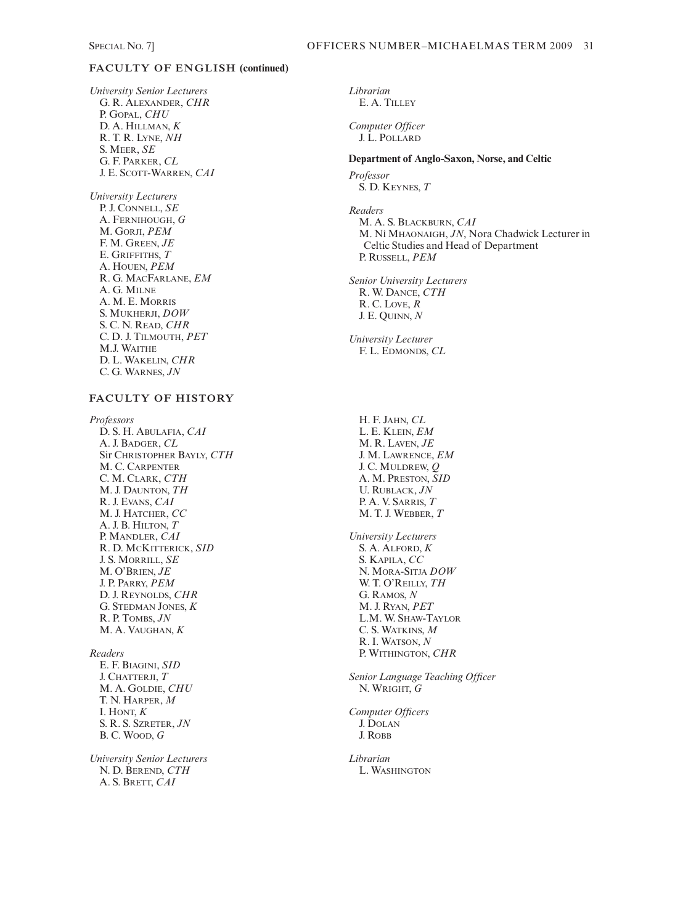# **FACULTY OF ENGLISH (continued)**

*University Senior Lecturers* G. R. ALEXANDER, *CHR* P. GOPAL, *CHU* D. A. HILLMAN, *K* R. T. R. LYNE, *NH* S. MEER, *SE* G. F. PARKER, *CL* J. E. SCOTT-WARREN, *CAI*

*University Lecturers* P. J. CONNELL, *SE* A. FERNIHOUGH, *G* M. GORJI, *PEM* F. M. GREEN, *JE* E. GRIFFITHS, *T* A. HOUEN, *PEM* R. G. MACFARLANE, *EM* A. G. MILNE A. M. E. MORRIS S. MUKHERJI, *DOW* S. C. N. READ, *CHR* C. D. J. TILMOUTH, *PET* M.J. WAITHE D. L. WAKELIN, *CHR* C. G. WARNES, *JN*

# **FACULTY OF HISTORY**

*Professors* D. S. H. ABULAFIA, *CAI* A. J. BADGER, *CL* Sir CHRISTOPHER BAYLY, *CTH* M. C. CARPENTER C. M. CLARK, *CTH* M. J. DAUNTON, *TH* R. J. EVANS, *CAI* M. J. HATCHER, *CC* A. J. B. HILTON, *T* P. MANDLER, *CAI* R. D. MCKITTERICK, *SID* J. S. MORRILL, *SE* M. O'BRIEN, *JE* J. P. PARRY, *PEM* D. J. REYNOLDS, *CHR* G. STEDMAN JONES, *K* R. P. TOMBS, *JN* M. A. VAUGHAN, *K Readers*

E. F. BIAGINI, *SID* J. CHATTERJI, *T* M. A. GOLDIE, *CHU* T. N. HARPER, *M* I. HONT, *K* S. R. S. SZRETER, *JN* B. C. WOOD, *G*

*University Senior Lecturers* N. D. BEREND, *CTH* A. S. BRETT, *CAI*

*Librarian* E. A. TILLEY

*Computer Officer* J. L. POLLARD

**Department of Anglo-Saxon, Norse, and Celtic** *Professor* S. D. KEYNES, *T*

*Readers* M. A. S. BLACKBURN, *CAI* M. NÍ MHAONAIGH, *JN*, Nora Chadwick Lecturer in Celtic Studies and Head of Department P. RUSSELL, *PEM*

*Senior University Lecturers* R. W. DANCE, *CTH* R. C. LOVE, *R* J. E. QUINN, *N*

*University Lecturer* F. L. EDMONDS, *CL*

H. F. JAHN, *CL* L. E. KLEIN, *EM* M. R. LAVEN, *JE* J. M. LAWRENCE, *EM* J. C. MULDREW, *Q* A. M. PRESTON, *SID* U. RUBLACK, *JN* P. A. V. SARRIS, *T* M. T. J. WEBBER, *T*

*University Lecturers* S. A. ALFORD, *K* S. KAPILA, *CC* N. MORA-SITJA *DOW* W. T. O'REILLY, *TH* G. RAMOS, *N* M. J. RYAN, *PET* L.M. W. SHAW-TAYLOR C. S. WATKINS, *M* R. I. WATSON, *N* P. WITHINGTON, *CHR*

*Senior Language Teaching Officer* N. WRIGHT, *G*

*Computer Officers* J. DOLAN J. ROBB

*Librarian* L. WASHINGTON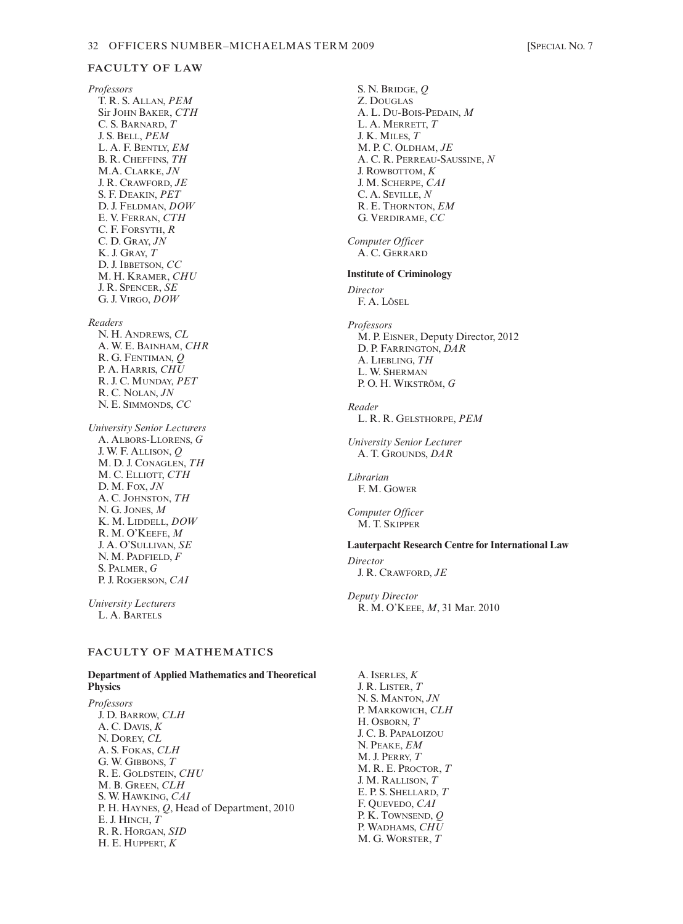#### **FACULTY OF LAW**

*Professors* T. R. S. ALLAN, *PEM* Sir JOHN BAKER, *CTH* C. S. BARNARD, *T* J. S. BELL, *PEM* L. A. F. BENTLY, *EM* B. R. CHEFFINS, *TH* M.A. CLARKE, *JN* J. R. CRAWFORD, *JE* S. F. DEAKIN, *PET* D. J. FELDMAN, *DOW* E. V. FERRAN, *CTH* C. F. FORSYTH, *R* C. D. GRAY, *JN* K. J. GRAY, *T* D. J. IBBETSON, *CC* M. H. KRAMER, *CHU* J. R. SPENCER, *SE* G. J. VIRGO, *DOW*

#### *Readers*

- N. H. ANDREWS, *CL* A. W. E. BAINHAM, *CHR* R. G. FENTIMAN, *Q* P. A. HARRIS, *CHU* R. J. C. MUNDAY, *PET* R. C. NOLAN, *JN* N. E. SIMMONDS, *CC*
- *University Senior Lecturers* A. ALBORS-LLORENS, *G* J. W. F. ALLISON, *Q* M. D. J. CONAGLEN, *TH* M. C. ELLIOTT, *CTH* D. M. FOX, *JN* A. C. JOHNSTON, *TH* N. G. JONES, *M* K. M. LIDDELL, *DOW* R. M. O'KEEFE, *M* J. A. O'SULLIVAN, *SE* N. M. PADFIELD, *F* S. PALMER, *G* P. J. ROGERSON, *CAI*

*University Lecturers* L. A. BARTELS

# **FACULTY OF MATHEMATICS**

#### **Department of Applied Mathematics and Theoretical Physics**

*Professors* J. D. BARROW, *CLH* A. C. DAVIS, *K* N. DOREY, *CL* A. S. FOKAS, *CLH* G. W. GIBBONS, *T* R. E. GOLDSTEIN, *CHU* M. B. GREEN, *CLH* S. W. HAWKING, *CAI* P. H. HAYNES, *Q*, Head of Department, 2010 E. J. HINCH, *T* R. R. HORGAN, *SID* H. E. HUPPERT, *K*

S. N. BRIDGE, *Q* Z. DOUGLAS A. L. DU-BOIS-PEDAIN, *M* L. A. MERRETT, *T* J. K. MILES, *T* M. P. C. OLDHAM, *JE* A. C. R. PERREAU-SAUSSINE, *N* J. ROWBOTTOM, *K* J. M. SCHERPE, *CAI* C. A. SEVILLE, *N* R. E. THORNTON, *EM* G. VERDIRAME, *CC Computer Officer* A. C. GERRARD **Institute of Criminology** *Director* F. A. LÖSEL *Professors* M. P. EISNER, Deputy Director, 2012 D. P. FARRINGTON, *DAR* A. LIEBLING, *TH* L. W. SHERMAN P. O. H. WIKSTRÖM, *G Reader* L. R. R. GELSTHORPE, *PEM University Senior Lecturer* A. T. GROUNDS, *DAR Librarian* F. M. GOWER *Computer Officer* M. T. SKIPPER **Lauterpacht Research Centre for International Law** *Director* J. R. CRAWFORD, *JE Deputy Director* R. M. O'KEEE, *M*, 31 Mar. 2010

A. ISERLES, *K* J. R. LISTER, *T* N. S. MANTON, *JN* P. MARKOWICH, *CLH* H. OSBORN, *T* J. C. B. PAPALOIZOU N. PEAKE, *EM* M. J. PERRY, *T* M. R. E. PROCTOR, *T* J. M. RALLISON, *T* E. P. S. SHELLARD, *T* F. QUEVEDO, *CAI* P. K. TOWNSEND, *Q* P. WADHAMS, *CHU* M. G. WORSTER, *T*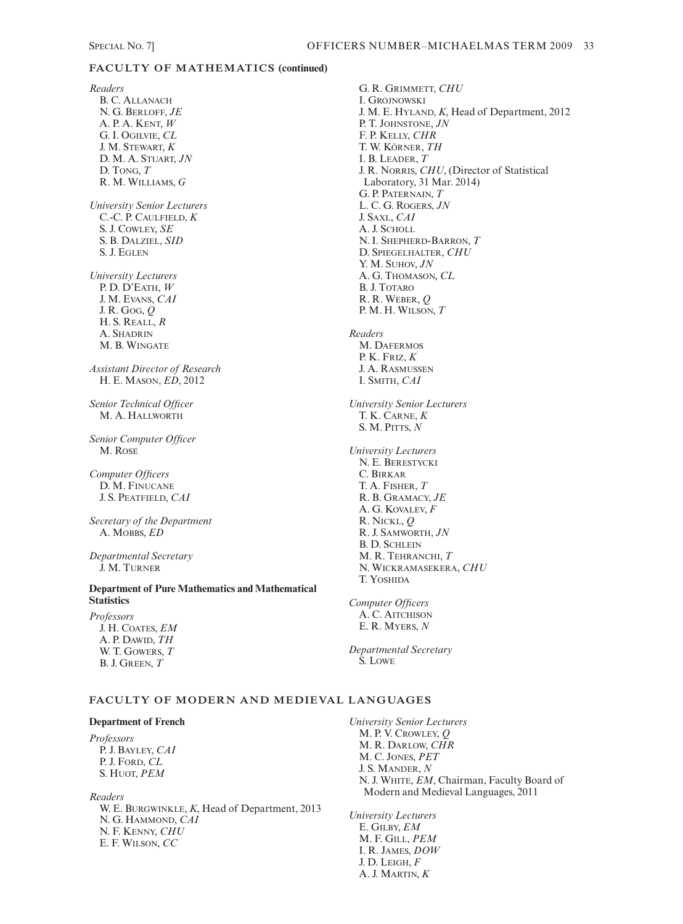# **FACULTY OF MATHEMATICS (continued)**

*Readers* B. C. ALLANACH N. G. BERLOFF, *JE* A. P. A. KENT, *W* G. I. OGILVIE, *CL* J. M. STEWART, *K* D. M. A. STUART, *JN* D. TONG, *T* R. M. WILLIAMS, *G University Senior Lecturers* C.-C. P. CAULFIELD, *K* S. J. COWLEY, *SE* S. B. DALZIEL, *SID* S. J. EGLEN *University Lecturers* P. D. D'EATH, *W* J. M. EVANS, *CAI* J. R. GOG, *Q* H. S. REALL, *R* A. SHADRIN M. B. WINGATE *Assistant Director of Research* H. E. MASON, *ED*, 2012 *Senior Technical Officer* M. A. HALLWORTH *Senior Computer Officer* M. ROSE *Computer Officers* D. M. FINUCANE J. S. PEATFIELD, *CAI Secretary of the Department* A. MOBBS, *ED Departmental Secretary* J. M. TURNER **Department of Pure Mathematics and Mathematical Statistics** *Professors* J. H. COATES, *EM* A. P. DAWID, *TH* W. T. GOWERS, *T* B. J. GREEN, *T* **Department of French** *Professors*

*Readers* W. E. BURGWINKLE, *K*, Head of Department, 2013 N. G. HAMMOND, *CAI* N. F. KENNY, *CHU* E. F. WILSON, *CC*

P. J. BAYLEY, *CAI* P. J. FORD, *CL* S. HUOT, *PEM*

G. R. GRIMMETT, *CHU* I. GROJNOWSKI J. M. E. HYLAND, *K*, Head of Department, 2012 P. T. JOHNSTONE, *JN* F. P. KELLY, *CHR* T. W. KÖRNER, *TH* I. B. LEADER, *T* J. R. NORRIS, *CHU*, (Director of Statistical Laboratory, 31 Mar. 2014) G. P. PATERNAIN, *T* L. C. G. ROGERS, *JN* J. SAXL, *CAI* A. J. SCHOLL N. I. SHEPHERD-BARRON, *T* D. SPIEGELHALTER, *CHU* Y. M. SUHOV, *JN* A. G. THOMASON, *CL* B. J. TOTARO R. R. WEBER, *Q* P. M. H. WILSON, *T Readers* M. DAFERMOS P. K. FRIZ, *K* J. A. RASMUSSEN I. SMITH, *CAI University Senior Lecturers* T. K. CARNE, *K* S. M. PITTS, *N University Lecturers* N. E. BERESTYCKI C. BIRKAR T. A. FISHER, *T* R. B. GRAMACY, *JE* A. G. KOVALEV, *F* R. NICKL, *Q* R. J. SAMWORTH, *JN* B. D. SCHLEIN M. R. TEHRANCHI, *T* N. WICKRAMASEKERA, *CHU* T. YOSHIDA *Computer Officers* A. C. AITCHISON E. R. MYERS, *N Departmental Secretary*

S. LOWE

**FACULTY OF MODERN AND MEDIEVAL LANGUAGES**

*University Senior Lecturers* M. P. V. CROWLEY, *Q* M. R. DARLOW, *CHR* M. C. JONES, *PET* J. S. MANDER, *N* N. J. WHITE, *EM*, Chairman, Faculty Board of Modern and Medieval Languages, 2011

*University Lecturers* E. GILBY, *EM* M. F. GILL, *PEM* I. R. JAMES, *DOW* J. D. LEIGH, *F* A. J. MARTIN, *K*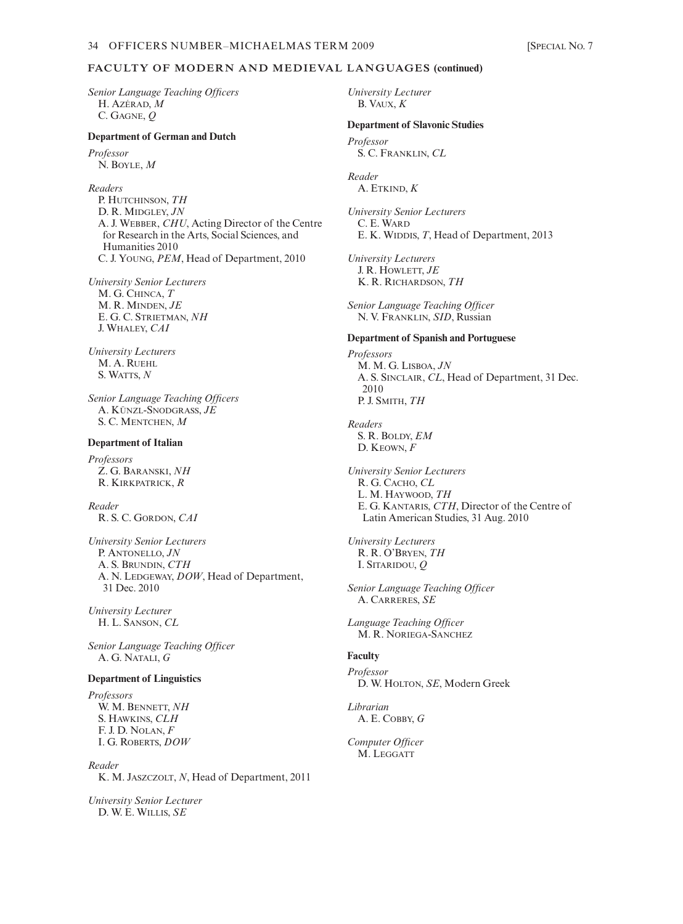# **FACULTY OF MODERN AND MEDIEVAL LANGUAGES (continued)**

*Senior Language Teaching Officers* H. AZÉRAD, *M* C. GAGNE, *Q*

#### **Department of German and Dutch**

*Professor* N. BOYLE, *M*

*Readers* P. HUTCHINSON, *TH* D. R. MIDGLEY, *JN* A. J. WEBBER, *CHU*, Acting Director of the Centre for Research in the Arts, Social Sciences, and Humanities 2010 C. J. YOUNG, *PEM*, Head of Department, 2010

*University Senior Lecturers* M. G. CHINCA, *T* M. R. MINDEN, *JE* E. G. C. STRIETMAN, *NH* J. WHALEY, *CAI*

*University Lecturers* M. A. RUEHL S. WATTS, *N*

*Senior Language Teaching Officers* A. KÜNZL-SNODGRASS, *JE* S. C. MENTCHEN, *M*

#### **Department of Italian**

*Professors* Z. G. BARANSKI, *NH* R. KIRKPATRICK, *R*

*Reader* R. S. C. GORDON, *CAI*

*University Senior Lecturers* P. ANTONELLO, *JN* A. S. BRUNDIN, *CTH* A. N. LEDGEWAY, *DOW*, Head of Department, 31 Dec. 2010

*University Lecturer* H. L. SANSON, *CL*

*Senior Language Teaching Officer* A. G. NATALI, *G*

#### **Department of Linguistics**

*Professors* W. M. BENNETT, *NH* S. HAWKINS, *CLH* F. J. D. NOLAN, *F* I. G. ROBERTS, *DOW*

*Reader* K. M. JASZCZOLT, *N*, Head of Department, 2011

*University Senior Lecturer* D. W. E. WILLIS, *SE*

*University Lecturer* B. VAUX, *K*

#### **Department of Slavonic Studies**

*Professor* S. C. FRANKLIN, *CL*

*Reader* A. ETKIND, *K*

*University Senior Lecturers* C. E. WARD E. K. WIDDIS, *T*, Head of Department, 2013

*University Lecturers* J. R. HOWLETT, *JE* K. R. RICHARDSON, *TH*

*Senior Language Teaching Officer* N. V. FRANKLIN, *SID*, Russian

#### **Department of Spanish and Portuguese**

*Professors* M. M. G. LISBOA, *JN* A. S. SINCLAIR, *CL*, Head of Department, 31 Dec. 2010 P. J. SMITH, *TH*

*Readers* S. R. BOLDY, *EM* D. KEOWN, *F*

*University Senior Lecturers* R. G. CACHO, *CL* L. M. HAYWOOD, *TH* E. G. KANTARIS, *CTH*, Director of the Centre of Latin American Studies, 31 Aug. 2010

*University Lecturers* R. R. O'BRYEN, *TH* I. SITARIDOU, *Q*

*Senior Language Teaching Officer* A. CARRERES, *SE*

*Language Teaching Officer* M. R. NORIEGA-SANCHEZ

# **Faculty**

*Professor* D. W. HOLTON, *SE*, Modern Greek

*Librarian* A. E. COBBY, *G*

*Computer Officer* M. LEGGATT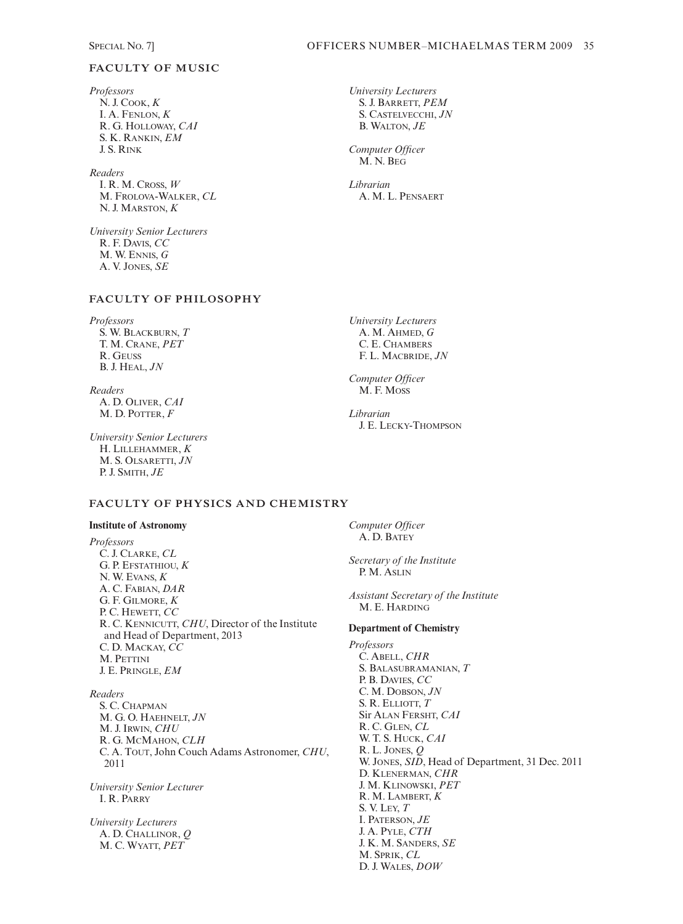# **FACULTY OF MUSIC**

*Professors* N. J. COOK, *K*  I. A. FENLON, *K* R. G. HOLLOWAY, *CAI* S. K. RANKIN, *EM*  J. S. RINK

*Readers* I. R. M. CROSS, *W* M. FROLOVA-WALKER, *CL* N. J. MARSTON, *K*

*University Senior Lecturers* R. F. DAVIS, *CC* M. W. ENNIS, *G* A. V. JONES, *SE*

# **FACULTY OF PHILOSOPHY**

*Professors* S. W. BLACKBURN, *T* T. M. CRANE, *PET* R. GEUSS B. J. HEAL, *JN*

*Readers* A. D. OLIVER, *CAI* M. D. POTTER, *F*

*University Senior Lecturers* H. LILLEHAMMER, *K* M. S. OLSARETTI, *JN* P. J. SMITH, *JE*

# **FACULTY OF PHYSICS AND CHEMISTRY**

#### **Institute of Astronomy**

*Professors* C. J. CLARKE, *CL* G. P. EFSTATHIOU, *K* N. W. EVANS, *K* A. C. FABIAN, *DAR* G. F. GILMORE, *K* P. C. HEWETT, *CC* R. C. KENNICUTT, *CHU*, Director of the Institute and Head of Department, 2013 C. D. MACKAY, *CC* M. PETTINI J. E. PRINGLE, *EM*

### *Readers*

S. C. CHAPMAN M. G. O. HAEHNELT, *JN* M. J. IRWIN, *CHU* R. G. MCMAHON, *CLH*  C. A. TOUT, John Couch Adams Astronomer, *CHU*, 2011

*University Senior Lecturer* I. R. PARRY

*University Lecturers* A. D. CHALLINOR, *Q* M. C. WYATT, *PET*

*University Lecturers* S. J. BARRETT, *PEM* S. CASTELVECCHI, *JN* B. WALTON, *JE*

*Computer Officer* M. N. BEG

*Librarian*  A. M. L. PENSAERT

*University Lecturers* A. M. AHMED, *G* C. E. CHAMBERS F. L. MACBRIDE, *JN*

*Computer Officer* M. F. MOSS

*Librarian* J. E. LECKY-THOMPSON

*Computer Officer* A. D. BATEY

*Secretary of the Institute* P. M. ASLIN

*Assistant Secretary of the Institute* M. E. HARDING

#### **Department of Chemistry**

*Professors* C. ABELL, *CHR* S. BALASUBRAMANIAN, *T* P. B. DAVIES, *CC* C. M. DOBSON, *JN* S. R. ELLIOTT, *T* Sir ALAN FERSHT, *CAI* R. C. GLEN, *CL* W. T. S. HUCK, *CAI* R. L. JONES, *Q* W. JONES, *SID*, Head of Department, 31 Dec. 2011 D. KLENERMAN, *CHR* J. M. KLINOWSKI, *PET* R. M. LAMBERT, *K* S. V. LEY, *T* I. PATERSON, *JE* J. A. PYLE, *CTH* J. K. M. SANDERS, *SE* M. SPRIK, *CL* D. J. WALES, *DOW*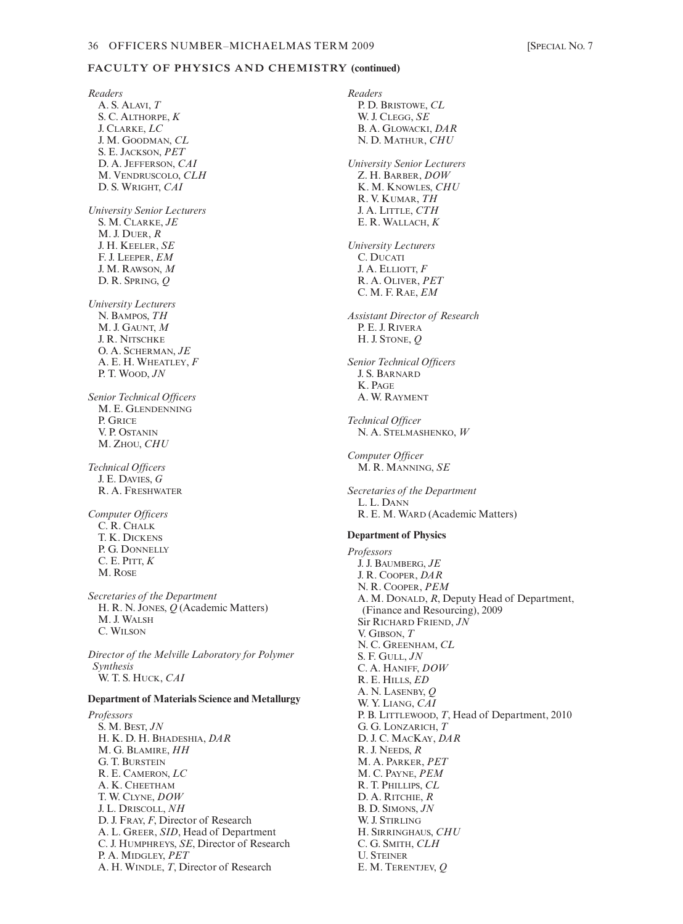# **FACULTY OF PHYSICS AND CHEMISTRY (continued)**

*Readers* A. S. ALAVI, *T* S. C. ALTHORPE, *K* J. CLARKE, *LC* J. M. GOODMAN, *CL* S. E. JACKSON, *PET* D. A. JEFFERSON, *CAI* M. VENDRUSCOLO, *CLH* D. S. WRIGHT, *CAI University Senior Lecturers* S. M. CLARKE, *JE* M. J. DUER, *R* J. H. KEELER, *SE* F. J. LEEPER, *EM* J. M. RAWSON, *M*  D. R. SPRING, *Q University Lecturers* N. BAMPOS, *TH* M. J. GAUNT, *M* J. R. NITSCHKE O. A. SCHERMAN, *JE* A. E. H. WHEATLEY, *F* P. T. WOOD, *JN Senior Technical Officers* M. E. GLENDENNING P. GRICE V. P. OSTANIN M. ZHOU, *CHU Technical Officers* J. E. DAVIES, *G*  R. A. FRESHWATER *Computer Officers* C. R. CHALK T. K. DICKENS P. G. DONNELLY C. E. PITT, *K* M. ROSE *Secretaries of the Department* H. R. N. JONES, *Q* (Academic Matters) M. J. WALSH C. WILSON *Director of the Melville Laboratory for Polymer Synthesis* W. T. S. HUCK, *CAI* **Department of Materials Science and Metallurgy** *Professors* S. M. BEST, *JN* H. K. D. H. BHADESHIA, *DAR* M. G. BLAMIRE, *HH* G. T. BURSTEIN R. E. CAMERON, *LC* A. K. CHEETHAM T. W. CLYNE, *DOW* J. L. DRISCOLL, *NH* D. J. FRAY, *F*, Director of Research A. L. GREER, *SID*, Head of Department C. J. HUMPHREYS, *SE*, Director of Research P. A. MIDGLEY, *PET* A. H. WINDLE, *T*, Director of Research

*Readers* P. D. BRISTOWE, *CL* W. J. CLEGG, *SE* B. A. GLOWACKI, *DAR*  N. D. MATHUR, *CHU University Senior Lecturers* Z. H. BARBER, *DOW* K. M. KNOWLES, *CHU* R. V. KUMAR, *TH* J. A. LITTLE, *CTH* E. R. WALLACH, *K University Lecturers* C. DUCATI J. A. ELLIOTT, *F* R. A. OLIVER, *PET* C. M. F. RAE, *EM Assistant Director of Research* P. E. J. RIVERA H. J. STONE, *Q Senior Technical Officers* J. S. BARNARD K. PAGE A. W. RAYMENT *Technical Officer* N. A. STELMASHENKO, *W Computer Officer* M. R. MANNING, *SE Secretaries of the Department* L. L. DANN R. E. M. WARD (Academic Matters) **Department of Physics** *Professors* J. J. BAUMBERG, *JE* J. R. COOPER, *DAR* N. R. COOPER, *PEM* A. M. DONALD, *R*, Deputy Head of Department, (Finance and Resourcing), 2009 Sir RICHARD FRIEND, *JN* V. GIBSON, *T* N. C. GREENHAM, *CL* S. F. GULL, *JN* C. A. HANIFF, *DOW* R. E. HILLS, *ED* A. N. LASENBY, *Q* W. Y. LIANG, *CAI* P. B. LITTLEWOOD, *T*, Head of Department, 2010 G. G. LONZARICH, *T* D. J. C. MACKAY, *DAR* R. J. NEEDS, *R* M. A. PARKER, *PET* M. C. PAYNE, *PEM* R. T. PHILLIPS, *CL* D. A. RITCHIE, *R* B. D. SIMONS, *JN* W. J. STIRLING H. SIRRINGHAUS, *CHU* C. G. SMITH, *CLH* U. STEINER

E. M. TERENTJEV, *Q*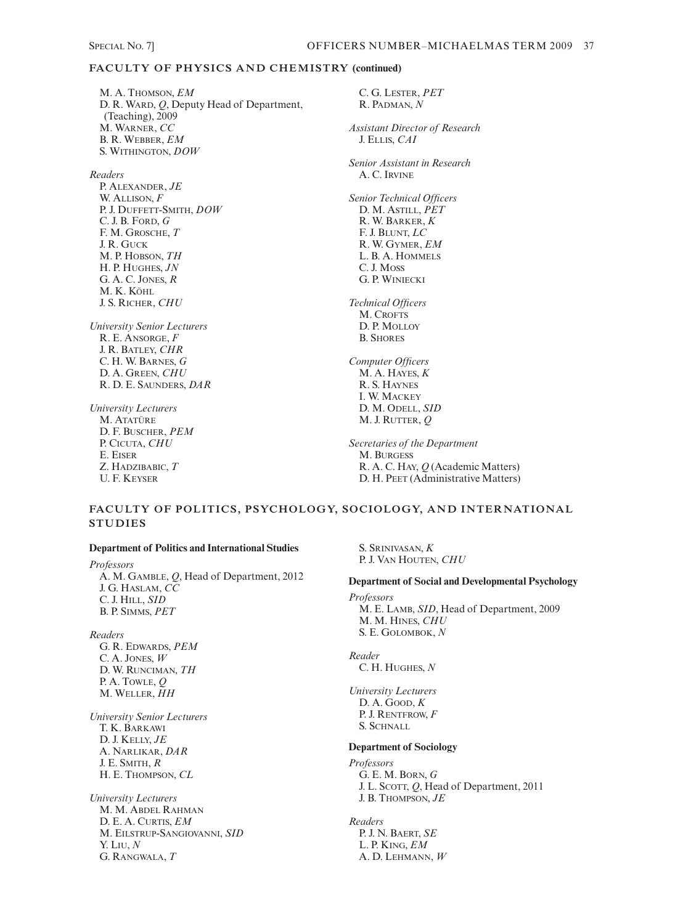# **FACULTY OF PHYSICS AND CHEMISTRY (continued)**

M. A. THOMSON, *EM* D. R. WARD, *Q*, Deputy Head of Department, (Teaching), 2009 M. WARNER, *CC* B. R. WEBBER, *EM* S. WITHINGTON, *DOW*

*Readers*

P. ALEXANDER, *JE* W. ALLISON, *F* P. J. DUFFETT-SMITH, *DOW* C. J. B. FORD, *G* F. M. GROSCHE, *T* J. R. GUCK M. P. HOBSON, *TH* H. P. HUGHES, *JN* G. A. C. JONES, *R* M. K. KÖHL J. S. RICHER, *CHU*

*University Senior Lecturers* R. E. ANSORGE, *F* J. R. BATLEY, *CHR* C. H. W. BARNES, *G* D. A. GREEN, *CHU* R. D. E. SAUNDERS, *DAR*

*University Lecturers* M. ATATÜRE D. F. BUSCHER, *PEM* P. CICUTA, *CHU* E. EISER Z. HADZIBABIC, *T* U. F. KEYSER

C. G. LESTER, *PET* R. PADMAN, *N Assistant Director of Research* J. ELLIS, *CAI Senior Assistant in Research* A. C. IRVINE *Senior Technical Officers* D. M. ASTILL, *PET* R. W. BARKER, *K* F. J. BLUNT, *LC* R. W. GYMER, *EM* L. B. A. HOMMELS C. J. MOSS G. P. WINIECKI *Technical Officers* M. CROFTS D. P. MOLLOY B. SHORES *Computer Officers* M. A. HAYES, *K* R. S. HAYNES I. W. MACKEY D. M. ODELL, *SID* M. J. RUTTER, *Q Secretaries of the Department* M. BURGESS R. A. C. HAY, *Q* (Academic Matters)

# **FACULTY OF POLITICS, PSYCHOLOGY, SOCIOLOGY, AND INTERNATIONAL STUDIES**

#### **Department of Politics and International Studies**

*Professors* A. M. GAMBLE, *Q*, Head of Department, 2012 J. G. HASLAM, *CC* C. J. HILL, *SID* B. P. SIMMS, *PET*

*Readers* G. R. EDWARDS, *PEM* C. A. JONES, *W* D. W. RUNCIMAN, *TH* P. A. TOWLE, *Q* M. WELLER, *HH*

*University Senior Lecturers* T. K. BARKAWI D. J. KELLY, *JE* A. NARLIKAR, *DAR* J. E. SMITH, *R* H. E. THOMPSON, *CL*

*University Lecturers* M. M. ABDEL RAHMAN D. E. A. CURTIS, *EM* M. EILSTRUP-SANGIOVANNI, *SID* Y. LIU, *N* G. RANGWALA, *T*

S. SRINIVASAN, *K* P. J. VAN HOUTEN, *CHU*

# **Department of Social and Developmental Psychology**

D. H. PEET (Administrative Matters)

*Professors* M. E. LAMB, *SID*, Head of Department, 2009 M. M. HINES, *CHU* S. E. GOLOMBOK, *N*

*Reader* C. H. HUGHES, *N*

*University Lecturers* D. A. GOOD, *K* P. J. RENTFROW, *F* S. SCHNALL

#### **Department of Sociology**

*Professors* G. E. M. BORN, *G* J. L. SCOTT, *Q*, Head of Department, 2011 J. B. THOMPSON, *JE*

*Readers* P. J. N. BAERT, *SE* L. P. KING, *EM* A. D. LEHMANN, *W*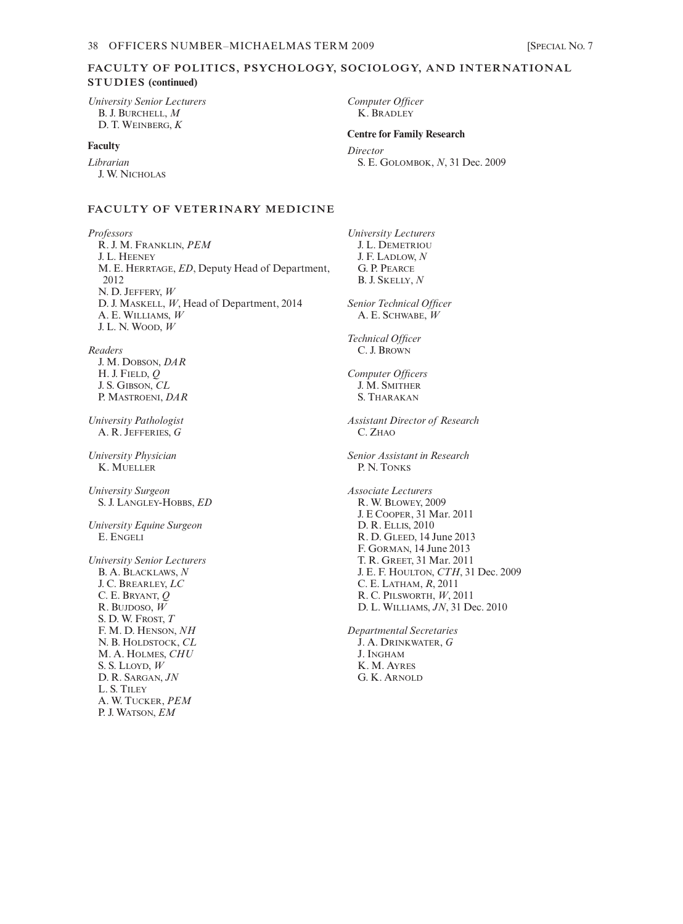# **FACULTY OF POLITICS, PSYCHOLOGY, SOCIOLOGY, AND INTERNATIONAL STUDIES (continued)**

*University Senior Lecturers* B. J. BURCHELL, *M* D. T. WEINBERG, *K*

### **Faculty**

*Librarian* J. W. NICHOLAS

#### **FACULTY OF VETERINARY MEDICINE**

*Professors* R. J. M. FRANKLIN, *PEM* J. L. HEENEY M. E. HERRTAGE, *ED*, Deputy Head of Department, 2012 N. D. JEFFERY, *W* D. J. MASKELL, *W*, Head of Department, 2014 A. E. WILLIAMS, *W* J. L. N. WOOD, *W*

*Readers* J. M. DOBSON, *DAR* H. J. FIELD, *Q* J. S. GIBSON, *CL*  P. MASTROENI, *DAR*

*University Pathologist* A. R. JEFFERIES, *G*

*University Physician* K. MUELLER

*University Surgeon* S. J. LANGLEY-HOBBS, *ED*

*University Equine Surgeon* E. ENGELI

*University Senior Lecturers* B. A. BLACKLAWS, *N* J. C. BREARLEY, *LC* C. E. BRYANT, *Q* R. BUJDOSO, *W* S. D. W. FROST, *T* F. M. D. HENSON, *NH* N. B. HOLDSTOCK, *CL* M. A. HOLMES, *CHU* S. S. LLOYD, *W* D. R. SARGAN, *JN* L. S. TILEY A. W. TUCKER, *PEM* P. J. WATSON, *EM*

*Computer Officer* K. BRADLEY

## **Centre for Family Research**

*Director* S. E. GOLOMBOK, *N*, 31 Dec. 2009

*University Lecturers* J. L. DEMETRIOU J. F. LADLOW, *N* G. P. PEARCE B. J. SKELLY, *N Senior Technical Officer* A. E. SCHWABE, *W Technical Officer* C. J. BROWN *Computer Officers* J. M. SMITHER S. THARAKAN *Assistant Director of Research* C. ZHAO *Senior Assistant in Research* P. N. TONKS *Associate Lecturers* R. W. BLOWEY, 2009 J. E COOPER, 31 Mar. 2011 D. R. ELLIS, 2010 R. D. GLEED, 14 June 2013 F. GORMAN, 14 June 2013 T. R. GREET, 31 Mar. 2011 J. E. F. HOULTON, *CTH*, 31 Dec. 2009 C. E. LATHAM, *R*, 2011 R. C. PILSWORTH, *W*, 2011 D. L. WILLIAMS, *JN*, 31 Dec. 2010

*Departmental Secretaries* J. A. DRINKWATER, *G* J. INGHAM K. M. AYRES G. K. ARNOLD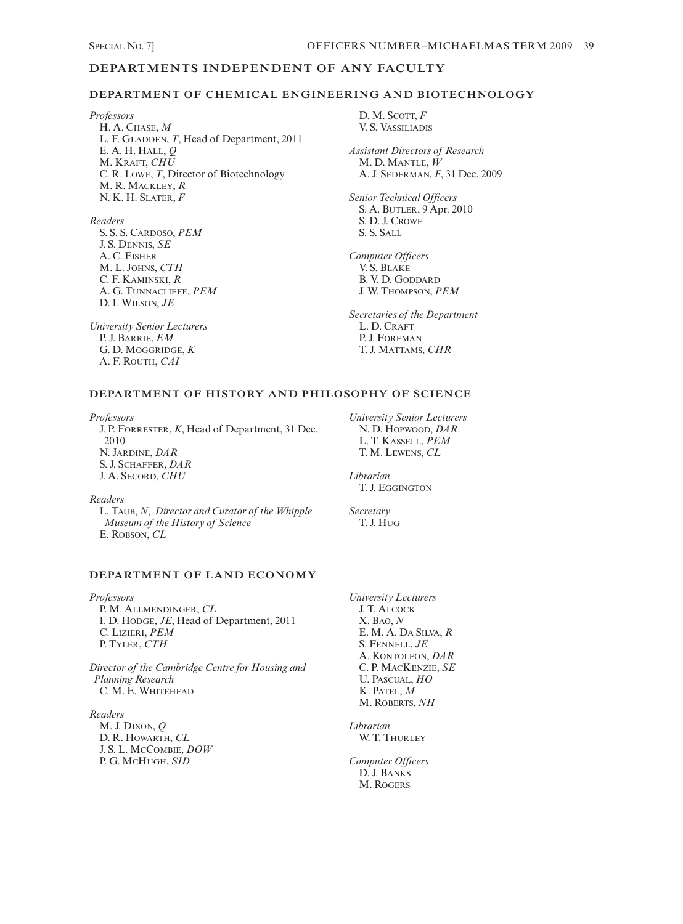# **DEPARTMENTS INDEPENDENT OF ANY FACULTY**

#### **DEPARTMENT OF CHEMICAL ENGINEERING AND BIOTECHNOLOGY**

*Professors* H. A. CHASE, *M* L. F. GLADDEN, *T*, Head of Department, 2011 E. A. H. HALL, *Q* M. KRAFT, *CHU* C. R. LOWE, *T*, Director of Biotechnology M. R. MACKLEY, *R* N. K. H. SLATER, *F*

#### *Readers*

S. S. S. CARDOSO, *PEM* J. S. DENNIS, *SE* A. C. FISHER M. L. JOHNS, *CTH* C. F. KAMINSKI, *R* A. G. TUNNACLIFFE, *PEM* D. I. WILSON, *JE*

*University Senior Lecturers* P. J. BARRIE, *EM* G. D. MOGGRIDGE, *K* A. F. ROUTH, *CAI*

D. M. SCOTT, *F* V. S. VASSILIADIS

*Assistant Directors of Research* M. D. MANTLE, *W* A. J. SEDERMAN, *F*, 31 Dec. 2009

*Senior Technical Officers* S. A. BUTLER, 9 Apr. 2010 S. D. J. CROWE S. S. SALL

*Computer Officers* V. S. BLAKE B. V. D. GODDARD J. W. THOMPSON, *PEM*

*Secretaries of the Department* L. D. CRAFT P. J. FOREMAN T. J. MATTAMS, *CHR*

# **DEPARTMENT OF HISTORY AND PHILOSOPHY OF SCIENCE**

*Professors* J. P. FORRESTER, *K*, Head of Department, 31 Dec. 2010 N. JARDINE, *DAR* S. J. SCHAFFER, *DAR* J. A. SECORD, *CHU*

*University Senior Lecturers* N. D. HOPWOOD, *DAR* L. T. KASSELL, *PEM* T. M. LEWENS, *CL*

*Librarian* T. J. EGGINGTON

*Secretary* T. J. HUG

# *Readers* L. TAUB, *N*, *Director and Curator of the Whipple*

*Museum of the History of Science* E. ROBSON, *CL*

### **DEPARTMENT OF LAND ECONOMY**

*Professors* P. M. ALLMENDINGER, *CL* I. D. HODGE, *JE*, Head of Department, 2011 C. LIZIERI, *PEM* P. TYLER, *CTH*

*Director of the Cambridge Centre for Housing and Planning Research* C. M. E. WHITEHEAD

*Readers*

M. J. DIXON, *Q* D. R. HOWARTH, *CL* J. S. L. MCCOMBIE, *DOW* P. G. MCHUGH, *SID*

*University Lecturers* J. T. ALCOCK X. BAO, *N* E. M. A. DA SILVA, *R* S. FENNELL, *JE* A. KONTOLEON, *DAR* C. P. MACKENZIE, *SE* U. PASCUAL, *HO* K. PATEL, *M* M. ROBERTS, *NH*

*Librarian* W. T. THURLEY

*Computer Officers* D. J. BANKS M. ROGERS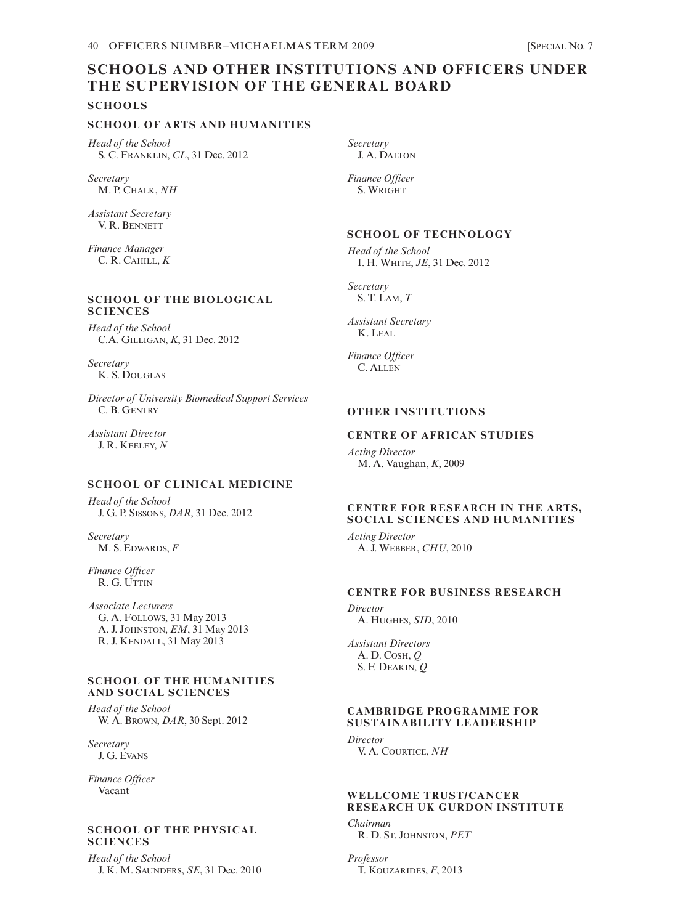# **SCHOOLS AND OTHER INSTITUTIONS AND OFFICERS UNDER THE SUPERVISION OF THE GENERAL BOARD**

**SCHOOLS**

### **SCHOOL OF ARTS AND HUMANITIES**

*Head of the School* S. C. FRANKLIN, *CL*, 31 Dec. 2012

*Secretary* M. P. CHALK, *NH*

*Assistant Secretary* V. R. BENNETT

*Finance Manager* C. R. CAHILL, *K*

# **SCHOOL OF THE BIOLOGICAL SCIENCES**

*Head of the School* C.A. GILLIGAN, *K*, 31 Dec. 2012

*Secretary* K. S. DOUGLAS

*Director of University Biomedical Support Services* C. B. GENTRY

*Assistant Director* J. R. KEELEY, *N*

# **SCHOOL OF CLINICAL MEDICINE**

*Head of the School* J. G. P. SISSONS, *DAR*, 31 Dec. 2012

*Secretary* M. S. EDWARDS, *F*

*Finance Officer* R. G. UTTIN

*Associate Lecturers* G. A. FOLLOWS, 31 May 2013 A. J. JOHNSTON, *EM*, 31 May 2013 R. J. KENDALL, 31 May 2013

#### **SCHOOL OF THE HUMANITIES AND SOCIAL SCIENCES**

*Head of the School* W. A. BROWN, *DAR*, 30 Sept. 2012

*Secretary* J. G. EVANS

*Finance Officer* Vacant

# **SCHOOL OF THE PHYSICAL SCIENCES**

*Head of the School* J. K. M. SAUNDERS, *SE*, 31 Dec. 2010 *Secretary* J. A. DALTON

*Finance Officer* S. WRIGHT

# **SCHOOL OF TECHNOLOGY**

*Head of the School* I. H. WHITE, *JE*, 31 Dec. 2012

*Secretary* S. T. LAM, *T*

*Assistant Secretary* K. LEAL

*Finance Officer* C. ALLEN

# **OTHER INSTITUTIONS**

# **CENTRE OF AFRICAN STUDIES**

*Acting Director* M. A. Vaughan, *K*, 2009

## **CENTRE FOR RESEARCH IN THE ARTS, SOCIAL SCIENCES AND HUMANITIES**

*Acting Director* A. J. WEBBER, *CHU*, 2010

# **CENTRE FOR BUSINESS RESEARCH**

*Director* A. HUGHES, *SID*, 2010

*Assistant Directors* A. D. COSH, *Q* S. F. DEAKIN, *Q*

#### **CAMBRIDGE PROGRAMME FOR SUSTAINABILITY LEADERSHIP**

*Director*  V. A. COURTICE, *NH*

# **WELLCOME TRUST/CANCER RESEARCH UK GURDON INSTITUTE**

*Chairman*

R. D. ST. JOHNSTON, *PET*

*Professor* T. KOUZARIDES, *F*, 2013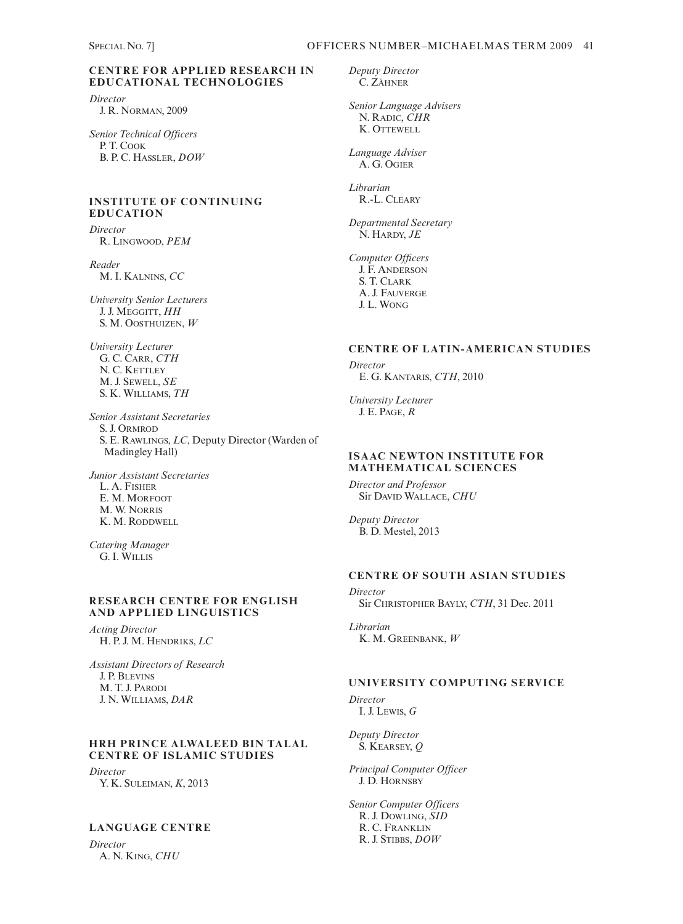# **CENTRE FOR APPLIED RESEARCH IN EDUCATIONAL TECHNOLOGIES**

*Director* J. R. NORMAN, 2009

*Senior Technical Officers* P. T. COOK B. P. C. HASSLER, *DOW*

# **INSTITUTE OF CONTINUING EDUCATION**

*Director* R. LINGWOOD, *PEM*

*Reader* M. I. KALNINS, *CC*

*University Senior Lecturers* J. J. MEGGITT, *HH* S. M. OOSTHUIZEN, *W*

*University Lecturer* G. C. CARR, *CTH*  N. C. KETTLEY M. J. SEWELL, *SE* S. K. WILLIAMS, *TH*

*Senior Assistant Secretaries* S. J. ORMROD S. E. RAWLINGS, *LC*, Deputy Director (Warden of Madingley Hall)

*Junior Assistant Secretaries* L. A. FISHER E. M. MORFOOT M. W. NORRIS K. M. RODDWELL

*Catering Manager* G. I. WILLIS

#### **RESEARCH CENTRE FOR ENGLISH AND APPLIED LINGUISTICS**

*Acting Director* H. P. J. M. HENDRIKS, *LC*

*Assistant Directors of Research* J. P. BLEVINS M. T. J. PARODI J. N. WILLIAMS, *DAR*

# **HRH PRINCE ALWALEED BIN TALAL CENTRE OF ISLAMIC STUDIES**

*Director* Y. K. SULEIMAN, *K*, 2013

# **LANGUAGE CENTRE**

*Director* A. N. KING, *CHU* *Deputy Director* C. ZÄHNER

*Senior Language Advisers* N. RADIC, *CHR*  K. OTTEWELL

*Language Adviser* A. G. OGIER

*Librarian* R.-L. CLEARY

*Departmental Secretary* N. HARDY, *JE*

*Computer Officers* J. F. ANDERSON S. T. CLARK A. J. FAUVERGE J. L. WONG

# **CENTRE OF LATIN-AMERICAN STUDIES**

*Director* E. G. KANTARIS, *CTH*, 2010

*University Lecturer* J. E. PAGE, *R*

# **ISAAC NEWTON INSTITUTE FOR MATHEMATICAL SCIENCES**

*Director and Professor* Sir DAVID WALLACE, *CHU*

*Deputy Director* B. D. Mestel, 2013

# **CENTRE OF SOUTH ASIAN STUDIES**

*Director* Sir CHRISTOPHER BAYLY, *CTH*, 31 Dec. 2011

*Librarian* K. M. GREENBANK, *W*

# **UNIVERSITY COMPUTING SERVICE**

*Director* I. J. LEWIS, *G*

*Deputy Director* S. KEARSEY, *Q*

*Principal Computer Officer* J. D. HORNSBY

*Senior Computer Officers* R. J. DOWLING, *SID* R. C. FRANKLIN R. J. STIBBS, *DOW*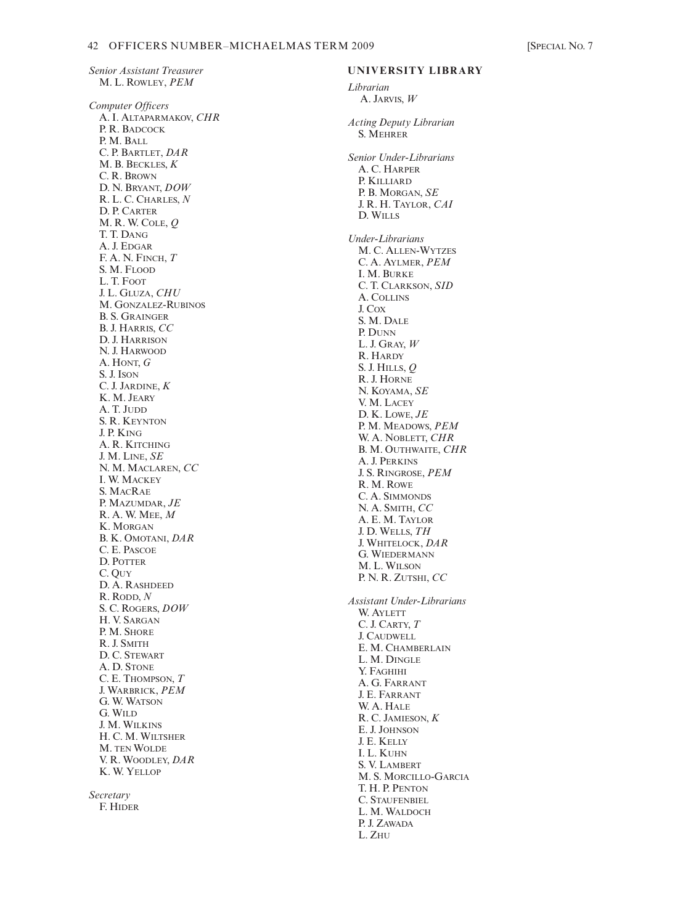*Senior Assistant Treasurer* M. L. ROWLEY, *PEM Computer Officers* A. I. ALTAPARMAKOV, *CHR*  P. R. BADCOCK P. M. BALL C. P. BARTLET, *DAR* M. B. BECKLES, *K* C. R. BROWN D. N. BRYANT, *DOW* R. L. C. CHARLES, *N* D. P. CARTER M. R. W. COLE, *Q* T. T. DANG A. J. EDGAR F. A. N. FINCH, *T* S. M. FLOOD L. T. FOOT J. L. GLUZA, *CHU* M. GONZALEZ-RUBINOS B. S. GRAINGER B. J. HARRIS, *CC* D. J. HARRISON N. J. HARWOOD A. HONT, *G* S. J. ISON C. J. JARDINE, *K* K. M. JEARY A. T. JUDD S. R. KEYNTON J. P. KING A. R. KITCHING J. M. LINE, *SE* N. M. MACLAREN, *CC* I. W. MACKEY S. MACRAE P. MAZUMDAR, *JE* R. A. W. MEE, *M* K. MORGAN B. K. OMOTANI, *DAR* C. E. PASCOE D. POTTER C. QUY D. A. RASHDEED R. RODD, *N* S. C. ROGERS, *DOW* H. V. SARGAN P. M. SHORE R. J. SMITH D. C. STEWART A. D. STONE C. E. THOMPSON, *T* J. WARBRICK, *PEM* G. W. WATSON G. WILD J. M. WILKINS H. C. M. WILTSHER M. TEN WOLDE

*Secretary* F. HIDER

V. R. WOODLEY, *DAR* K. W. YELLOP

#### **UNIVERSITY LIBRARY**

*Librarian* A. JARVIS, *W Acting Deputy Librarian* S. MEHRER *Senior Under-Librarians* A. C. HARPER P. KILLIARD P. B. MORGAN, *SE* J. R. H. TAYLOR, *CAI* D. WILLS *Under-Librarians* M. C. ALLEN-WYTZES C. A. AYLMER, *PEM* I. M. BURKE C. T. CLARKSON, *SID* A. COLLINS J. COX S. M. DALE P. DUNN L. J. GRAY, *W* R. HARDY S. J. HILLS, *Q* R. J. HORNE N. KOYAMA, *SE* V. M. LACEY D. K. LOWE, *JE* P. M. MEADOWS, *PEM* W. A. NOBLETT, *CHR* B. M. OUTHWAITE, *CHR* A. J. PERKINS J. S. RINGROSE, *PEM* R. M. ROWE C. A. SIMMONDS N. A. SMITH, *CC* A. E. M. TAYLOR J. D. WELLS, *TH* J. WHITELOCK, *DAR* G. WIEDERMANN M. L. WILSON P. N. R. ZUTSHI, *CC Assistant Under-Librarians* W. AYLETT C. J. CARTY, *T* J. CAUDWELL E. M. CHAMBERLAIN L. M. DINGLE Y. FAGHIHI A. G. FARRANT J. E. FARRANT W. A. HALE R. C. JAMIESON, *K* E. J. JOHNSON J. E. KELLY I. L. KUHN S. V. LAMBERT M. S. MORCILLO-GARCIA T. H. P. PENTON C. STAUFENBIEL L. M. WALDOCH P. J. ZAWADA

L. ZHU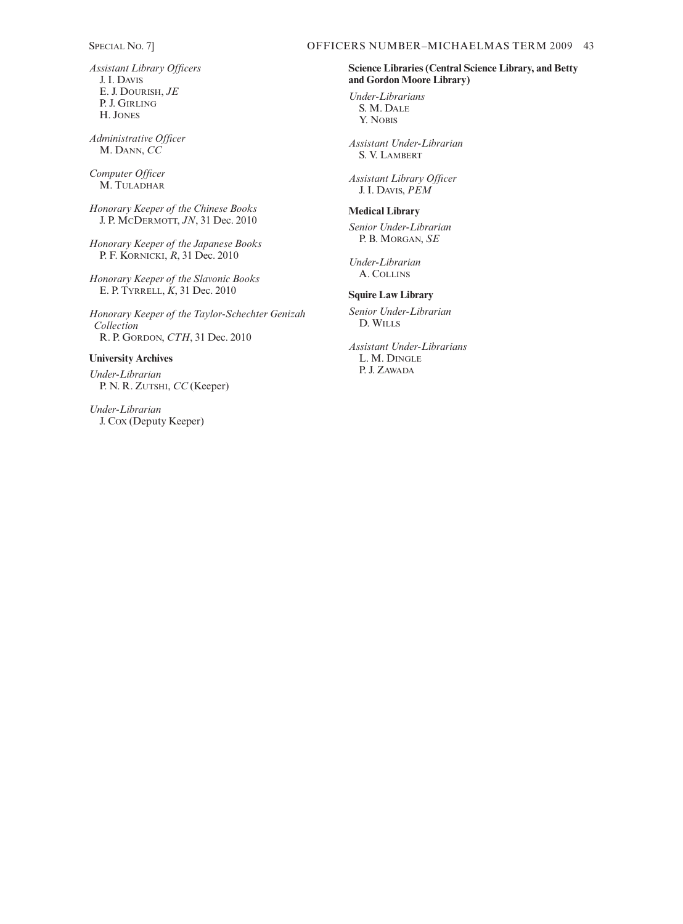*Assistant Library Officers* J. I. DAVIS E. J. DOURISH, *JE* P. J. GIRLING H. JONES

*Administrative Officer* M. DANN, *CC*

*Computer Officer* M. TULADHAR

*Honorary Keeper of the Chinese Books* J. P. MCDERMOTT, *JN*, 31 Dec. 2010

*Honorary Keeper of the Japanese Books* P. F. KORNICKI, *R*, 31 Dec. 2010

*Honorary Keeper of the Slavonic Books* E. P. TYRRELL, *K*, 31 Dec. 2010

*Honorary Keeper of the Taylor-Schechter Genizah Collection* R. P. GORDON, *CTH*, 31 Dec. 2010

# **University Archives**

*Under-Librarian* P. N. R. ZUTSHI, *CC* (Keeper)

*Under-Librarian* J. COX (Deputy Keeper)

# **Science Libraries (Central Science Library, and Betty and Gordon Moore Library)**

*Under-Librarians* S. M. DALE Y. NOBIS

*Assistant Under-Librarian* S. V. LAMBERT

*Assistant Library Officer* J. I. DAVIS, *PEM*

#### **Medical Library**

*Senior Under-Librarian* P. B. MORGAN, *SE*

*Under-Librarian* A. COLLINS

#### **Squire Law Library**

*Senior Under-Librarian* D. WILLS

*Assistant Under-Librarians* L. M. DINGLE P. J. ZAWADA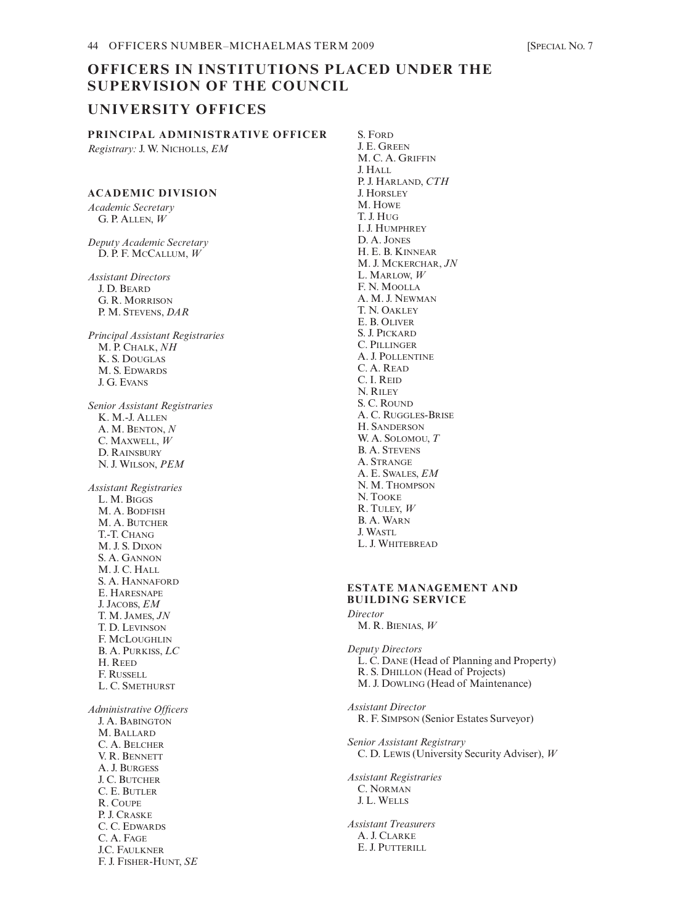# **OFFICERS IN INSTITUTIONS PLACED UNDER THE SUPERVISION OF THE COUNCIL**

# **UNIVERSITY OFFICES**

**PRINCIPAL ADMINISTRATIVE OFFICER** *Registrary:* J. W. NICHOLLS, *EM*

# **ACADEMIC DIVISION**

*Academic Secretary*  G. P. ALLEN, *W*

*Deputy Academic Secretary* D. P. F. MCCALLUM, *W*

*Assistant Directors* J. D. BEARD G. R. MORRISON P. M. STEVENS, *DAR*

*Principal Assistant Registraries* M. P. CHALK, *NH* K. S. DOUGLAS M. S. EDWARDS J. G. EVANS

*Senior Assistant Registraries* K. M.-J. ALLEN A. M. BENTON, *N* C. MAXWELL, *W* D. RAINSBURY N. J. WILSON, *PEM*

*Assistant Registraries* L. M. BIGGS M. A. BODFISH M. A. BUTCHER T.-T. CHANG M. J. S. DIXON S. A. GANNON M. J. C. HALL S. A. HANNAFORD E. HARESNAPE J. JACOBS, *EM* T. M. JAMES, *JN* T. D. LEVINSON F. MCLOUGHLIN B. A. PURKISS, *LC* H. REED F. RUSSELL L. C. SMETHURST

*Administrative Officers* J. A. BABINGTON M. BALLARD C. A. BELCHER V. R. BENNETT A. J. BURGESS J. C. BUTCHER C. E. BUTLER R. COUPE P. J. CRASKE C. C. EDWARDS C. A. FAGE J.C. FAULKNER F. J. FISHER-HUNT, *SE*

S. FORD J. E. GREEN M. C. A. GRIFFIN J. HALL P. J. HARLAND, *CTH* J. HORSLEY M. HOWE T. J. HUG I. J. HUMPHREY D. A. JONES H. E. B. KINNEAR M. J. MCKERCHAR, *JN* L. MARLOW, *W* F. N. MOOLLA A. M. J. NEWMAN T. N. OAKLEY E. B. OLIVER S. J. PICKARD C. PILLINGER A. J. POLLENTINE C. A. READ C. I. REID N. RILEY S. C. ROUND A. C. RUGGLES-BRISE H. SANDERSON W. A. SOLOMOU, *T* B. A. STEVENS A. STRANGE A. E. SWALES, *EM* N. M. THOMPSON N. TOOKE R. TULEY, *W* B. A. WARN J. WASTL L. J. WHITEBREAD

#### **ESTATE MANAGEMENT AND BUILDING SERVICE** *Director*

M. R. BIENIAS, *W*

*Deputy Directors* L. C. DANE (Head of Planning and Property) R. S. DHILLON (Head of Projects) M. J. DOWLING (Head of Maintenance) *Assistant Director* R. F. SIMPSON (Senior Estates Surveyor) *Senior Assistant Registrary* C. D. LEWIS (University Security Adviser), *W Assistant Registraries* C. NORMAN J. L. WELLS *Assistant Treasurers* A. J. CLARKE E. J. PUTTERILL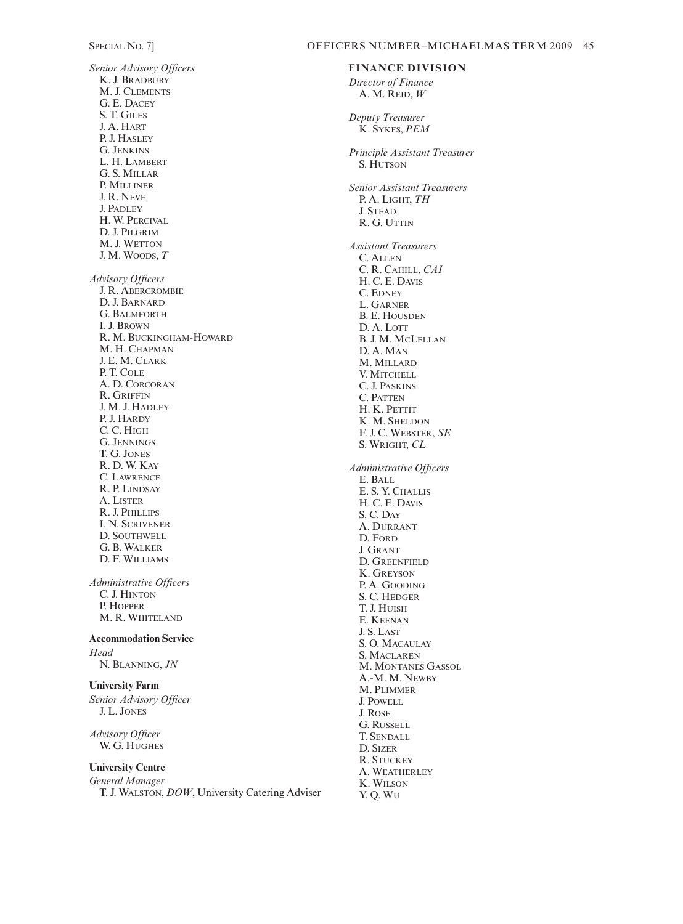*Senior Advisory Officers* K. J. BRADBURY M. J. CLEMENTS G. E. DACEY S. T. GILES J. A. HART P. J. HASLEY G. JENKINS L. H. LAMBERT G. S. MILLAR P. MILLINER J. R. NEVE J. PADLEY H. W. PERCIVAL D. J. PILGRIM M. J. WETTON J. M. WOODS, *T Advisory Officers*  J. R. ABERCROMBIE D. J. BARNARD G. BALMFORTH I. J. BROWN R. M. BUCKINGHAM-HOWARD M. H. CHAPMAN J. E. M. CLARK P. T. COLE A. D. CORCORAN R. GRIFFIN J. M. J. HADLEY P. J. HARDY C. C. HIGH G. JENNINGS T. G. JONES R. D. W. KAY C. LAWRENCE R. P. LINDSAY A. LISTER R. J. PHILLIPS I. N. SCRIVENER D. SOUTHWELL G. B. WALKER D. F. WILLIAMS

*Administrative Officers* C. J. HINTON P. HOPPER M. R. WHITELAND

**Accommodation Service** *Head*

N. BLANNING, *JN*

# **University Farm**

*Senior Advisory Officer* J. L. JONES

*Advisory Officer* W. G. HUGHES

# **University Centre**

*General Manager* T. J. WALSTON, *DOW*, University Catering Adviser

### SPECIAL NO. 7] OFFICERS NUMBER-MICHAELMAS TERM 2009 45

## **FINANCE DIVISION**

*Director of Finance* A. M. REID, *W*

*Deputy Treasurer* K. SYKES, *PEM*

*Principle Assistant Treasurer* S. HUTSON

*Senior Assistant Treasurers* P. A. LIGHT, *TH* J. STEAD R. G. UTTIN

*Assistant Treasurers* C. ALLEN C. R. CAHILL, *CAI* H. C. E. DAVIS C. EDNEY L. GARNER B. E. HOUSDEN D. A. LOTT B. J. M. MCLELLAN D. A. MAN M. MILLARD V. MITCHELL C. J. PASKINS C. PATTEN H. K. PETTIT K. M. SHELDON F. J. C. WEBSTER, *SE* S. WRIGHT, *CL Administrative Officers*  E. BALL E. S. Y. CHALLIS H. C. E. DAVIS

S. C. DAY A. DURRANT D. FORD J. GRANT D. GREENFIELD K. GREYSON P. A. GOODING S. C. HEDGER T. J. HUISH E. KEENAN J. S. LAST S. O. MACAULAY S. MACLAREN M. MONTANES GASSOL A.-M. M. NEWBY M. PLIMMER J. POWELL J. ROSE G. RUSSELL T. SENDALL D. SIZER R. STUCKEY A. WEATHERLEY K. WILSON Y. Q. WU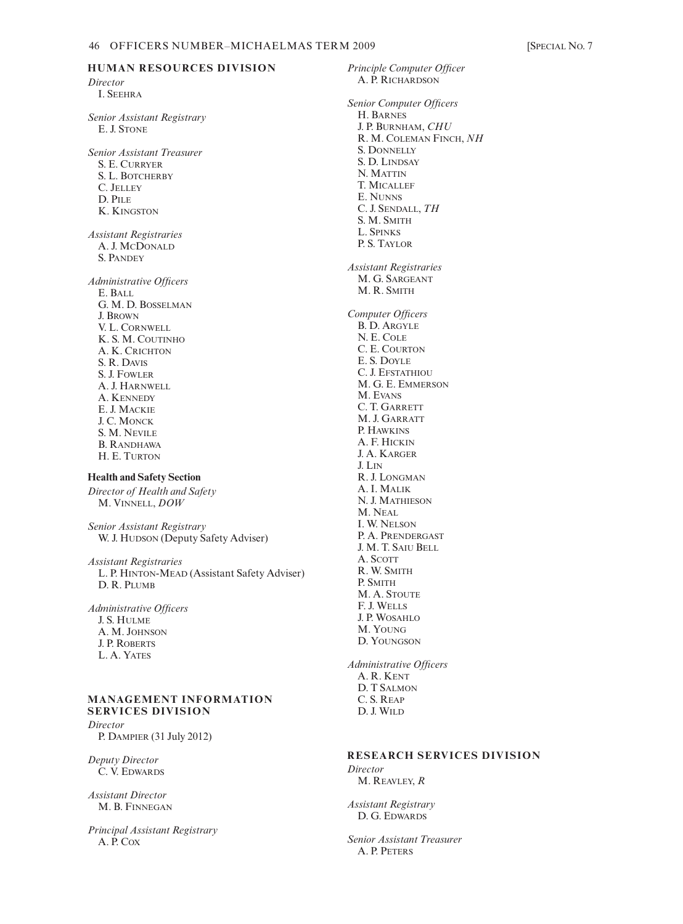# **HUMAN RESOURCES DIVISION**

*Director* I. SEEHRA

*Senior Assistant Registrary* E. J. STONE

*Senior Assistant Treasurer* S. E. CURRYER S. L. BOTCHERBY C. JELLEY D. PILE K. KINGSTON

*Assistant Registraries* A. J. MCDONALD S. PANDEY

*Administrative Officers*  E. BALL G. M. D. BOSSELMAN J. BROWN V. L. CORNWELL K. S. M. COUTINHO A. K. CRICHTON S. R. DAVIS S. J. FOWLER A. J. HARNWELL A. KENNEDY E. J. MACKIE J. C. MONCK S. M. NEVILE B. RANDHAWA H. E. TURTON

# **Health and Safety Section**

*Director of Health and Safety* M. VINNELL, *DOW*

*Senior Assistant Registrary* W. J. HUDSON (Deputy Safety Adviser)

*Assistant Registraries* L. P. HINTON-MEAD (Assistant Safety Adviser) D. R. PLUMB

*Administrative Officers* J. S. HULME A. M. JOHNSON J. P. ROBERTS L. A. YATES

#### **MANAGEMENT INFORMATION SERVICES DIVISION**

*Director*  P. DAMPIER (31 July 2012)

*Deputy Director* C. V. EDWARDS

*Assistant Director* M. B. FINNEGAN

*Principal Assistant Registrary* A. P. COX

*Principle Computer Officer* A. P. RICHARDSON *Senior Computer Officers*  H. BARNES J. P. BURNHAM, *CHU* R. M. COLEMAN FINCH, *NH* S. DONNELLY S. D. LINDSAY N. MATTIN T. MICALLEF E. NUNNS C. J. SENDALL, *TH* S. M. SMITH L. SPINKS P. S. TAYLOR *Assistant Registraries* M. G. SARGEANT M. R. SMITH *Computer Officers* B. D. ARGYLE N. E. COLE C. E. COURTON E. S. DOYLE C. J. EFSTATHIOU M. G. E. EMMERSON M. EVANS C. T. GARRETT M. J. GARRATT P. HAWKINS A. F. HICKIN J. A. KARGER J. LIN R. J. LONGMAN A. I. MALIK N. J. MATHIESON M. NEAL I. W. NELSON P. A. PRENDERGAST J. M. T. SAIU BELL A. SCOTT R. W. SMITH P. SMITH M. A. STOUTE F. J. WELLS J. P. WOSAHLO M. YOUNG D. YOUNGSON *Administrative Officers* A. R. KENT D. T SALMON C. S. REAP

# **RESEARCH SERVICES DIVISION**

*Director* M. REAVLEY, *R*

D. J. WILD

*Assistant Registrary* D. G. EDWARDS

*Senior Assistant Treasurer* A. P. PETERS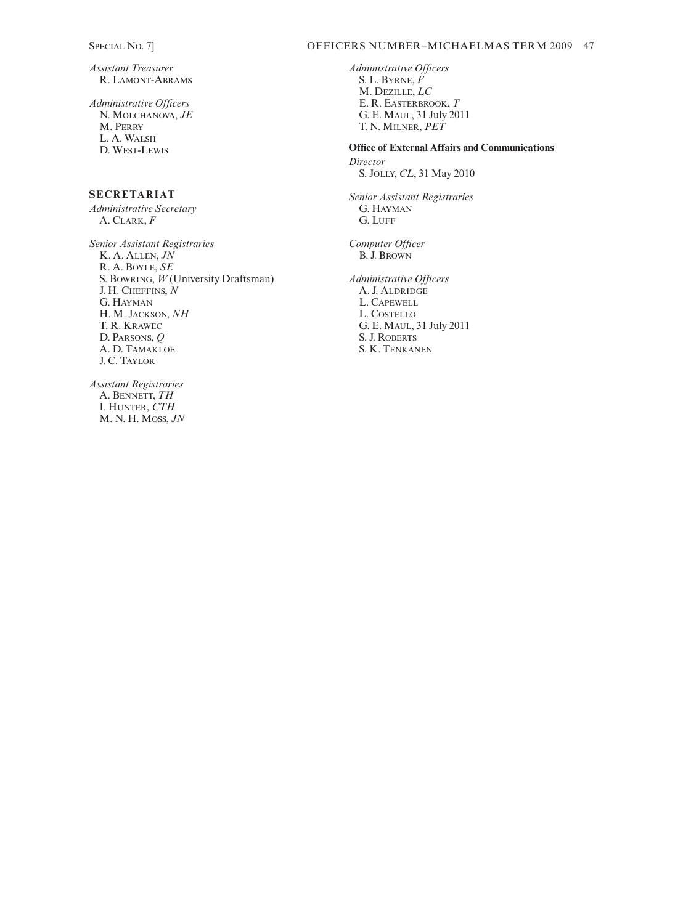*Assistant Treasurer* R. LAMONT-ABRAMS

*Administrative Officers*  N. MOLCHANOVA, *JE* M. PERRY L. A. WALSH D. WEST-LEWIS

# **SECRETARIAT**

*Administrative Secretary* A. CLARK, *F*

*Senior Assistant Registraries* K. A. ALLEN, *JN* R. A. BOYLE, *SE* S. BOWRING, *W* (University Draftsman) J. H. CHEFFINS, *N* G. HAYMAN H. M. JACKSON, *NH*  T. R. KRAWEC D. PARSONS, *Q* A. D. TAMAKLOE J. C. TAYLOR

*Assistant Registraries* A. BENNETT, *TH* I. HUNTER, *CTH* M. N. H. MOSS, *JN*

### SPECIAL NO. 7] OFFICERS NUMBER–MICHAELMAS TERM 2009 47

*Administrative Officers*  S. L. BYRNE, *F* M. DEZILLE, *LC* E. R. EASTERBROOK, *T* G. E. MAUL, 31 July 2011 T. N. MILNER, *PET*

**Office of External Affairs and Communications** *Director* S. JOLLY, *CL*, 31 May 2010

*Senior Assistant Registraries* G. HAYMAN G. LUFF

*Computer Officer* B. J. BROWN

*Administrative Officers*  A. J. ALDRIDGE L. CAPEWELL L. COSTELLO G. E. MAUL, 31 July 2011 S. J. ROBERTS S. K. TENKANEN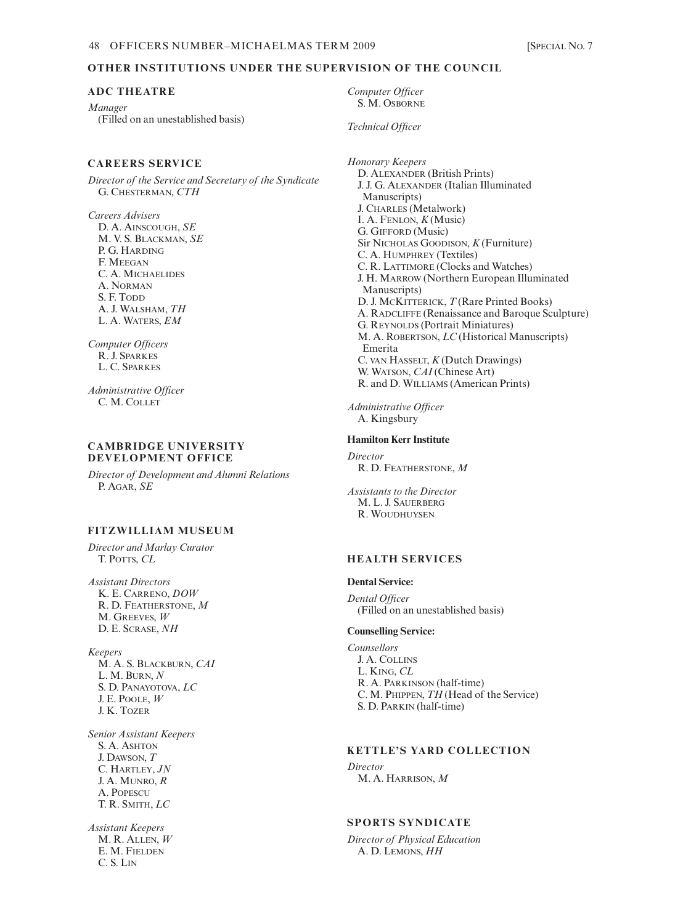#### **OTHER INSTITUTIONS UNDER THE SUPERVISION OF THE COUNCIL**

#### **ADC THEATRE**

*Manager* (Filled on an unestablished basis)

#### **CAREERS SERVICE**

*Director of the Service and Secretary of the Syndicate* G. CHESTERMAN, *CTH*

*Careers Advisers* D. A. AINSCOUGH, *SE* M. V. S. BLACKMAN, *SE* P. G. HARDING F. MEEGAN C. A. MICHAELIDES A. NORMAN S. F. Topp. A. J. WALSHAM, *TH* L. A. WATERS, *EM*

*Computer Officers* R. J. SPARKES L. C. SPARKES

*Administrative Officer* C. M. COLLET

#### **CAMBRIDGE UNIVERSITY DEVELOPMENT OFFICE**

*Director of Development and Alumni Relations* P. AGAR, *SE*

# **FITZWILLIAM MUSEUM**

*Director and Marlay Curator* T. POTTS, *CL*

*Assistant Directors*  K. E. CARRENO, *DOW* R. D. FEATHERSTONE, *M* M. GREEVES, *W* D. E. SCRASE, *NH*

*Keepers* M. A. S. BLACKBURN, *CAI* L. M. BURN, *N*  S. D. PANAYOTOVA, *LC* J. E. POOLE, *W* J. K. TOZER

*Senior Assistant Keepers* S. A. ASHTON J. DAWSON, *T* C. HARTLEY, *JN* J. A. MUNRO, *R* A. POPESCU T. R. SMITH, *LC*

*Assistant Keepers* M. R. ALLEN, *W* E. M. FIELDEN C. S. LIN

*Computer Officer* S. M. OSBORNE

*Technical Officer*

*Honorary Keepers* D. ALEXANDER (British Prints) J. J. G. ALEXANDER (Italian Illuminated Manuscripts) J. CHARLES (Metalwork) I. A. FENLON, *K* (Music) G. GIFFORD (Music) Sir NICHOLAS GOODISON, *K* (Furniture) C. A. HUMPHREY (Textiles) C. R. LATTIMORE (Clocks and Watches) J. H. MARROW (Northern European Illuminated Manuscripts) D. J. MCKITTERICK, *T* (Rare Printed Books) A. RADCLIFFE (Renaissance and Baroque Sculpture) G. REYNOLDS (Portrait Miniatures) M. A. ROBERTSON, *LC* (Historical Manuscripts) Emerita C. VAN HASSELT, *K* (Dutch Drawings) W. WATSON, *CAI* (Chinese Art) R. and D. WILLIAMS (American Prints)

*Administrative Officer* A. Kingsbury

#### **Hamilton Kerr Institute**

*Director* R. D. FEATHERSTONE, *M*

*Assistants to the Director* M. L. J. SAUERBERG R. WOUDHUYSEN

# **HEALTH SERVICES**

#### **Dental Service:**

*Dental Officer* (Filled on an unestablished basis)

#### **Counselling Service:**

*Counsellors*  J. A. COLLINS L. KING, *CL* R. A. PARKINSON (half-time) C. M. PHIPPEN, *TH* (Head of the Service) S. D. PARKIN (half-time)

# **KETTLE'S YARD COLLECTION**

*Director* M. A. HARRISON, *M*

# **SPORTS SYNDICATE**

*Director of Physical Education* A. D. LEMONS, *HH*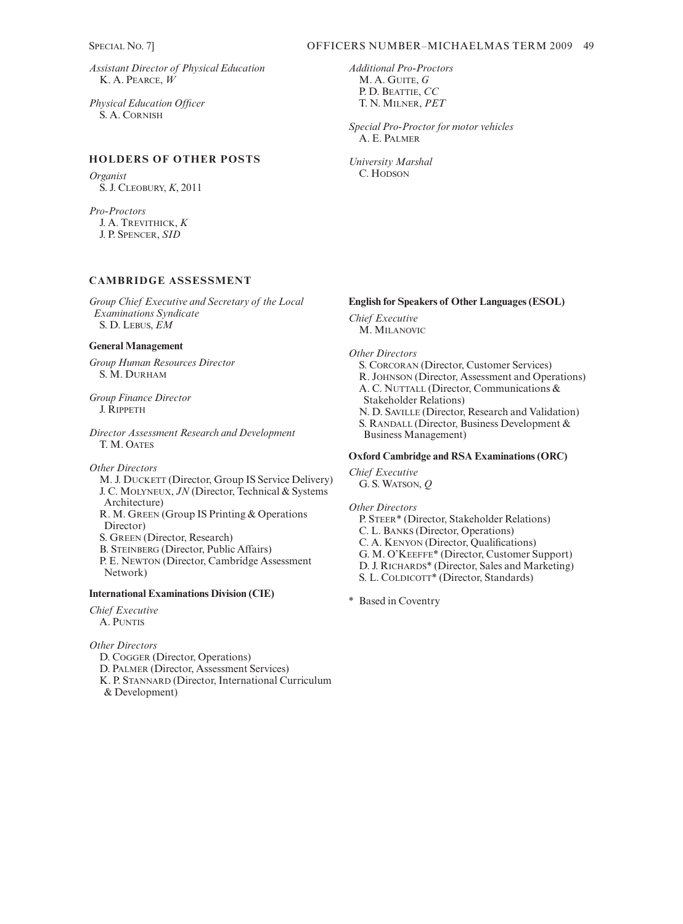*Assistant Director of Physical Education* K. A. PEARCE, *W*

*Physical Education Officer* S. A. CORNISH

# **HOLDERS OF OTHER POSTS**

*Organist* S. J. CLEOBURY, *K*, 2011

*Pro-Proctors* J. A. TREVITHICK, *K* J. P. SPENCER, *SID*

# **CAMBRIDGE ASSESSMENT**

*Group Chief Executive and Secretary of the Local Examinations Syndicate* S. D. LEBUS, *EM*

#### **General Management**

*Group Human Resources Director* S. M. DURHAM

*Group Finance Director* J. RIPPETH

*Director Assessment Research and Development* T. M. OATES

*Other Directors* M. J. DUCKETT (Director, Group IS Service Delivery) J. C. MOLYNEUX, *JN* (Director, Technical & Systems Architecture) R. M. GREEN (Group IS Printing & Operations Director) S. GREEN (Director, Research) B. STEINBERG (Director, Public Affairs) P. E. NEWTON (Director, Cambridge Assessment Network)

# **International Examinations Division (CIE)**

*Chief Executive* A. PUNTIS

# *Other Directors*

D. COGGER (Director, Operations) D. PALMER (Director, Assessment Services)

K. P. STANNARD (Director, International Curriculum & Development)

*Additional Pro-Proctors* M. A. GUITE, *G* P. D. BEATTIE, *CC* T. N. MILNER, *PET*

*Special Pro-Proctor for motor vehicles* A. E. PALMER

*University Marshal* C. HODSON

## **English for Speakers of Other Languages (ESOL)**

*Chief Executive* M. MILANOVIC

*Other Directors*

S. CORCORAN (Director, Customer Services) R. JOHNSON (Director, Assessment and Operations) A. C. NUTTALL (Director, Communications & Stakeholder Relations) N. D. SAVILLE (Director, Research and Validation) S. RANDALL (Director, Business Development & Business Management)

### **Oxford Cambridge and RSA Examinations (ORC)**

*Chief Executive* G. S. WATSON, *Q*

*Other Directors* P. STEER\* (Director, Stakeholder Relations)

C. L. BANKS (Director, Operations) C. A. KENYON (Director, Qualifications)

G. M. O'KEEFFE\* (Director, Customer Support)

D. J. RICHARDS\* (Director, Sales and Marketing)

S. L. COLDICOTT\* (Director, Standards)

\* Based in Coventry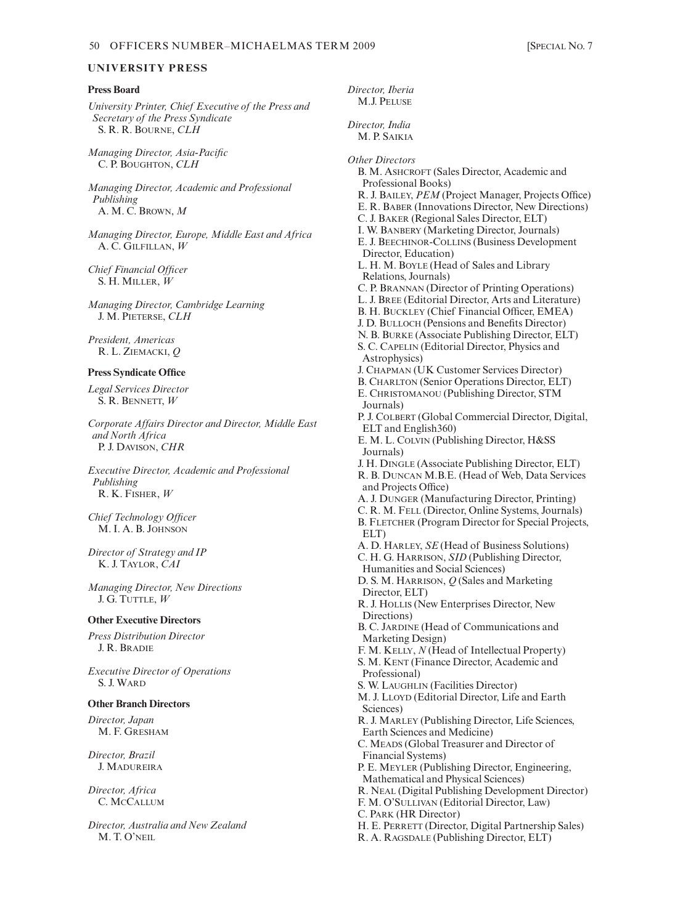*Director, Iberia*

# **UNIVERSITY PRESS**

## **Press Board**

*University Printer, Chief Executive of the Press and Secretary of the Press Syndicate* S. R. R. BOURNE, *CLH*

*Managing Director, Asia-Pacific* C. P. BOUGHTON, *CLH*

*Managing Director, Academic and Professional Publishing* A. M. C. BROWN, *M*

*Managing Director, Europe, Middle East and Africa* A. C. GILFILLAN, *W*

*Chief Financial Officer* S. H. MILLER, *W*

*Managing Director, Cambridge Learning* J. M. PIETERSE, *CLH*

*President, Americas* R. L. ZIEMACKI, *Q*

#### **Press Syndicate Office**

*Legal Services Director* S. R. BENNETT, *W*

*Corporate Affairs Director and Director, Middle East and North Africa* P. J. DAVISON, *CHR*

*Executive Director, Academic and Professional Publishing* R. K. FISHER, *W*

*Chief Technology Officer* M. I. A. B. JOHNSON

*Director of Strategy and IP* K. J. TAYLOR, *CAI*

*Managing Director, New Directions* J. G. TUTTLE, *W*

#### **Other Executive Directors**

*Press Distribution Director* J. R. BRADIE

*Executive Director of Operations* S. J. WARD

#### **Other Branch Directors**

*Director, Japan* M. F. GRESHAM

*Director, Brazil* J. MADUREIRA

*Director, Africa* C. MCCALLUM

*Director, Australia and New Zealand* M. T. O'NEIL

M.J. PELUSE *Director, India* M. P. SAIKIA *Other Directors*  B. M. ASHCROFT (Sales Director, Academic and Professional Books) R. J. BAILEY, *PEM* (Project Manager, Projects Office) E. R. BABER (Innovations Director, New Directions) C. J. BAKER (Regional Sales Director, ELT) I. W. BANBERY (Marketing Director, Journals) E. J. BEECHINOR-COLLINS (Business Development Director, Education) L. H. M. BOYLE (Head of Sales and Library Relations, Journals) C. P. BRANNAN (Director of Printing Operations) L. J. BREE (Editorial Director, Arts and Literature) B. H. BUCKLEY (Chief Financial Officer, EMEA) J. D. BULLOCH (Pensions and Benefits Director) N. B. BURKE (Associate Publishing Director, ELT) S. C. CAPELIN (Editorial Director, Physics and Astrophysics) J. CHAPMAN (UK Customer Services Director) B. CHARLTON (Senior Operations Director, ELT) E. CHRISTOMANOU (Publishing Director, STM Journals) P. J. COLBERT (Global Commercial Director, Digital, ELT and English360) E. M. L. COLVIN (Publishing Director, H&SS Journals) J. H. DINGLE (Associate Publishing Director, ELT) R. B. DUNCAN M.B.E. (Head of Web, Data Services and Projects Office) A. J. DUNGER (Manufacturing Director, Printing) C. R. M. FELL (Director, Online Systems, Journals) B. FLETCHER (Program Director for Special Projects, ELT) A. D. HARLEY, *SE* (Head of Business Solutions) C. H. G. HARRISON, *SID* (Publishing Director, Humanities and Social Sciences) D. S. M. HARRISON, *Q* (Sales and Marketing Director, ELT) R. J. HOLLIS (New Enterprises Director, New Directions) B. C. JARDINE (Head of Communications and Marketing Design) F. M. KELLY, *N* (Head of Intellectual Property) S. M. KENT (Finance Director, Academic and Professional) S. W. LAUGHLIN (Facilities Director) M. J. LLOYD (Editorial Director, Life and Earth Sciences) R. J. MARLEY (Publishing Director, Life Sciences, Earth Sciences and Medicine) C. MEADS (Global Treasurer and Director of Financial Systems) P. E. MEYLER (Publishing Director, Engineering, Mathematical and Physical Sciences) R. NEAL (Digital Publishing Development Director) F. M. O'SULLIVAN (Editorial Director, Law) C. PARK (HR Director) H. E. PERRETT (Director, Digital Partnership Sales) R. A. RAGSDALE (Publishing Director, ELT)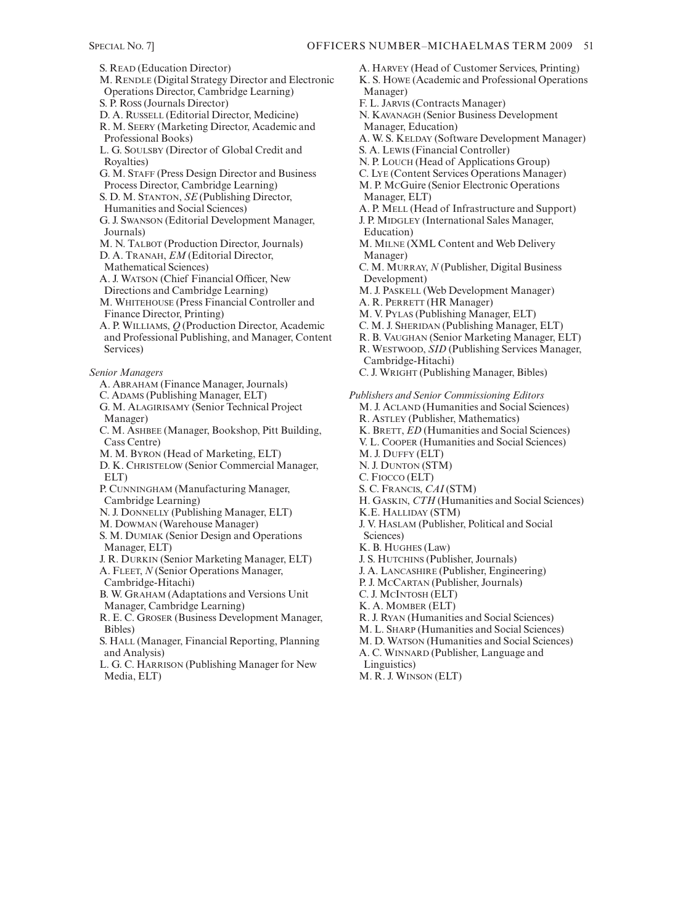S. READ (Education Director) M. RENDLE (Digital Strategy Director and Electronic Operations Director, Cambridge Learning) S. P. ROSS (Journals Director) D. A. RUSSELL (Editorial Director, Medicine) R. M. SEERY (Marketing Director, Academic and Professional Books) L. G. SOULSBY (Director of Global Credit and Royalties) G. M. STAFF (Press Design Director and Business Process Director, Cambridge Learning) S. D. M. STANTON, *SE* (Publishing Director, Humanities and Social Sciences) G. J. SWANSON (Editorial Development Manager, Journals) M. N. TALBOT (Production Director, Journals) D. A. TRANAH, *EM* (Editorial Director, Mathematical Sciences) A. J. WATSON (Chief Financial Officer, New Directions and Cambridge Learning) M. WHITEHOUSE (Press Financial Controller and Finance Director, Printing) A. P. WILLIAMS, *Q* (Production Director, Academic and Professional Publishing, and Manager, Content Services) *Senior Managers* A. ABRAHAM (Finance Manager, Journals) C. ADAMS (Publishing Manager, ELT) G. M. ALAGIRISAMY (Senior Technical Project Manager) C. M. ASHBEE (Manager, Bookshop, Pitt Building, Cass Centre) M. M. BYRON (Head of Marketing, ELT) D. K. CHRISTELOW (Senior Commercial Manager, ELT) P. CUNNINGHAM (Manufacturing Manager, Cambridge Learning) N. J. DONNELLY (Publishing Manager, ELT) M. DOWMAN (Warehouse Manager) S. M. DUMIAK (Senior Design and Operations Manager, ELT) J. R. DURKIN (Senior Marketing Manager, ELT) A. FLEET, *N* (Senior Operations Manager, Cambridge-Hitachi) B. W. GRAHAM (Adaptations and Versions Unit Manager, Cambridge Learning) R. E. C. GROSER (Business Development Manager, Bibles) S. HALL (Manager, Financial Reporting, Planning and Analysis)

- L. G. C. HARRISON (Publishing Manager for New Media, ELT)
- A. HARVEY (Head of Customer Services, Printing) K. S. HOWE (Academic and Professional Operations Manager) F. L. JARVIS (Contracts Manager) N. KAVANAGH (Senior Business Development Manager, Education) A. W. S. KELDAY (Software Development Manager) S. A. LEWIS (Financial Controller) N. P. LOUCH (Head of Applications Group) C. LYE (Content Services Operations Manager) M. P. MCGuire (Senior Electronic Operations Manager, ELT) A. P. MELL (Head of Infrastructure and Support) J. P. MIDGLEY (International Sales Manager, Education) M. MILNE (XML Content and Web Delivery Manager) C. M. MURRAY, *N* (Publisher, Digital Business Development) M. J. PASKELL (Web Development Manager) A. R. PERRETT (HR Manager) M. V. PYLAS (Publishing Manager, ELT) C. M. J. SHERIDAN (Publishing Manager, ELT) R. B. VAUGHAN (Senior Marketing Manager, ELT) R. WESTWOOD, *SID* (Publishing Services Manager, Cambridge-Hitachi) C. J. WRIGHT (Publishing Manager, Bibles) *Publishers and Senior Commissioning Editors* M. J. ACLAND (Humanities and Social Sciences) R. ASTLEY (Publisher, Mathematics) K. BRETT, *ED* (Humanities and Social Sciences) V. L. COOPER (Humanities and Social Sciences) M. J. DUFFY (ELT) N. J. DUNTON (STM) C. FIOCCO (ELT) S. C. FRANCIS, *CAI* (STM) H. GASKIN, *CTH* (Humanities and Social Sciences) K.E. HALLIDAY (STM) J. V. HASLAM (Publisher, Political and Social Sciences) K. B. HUGHES (Law) J. S. HUTCHINS (Publisher, Journals) J. A. LANCASHIRE (Publisher, Engineering) P. J. MCCARTAN (Publisher, Journals) C. J. MCINTOSH (ELT) K. A. MOMBER (ELT) R. J. RYAN (Humanities and Social Sciences)
	-
	- M. L. SHARP (Humanities and Social Sciences)
	- M. D. WATSON (Humanities and Social Sciences)
	- A. C. WINNARD (Publisher, Language and

Linguistics)

M. R. J. WINSON (ELT)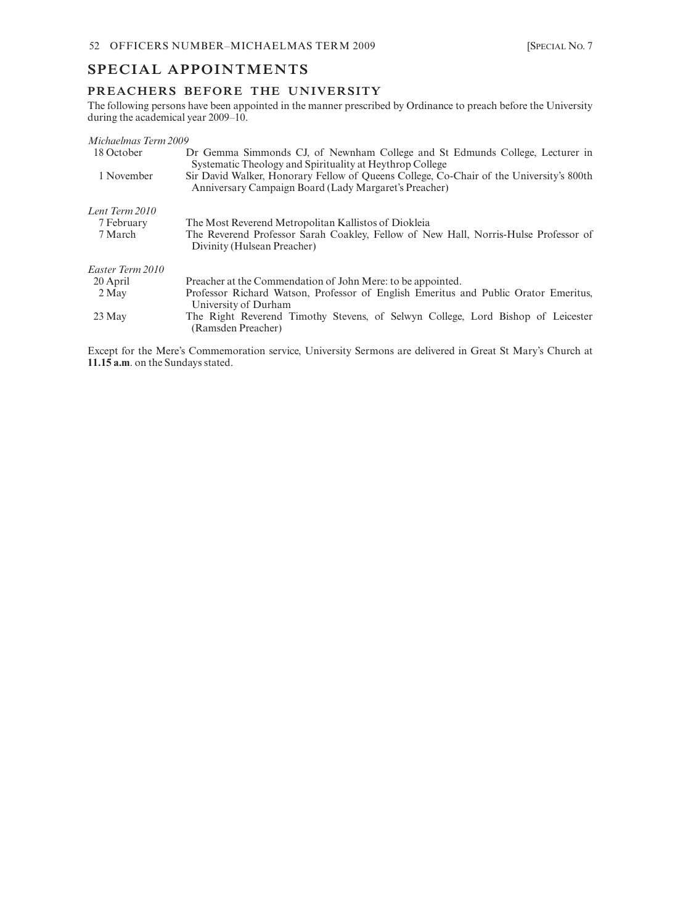# **SPECIAL APPOINTMENTS**

# **PREACHERS BEFORE THE UNIVERSITY**

The following persons have been appointed in the manner prescribed by Ordinance to preach before the University during the academical year 2009–10.

| Michaelmas Term 2009 |                                                                                                                                                  |
|----------------------|--------------------------------------------------------------------------------------------------------------------------------------------------|
| 18 October           | Dr Gemma Simmonds CJ, of Newnham College and St Edmunds College, Lecturer in<br>Systematic Theology and Spirituality at Heythrop College         |
| 1 November           | Sir David Walker, Honorary Fellow of Queens College, Co-Chair of the University's 800th<br>Anniversary Campaign Board (Lady Margaret's Preacher) |
| Lent Term 2010       |                                                                                                                                                  |
| 7 February           | The Most Reverend Metropolitan Kallistos of Diokleia                                                                                             |
| 7 March              | The Reverend Professor Sarah Coakley, Fellow of New Hall, Norris-Hulse Professor of<br>Divinity (Hulsean Preacher)                               |
| Easter Term 2010     |                                                                                                                                                  |
| 20 April             | Preacher at the Commendation of John Mere: to be appointed.                                                                                      |
| 2 May                | Professor Richard Watson, Professor of English Emeritus and Public Orator Emeritus,<br>University of Durham                                      |
| 23 May               | The Right Reverend Timothy Stevens, of Selwyn College, Lord Bishop of Leicester<br>(Ramsden Preacher)                                            |

Except for the Mere's Commemoration service, University Sermons are delivered in Great St Mary's Church at **11.15 a.m**. on the Sundays stated.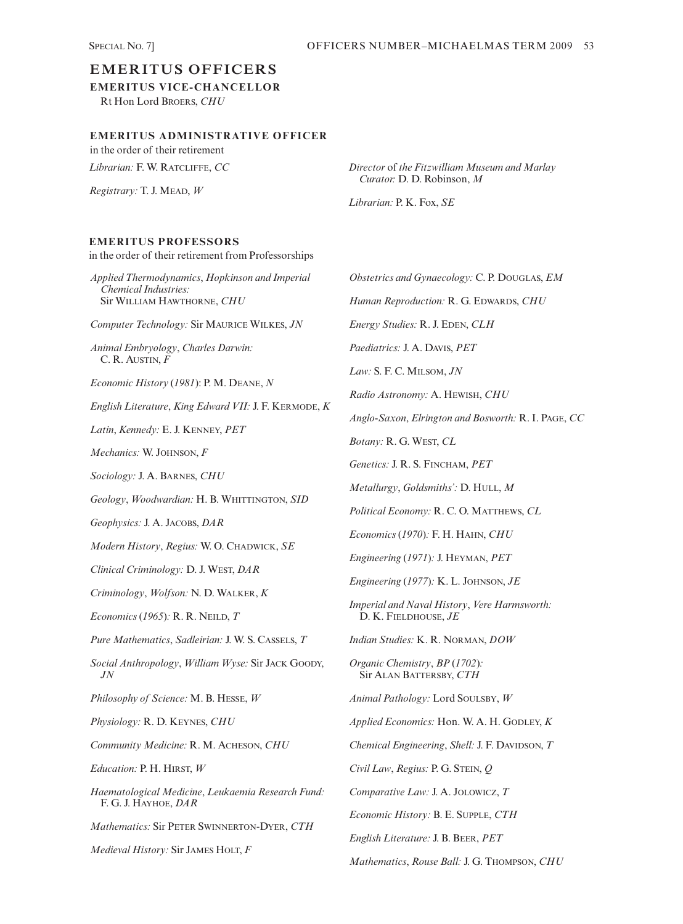# **EMERITUS OFFICERS**

**EMERITUS VICE-CHANCELLOR** Rt Hon Lord BROERS, *CHU*

# **EMERITUS ADMINISTRATIVE OFFICER**

in the order of their retirement *Librarian:* F. W. RATCLIFFE, *CC*

*Registrary:* T. J. MEAD, *W*

*Director* of *the Fitzwilliam Museum and Marlay Curator:* D. D. Robinson, *M*

*Mathematics*, *Rouse Ball:* J. G. THOMPSON, *CHU*

*Librarian:* P. K. Fox, *SE*

# **EMERITUS PROFESSORS**

*Applied Thermodynamics*, *Hopkinson and Imperial Chemical Industries:* Sir WILLIAM HAWTHORNE, *CHU Computer Technology:* Sir MAURICE WILKES, *JN Animal Embryology*, *Charles Darwin:* C. R. AUSTIN, *F Economic History* (*1981*): P. M. DEANE, *N English Literature*, *King Edward VII:* J. F. KERMODE, *K Latin*, *Kennedy:* E. J. KENNEY, *PET Mechanics:* W. JOHNSON, *F Sociology:* J. A. BARNES, *CHU Geology*, *Woodwardian:* H. B. WHITTINGTON, *SID Geophysics:* J. A. JACOBS, *DAR Modern History*, *Regius:* W. O. CHADWICK, *SE Clinical Criminology:* D. J. WEST, *DAR Criminology*, *Wolfson:* N. D. WALKER, *K Economics* (*1965*)*:* R. R. NEILD, *T Pure Mathematics*, *Sadleirian:* J. W. S. CASSELS, *T Social Anthropology*, *William Wyse:* Sir JACK GOODY, *JN Philosophy of Science:* M. B. HESSE, *W Physiology:* R. D. KEYNES, *CHU Community Medicine:* R. M. ACHESON, *CHU Education:* P. H. HIRST, *W Haematological Medicine*, *Leukaemia Research Fund:* F. G. J. HAYHOE, *DAR Mathematics:* Sir PETER SWINNERTON-DYER, *CTH Medieval History:* Sir JAMES HOLT, *F Obstetrics and Gynaecology:* C. P. DOUGLAS, *EM Human Reproduction:* R. G. EDWARDS, *CHU Energy Studies:* R. J. EDEN, *CLH Paediatrics:* J. A. DAVIS, *PET Law:* S. F. C. MILSOM, *JN Radio Astronomy:* A. HEWISH, *CHU Anglo-Saxon*, *Elrington and Bosworth:* R. I. PAGE, *CC Botany:* R. G. WEST, *CL Genetics:* J. R. S. FINCHAM, *PET Metallurgy*, *Goldsmiths':* D. HULL, *M Political Economy:* R. C. O. MATTHEWS, *CL Economics* (*1970*)*:* F. H. HAHN, *CHU Engineering* (*1971*)*:* J. HEYMAN, *PET Engineering* (*1977*)*:* K. L. JOHNSON, *JE Imperial and Naval History*, *Vere Harmsworth:* D. K. FIELDHOUSE, *JE Indian Studies:* K. R. NORMAN, *DOW Organic Chemistry*, *BP* (*1702*)*:* Sir ALAN BATTERSBY, *CTH Animal Pathology:* Lord SOULSBY, *W Applied Economics:* Hon. W. A. H. GODLEY, *K Chemical Engineering*, *Shell:* J. F. DAVIDSON, *T Civil Law*, *Regius:* P. G. STEIN, *Q Comparative Law:* J. A. JOLOWICZ, *T Economic History:* B. E. SUPPLE, *CTH English Literature:* J. B. BEER, *PET* in the order of their retirement from Professorships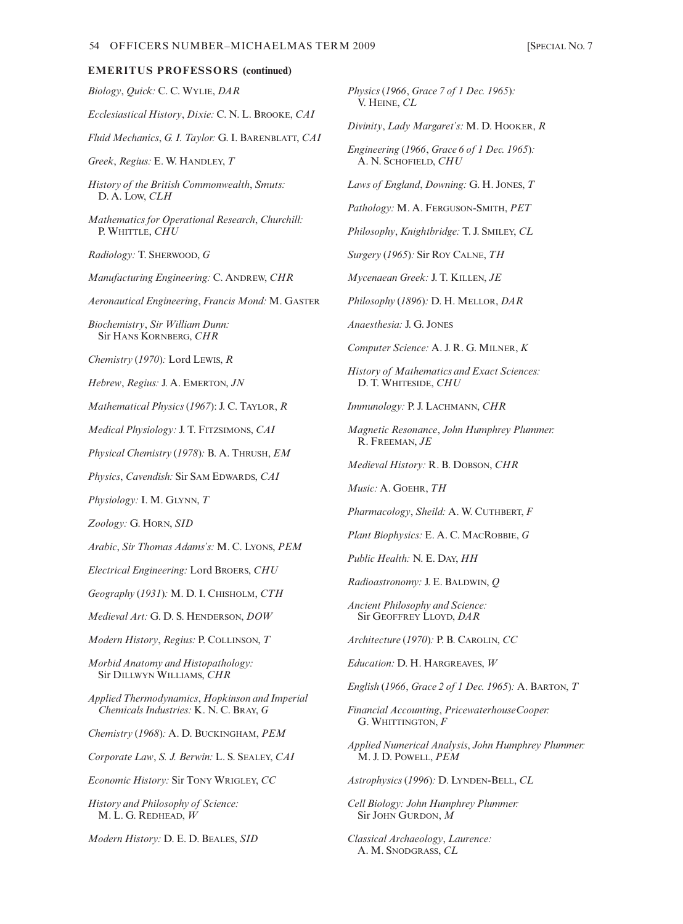| Biology, Quick: C. C. WYLIE, DAR                                                                                      | Physics<br>V. He        |
|-----------------------------------------------------------------------------------------------------------------------|-------------------------|
| Ecclesiastical History, Dixie: C. N. L. BROOKE, CAI                                                                   | Divinity                |
| Fluid Mechanics, G. I. Taylor: G. I. BARENBLATT, CAI                                                                  |                         |
| Greek, Regius: E. W. HANDLEY, T                                                                                       | Enginee<br>A. N.        |
| History of the British Commonwealth, Smuts:<br>D. A. Low, CLH                                                         | Laws of                 |
| <b>Mathematics for Operational Research, Churchill:</b><br>P. WHITTLE, CHU                                            | Patholo<br>Philosop     |
| Radiology: T. SHERWOOD, G                                                                                             | Surgery                 |
| Manufacturing Engineering: C. ANDREW, CHR                                                                             | Mycena                  |
| Aeronautical Engineering, Francis Mond: M. GASTER                                                                     | Philosop                |
| Biochemistry, Sir William Dunn:<br>Sir HANS KORNBERG, CHR                                                             | Anaesth                 |
| Chemistry (1970): Lord LEWIS, R                                                                                       | Comput                  |
| Hebrew, Regius: J. A. EMERTON, JN                                                                                     | <i>History</i><br>D.T.  |
| Mathematical Physics (1967): J. C. TAYLOR, R                                                                          | Immuno                  |
| <i>Medical Physiology: J.T. FITZSIMONS, CAI</i>                                                                       | Magnet                  |
| Physical Chemistry (1978): B. A. THRUSH, EM                                                                           | R. Fr                   |
| Physics, Cavendish: Sir SAM EDWARDS, CAI                                                                              | Medievo                 |
| Physiology: I. M. GLYNN, T                                                                                            | Music: 1                |
| Zoology: G. HORN, SID                                                                                                 | Pharma                  |
| Arabic, Sir Thomas Adams's: M. C. LYONS, PEM                                                                          | Plant Bi                |
| Electrical Engineering: Lord BROERS, CHU                                                                              | Public E                |
| Geography (1931): M. D. I. CHISHOLM, CTH                                                                              | Radioas                 |
| Medieval Art: G. D. S. HENDERSON, DOW                                                                                 | Ancient<br>Sir G        |
| Modern History, Regius: P. COLLINSON, T                                                                               | Architec                |
| Morbid Anatomy and Histopathology:                                                                                    | Educati                 |
| Sir DILLWYN WILLIAMS, CHR<br>Applied Thermodynamics, Hopkinson and Imperial<br>Chemicals Industries: K. N. C. BRAY, G | English<br>Financie     |
| Chemistry (1968): A. D. BUCKINGHAM, PEM                                                                               | G. W                    |
| Corporate Law, S. J. Berwin: L. S. SEALEY, CAI                                                                        | <i>Applied</i><br>M. J. |
| Economic History: Sir TONY WRIGLEY, CC                                                                                | <i>Astroph</i>          |
| History and Philosophy of Science:<br>M. L. G. REDHEAD, $W$                                                           | Cell Bio<br>Sir Jo      |

*Modern History:* D. E. D. BEALES, *SID*

*Physics* (*1966*, *Grace 7 of 1 Dec. 1965*)*:*  $N$ E.  $CL$ 

*Divinity*, *Lady Margaret's:* M. D. HOOKER, *R*

*Engineering* (*1966*, *Grace 6 of 1 Dec. 1965*)*:* SCHOFIELD, *CHU* 

*Laws of England*, *Downing:* G. H. JONES, *T*

*Pathology:* M. A. FERGUSON-SMITH, *PET*

*Philosophy*, *Knightbridge:* T. J. SMILEY, *CL*

*Surgery* (*1965*)*:* Sir ROY CALNE, *TH*

*Mycenaean Greek:* J. T. KILLEN, *JE*

*Philosophy* (*1896*)*:* D. H. MELLOR, *DAR*

*Anaesthesia:* J. G. JONES

*Computer Science:* A. J. R. G. MILNER, *K*

of Mathematics and Exact Sciences: D. T. WHITESIDE, *CHU*

*Immunology:* P. J. LACHMANN, *CHR*

*Magnetic Resonance*, *John Humphrey Plummer:* R. FREEMAN, *JE*

*Medieval History:* R. B. DOBSON, *CHR*

*Music:* A. GOEHR, *TH*

*Pharmacology*, *Sheild:* A. W. CUTHBERT, *F*

*Plant Biophysics:* E. A. C. MACROBBIE, *G*

*Public Health:* N. E. DAY, *HH*

*Radioastronomy:* J. E. BALDWIN, *Q*

**Philosophy and Science:** Sir GEOFFREY LLOYD, *DAR*

*Architecture* (*1970*)*:* P. B. CAROLIN, *CC*

*Education:* D. H. HARGREAVES, *W*

*English* (*1966*, *Grace 2 of 1 Dec. 1965*)*:* A. BARTON, *T*

*Financial Accounting*, *PricewaterhouseCooper:* HITTINGTON,  $\overline{F}$ 

*Applied Numerical Analysis*, *John Humphrey Plummer:* D. POWELL,  $PEM$ 

*Astrophysics* (*1996*)*:* D. LYNDEN-BELL, *CL*

*Cell Biology: John Humphrey Plummer:* Sir JOHN GURDON, *M*

*Classical Archaeology*, *Laurence:* A. M. SNODGRASS, *CL*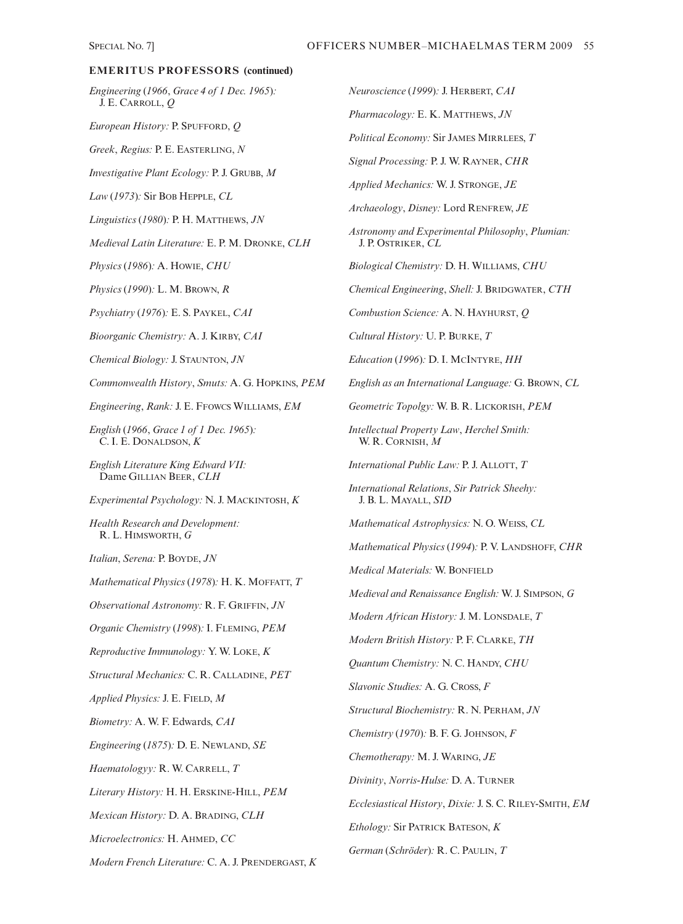*Engineering* (*1966*, *Grace 4 of 1 Dec. 1965*)*:* J. E. CARROLL, *Q*

*European History:* P. SPUFFORD, *Q*

*Greek*, *Regius:* P. E. EASTERLING, *N*

*Investigative Plant Ecology:* P. J. GRUBB, *M*

*Law* (*1973*)*:* Sir BOB HEPPLE, *CL*

*Linguistics* (*1980*)*:* P. H. MATTHEWS, *JN*

*Medieval Latin Literature:* E. P. M. DRONKE, *CLH*

*Physics* (*1986*)*:* A. HOWIE, *CHU*

*Physics* (*1990*)*:* L. M. BROWN, *R*

*Psychiatry* (*1976*)*:* E. S. PAYKEL, *CAI*

*Bioorganic Chemistry:* A. J. KIRBY, *CAI*

*Chemical Biology:* J. STAUNTON, *JN*

*Commonwealth History*, *Smuts:* A. G. HOPKINS, *PEM*

*Engineering*, *Rank:* J. E. FFOWCS WILLIAMS, *EM*

*English* (*1966*, *Grace 1 of 1 Dec. 1965*)*:* C. I. E. DONALDSON, *K*

*English Literature King Edward VII:* Dame GILLIAN BEER, *CLH*

*Experimental Psychology:* N. J. MACKINTOSH, *K*

*Health Research and Development:* R. L. HIMSWORTH, *G*

*Italian*, *Serena:* P. BOYDE, *JN*

*Mathematical Physics* (*1978*)*:* H. K. MOFFATT, *T*

*Observational Astronomy:* R. F. GRIFFIN, *JN*

*Organic Chemistry* (*1998*)*:* I. FLEMING, *PEM*

*Reproductive Immunology:* Y. W. LOKE, *K*

*Structural Mechanics:* C. R. CALLADINE, *PET*

*Applied Physics:* J. E. FIELD, *M*

*Biometry:* A. W. F. Edwards, *CAI*

*Engineering* (*1875*)*:* D. E. NEWLAND, *SE*

*Haematologyy:* R. W. CARRELL, *T*

*Literary History:* H. H. ERSKINE-HILL, *PEM*

*Mexican History:* D. A. BRADING, *CLH*

*Microelectronics:* H. AHMED, *CC*

*Modern French Literature:* C. A. J. PRENDERGAST, *K*

*Neuroscience* (*1999*)*:* J. HERBERT, *CAI Pharmacology:* E. K. MATTHEWS, *JN Political Economy:* Sir JAMES MIRRLEES, *T Signal Processing:* P. J. W. RAYNER, *CHR Applied Mechanics:* W. J. STRONGE, *JE Archaeology*, *Disney:* Lord RENFREW, *JE Astronomy and Experimental Philosophy*, *Plumian:* J. P. OSTRIKER, *CL Biological Chemistry:* D. H. WILLIAMS, *CHU Chemical Engineering*, *Shell:* J. BRIDGWATER, *CTH Combustion Science:* A. N. HAYHURST, *Q Cultural History:* U. P. BURKE, *T Education* (*1996*)*:* D. I. MCINTYRE, *HH English as an International Language:* G. BROWN, *CL Geometric Topolgy:* W. B. R. LICKORISH, *PEM Intellectual Property Law*, *Herchel Smith:* W. R. CORNISH, *M International Public Law:* P. J. ALLOTT, *T International Relations*, *Sir Patrick Sheehy:* J. B. L. MAYALL, *SID Mathematical Astrophysics:* N. O. WEISS, *CL Mathematical Physics* (*1994*)*:* P. V. LANDSHOFF, *CHR Medical Materials:* W. BONFIELD *Medieval and Renaissance English:* W. J. SIMPSON, *G Modern African History:* J. M. LONSDALE, *T Modern British History:* P. F. CLARKE, *TH Quantum Chemistry:* N. C. HANDY, *CHU Slavonic Studies:* A. G. CROSS, *F Structural Biochemistry:* R. N. PERHAM, *JN Chemistry* (*1970*)*:* B. F. G. JOHNSON, *F Chemotherapy:* M. J. WARING, *JE Divinity*, *Norris-Hulse:* D. A. TURNER *Ecclesiastical History*, *Dixie:* J. S. C. RILEY-SMITH, *EM*

*Ethology:* Sir PATRICK BATESON, *K*

*German* (*Schröder*)*:* R. C. PAULIN, *T*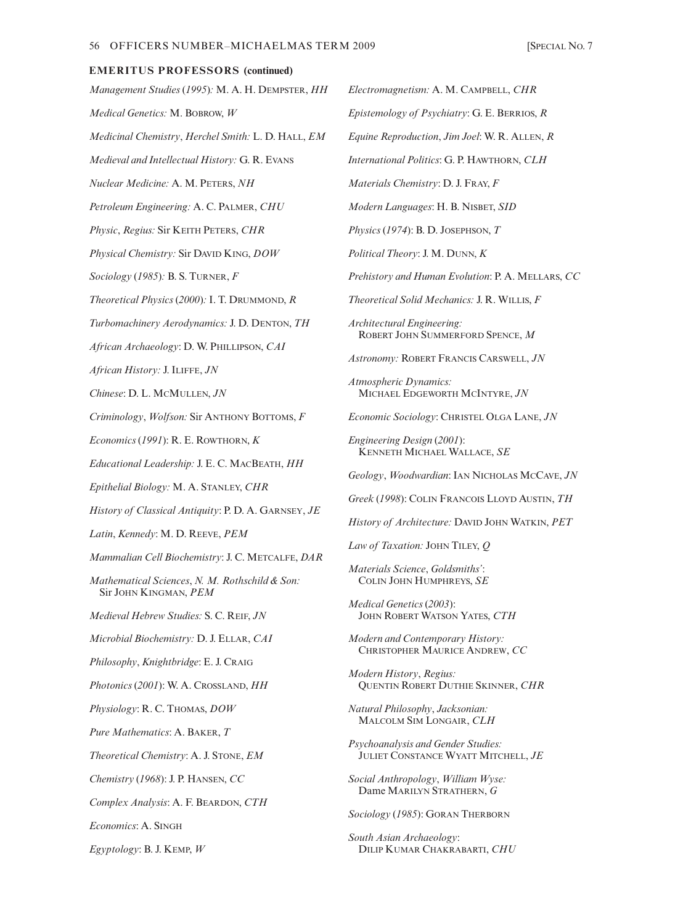*Management Studies* (*1995*)*:* M. A. H. DEMPSTER, *HH Medical Genetics:* M. BOBROW, *W Medicinal Chemistry*, *Herchel Smith:* L. D. HALL, *EM Medieval and Intellectual History:* G. R. EVANS *Nuclear Medicine:* A. M. PETERS, *NH Petroleum Engineering:* A. C. PALMER, *CHU Physic*, *Regius:* Sir KEITH PETERS, *CHR Physical Chemistry:* Sir DAVID KING, *DOW Sociology* (*1985*)*:* B. S. TURNER, *F Theoretical Physics* (*2000*)*:* I. T. DRUMMOND, *R Turbomachinery Aerodynamics:* J. D. DENTON, *TH African Archaeology*: D. W. PHILLIPSON, *CAI African History:* J. ILIFFE, *JN Chinese*: D. L. MCMULLEN, *JN Criminology*, *Wolfson:* Sir ANTHONY BOTTOMS, *F Economics* (*1991*): R. E. ROWTHORN, *K Educational Leadership:* J. E. C. MACBEATH, *HH Epithelial Biology:* M. A. STANLEY, *CHR History of Classical Antiquity*: P. D. A. GARNSEY, *JE Latin*, *Kennedy*: M. D. REEVE, *PEM Mammalian Cell Biochemistry*: J. C. METCALFE, *DAR Mathematical Sciences*, *N. M. Rothschild & Son:* Sir JOHN KINGMAN, *PEM Medieval Hebrew Studies:* S. C. REIF, *JN Microbial Biochemistry:* D. J. ELLAR, *CAI Philosophy*, *Knightbridge*: E. J. CRAIG *Photonics* (*2001*): W. A. CROSSLAND, *HH Physiology*: R. C. THOMAS, *DOW Pure Mathematics*: A. BAKER, *T Theoretical Chemistry*: A. J. STONE, *EM Chemistry* (*1968*): J. P. HANSEN, *CC Complex Analysis*: A. F. BEARDON, *CTH Economics*: A. SINGH *Egyptology*: B. J. KEMP, *W*

*Electromagnetism:* A. M. CAMPBELL, *CHR Epistemology of Psychiatry*: G. E. BERRIOS, *R Equine Reproduction*, *Jim Joel*: W. R. ALLEN, *R International Politics*: G. P. HAWTHORN, *CLH Materials Chemistry*: D. J. FRAY, *F Modern Languages*: H. B. NISBET, *SID Physics* (*1974*): B. D. JOSEPHSON, *T Political Theory*: J. M. DUNN, *K Prehistory and Human Evolution*: P. A. MELLARS, *CC Theoretical Solid Mechanics:* J. R. WILLIS, *F Architectural Engineering:* ROBERT JOHN SUMMERFORD SPENCE, *M Astronomy:* ROBERT FRANCIS CARSWELL, *JN Atmospheric Dynamics:* MICHAEL EDGEWORTH MCINTYRE, *JN Economic Sociology*: CHRISTEL OLGA LANE, *JN Engineering Design* (*2001*): KENNETH MICHAEL WALLACE, *SE Geology*, *Woodwardian*: IAN NICHOLAS MCCAVE, *JN Greek* (*1998*): COLIN FRANCOIS LLOYD AUSTIN, *TH History of Architecture:* DAVID JOHN WATKIN, *PET Law of Taxation:* JOHN TILEY, *Q Materials Science*, *Goldsmiths'*: COLIN JOHN HUMPHREYS, *SE Medical Genetics* (*2003*): JOHN ROBERT WATSON YATES, *CTH Modern and Contemporary History:* CHRISTOPHER MAURICE ANDREW, *CC Modern History*, *Regius:* QUENTIN ROBERT DUTHIE SKINNER, *CHR Natural Philosophy*, *Jacksonian:* MALCOLM SIM LONGAIR, *CLH Psychoanalysis and Gender Studies:* JULIET CONSTANCE WYATT MITCHELL, *JE Social Anthropology*, *William Wyse:* Dame MARILYN STRATHERN, *G Sociology* (*1985*): GORAN THERBORN *South Asian Archaeology*:

DILIP KUMAR CHAKRABARTI, *CHU*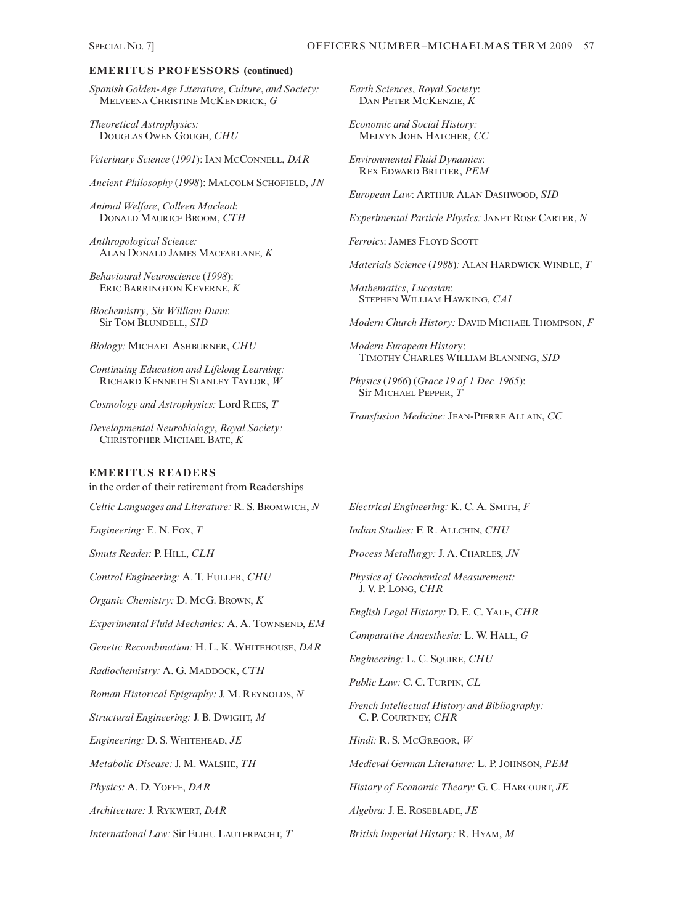*Spanish Golden-Age Literature*, *Culture*, *and Society:* MELVEENA CHRISTINE MCKENDRICK, *G*

*Theoretical Astrophysics:* DOUGLAS OWEN GOUGH, *CHU*

*Veterinary Science* (*1991*): IAN MCCONNELL, *DAR*

*Ancient Philosophy* (*1998*): MALCOLM SCHOFIELD, *JN*

*Animal Welfare*, *Colleen Macleod*: DONALD MAURICE BROOM, *CTH*

*Anthropological Science:* ALAN DONALD JAMES MACFARLANE, *K*

*Behavioural Neuroscience* (*1998*): ERIC BARRINGTON KEVERNE, *K*

*Biochemistry*, *Sir William Dunn*: Sir TOM BLUNDELL, *SID*

*Biology:* MICHAEL ASHBURNER, *CHU*

*Continuing Education and Lifelong Learning:* RICHARD KENNETH STANLEY TAYLOR, *W*

*Cosmology and Astrophysics:* Lord REES, *T*

*Developmental Neurobiology*, *Royal Society:* CHRISTOPHER MICHAEL BATE, *K*

### **EMERITUS READERS**

in the order of their retirement from Readerships

*Celtic Languages and Literature:* R. S. BROMWICH, *N*

*Engineering:* E. N. FOX, *T*

*Smuts Reader:* P. HILL, *CLH*

*Control Engineering:* A. T. FULLER, *CHU*

*Organic Chemistry:* D. MCG. BROWN, *K*

*Experimental Fluid Mechanics:* A. A. TOWNSEND, *EM*

*Genetic Recombination:* H. L. K. WHITEHOUSE, *DAR*

*Radiochemistry:* A. G. MADDOCK, *CTH*

*Roman Historical Epigraphy:* J. M. REYNOLDS, *N*

*Structural Engineering:* J. B. DWIGHT, *M*

*Engineering:* D. S. WHITEHEAD, *JE*

*Metabolic Disease:* J. M. WALSHE, *TH*

*Physics:* A. D. YOFFE, *DAR*

*Architecture:* J. RYKWERT, *DAR*

*International Law:* Sir ELIHU LAUTERPACHT, *T*

*Earth Sciences*, *Royal Society*: DAN PETER MCKENZIE, *K*

*Economic and Social History:* MELVYN JOHN HATCHER, *CC*

*Environmental Fluid Dynamics*: REX EDWARD BRITTER, *PEM*

*European Law*: ARTHUR ALAN DASHWOOD, *SID*

*Experimental Particle Physics:* JANET ROSE CARTER, *N*

*Ferroics*: JAMES FLOYD SCOTT

*Materials Science* (*1988*)*:* ALAN HARDWICK WINDLE, *T*

*Mathematics*, *Lucasian*: STEPHEN WILLIAM HAWKING, *CAI*

*Modern Church History:* DAVID MICHAEL THOMPSON, *F*

*Modern European Histor*y: TIMOTHY CHARLES WILLIAM BLANNING, *SID*

*Physics* (*1966*) (*Grace 19 of 1 Dec. 1965*): Sir MICHAEL PEPPER, *T*

*Transfusion Medicine:* JEAN-PIERRE ALLAIN, *CC*

*Electrical Engineering:* K. C. A. SMITH, *F*

*Indian Studies:* F. R. ALLCHIN, *CHU*

*Process Metallurgy:* J. A. CHARLES, *JN*

*Physics of Geochemical Measurement:* J. V. P. LONG, *CHR*

*English Legal History:* D. E. C. YALE, *CHR*

*Comparative Anaesthesia:* L. W. HALL, *G*

*Engineering:* L. C. SQUIRE, *CHU*

*Public Law:* C. C. TURPIN, *CL*

*French Intellectual History and Bibliography:* C. P. COURTNEY, *CHR*

*Hindi:* R. S. MCGREGOR, *W*

*Medieval German Literature:* L. P. JOHNSON, *PEM*

*History of Economic Theory:* G. C. HARCOURT, *JE*

*Algebra:* J. E. ROSEBLADE, *JE*

*British Imperial History:* R. HYAM, *M*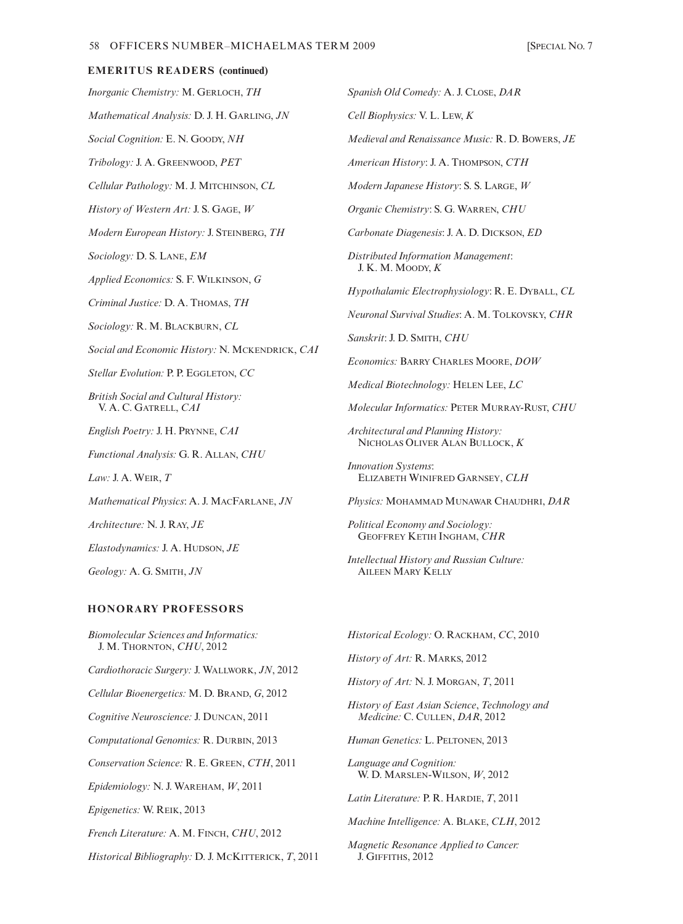# *Inorganic Chemistry:* M. GERLOCH, *TH* **EMERITUS READERS (continued)**

*Mathematical Analysis:* D. J. H. GARLING, *JN*

*Social Cognition:* E. N. GOODY, *NH*

*Tribology:* J. A. GREENWOOD, *PET*

*Cellular Pathology:* M. J. MITCHINSON, *CL*

*History of Western Art:* J. S. GAGE, *W*

*Modern European History:* J. STEINBERG, *TH*

*Sociology:* D. S. LANE, *EM*

*Applied Economics:* S. F. WILKINSON, *G*

*Criminal Justice:* D. A. THOMAS, *TH*

*Sociology:* R. M. BLACKBURN, *CL*

*Social and Economic History:* N. MCKENDRICK, *CAI* 

*Stellar Evolution:* P. P. EGGLETON, *CC* 

*British Social and Cultural History:* V. A. C. GATRELL, *CAI*

*English Poetry:* J. H. PRYNNE, *CAI*

*Functional Analysis:* G. R. ALLAN, *CHU*

*Law:* J. A. WEIR, *T*

*Mathematical Physics*: A. J. MACFARLANE, *JN*

*Architecture:* N. J. RAY, *JE*

*Elastodynamics:* J. A. HUDSON, *JE*

*Geology:* A. G. SMITH, *JN*

#### **HONORARY PROFESSORS**

*Biomolecular Sciences and Informatics:* J. M. THORNTON, *CHU*, 2012 *Cardiothoracic Surgery:* J. WALLWORK, *JN*, 2012 *Cellular Bioenergetics:* M. D. BRAND, *G*, 2012 *Cognitive Neuroscience:* J. DUNCAN, 2011 *Computational Genomics:* R. DURBIN, 2013 *Conservation Science:* R. E. GREEN, *CTH*, 2011 *Epidemiology:* N. J. WAREHAM, *W*, 2011 *Epigenetics:* W. REIK, 2013 *French Literature:* A. M. FINCH, *CHU*, 2012 *Historical Bibliography:* D. J. MCKITTERICK, *T*, 2011 *Spanish Old Comedy:* A. J. CLOSE, *DAR*

*Cell Biophysics:* V. L. LEW, *K*

*Medieval and Renaissance Music:* R. D. BOWERS, *JE*

*American History*: J. A. THOMPSON, *CTH*

*Modern Japanese History*: S. S. LARGE, *W*

*Organic Chemistry*: S. G. WARREN, *CHU*

*Carbonate Diagenesis*: J. A. D. DICKSON, *ED*

*Distributed Information Management*: J. K. M. MOODY, *K*

*Hypothalamic Electrophysiology*: R. E. DYBALL, *CL*

*Neuronal Survival Studies*: A. M. TOLKOVSKY, *CHR*

*Sanskrit*: J. D. SMITH, *CHU*

*Economics:* BARRY CHARLES MOORE, *DOW*

*Medical Biotechnology:* HELEN LEE, *LC*

*Molecular Informatics:* PETER MURRAY-RUST, *CHU*

*Architectural and Planning History:* NICHOLAS OLIVER ALAN BULLOCK, *K*

*Innovation Systems*: ELIZABETH WINIFRED GARNSEY, *CLH*

*Physics:* MOHAMMAD MUNAWAR CHAUDHRI, *DAR*

*Political Economy and Sociology:* GEOFFREY KETIH INGHAM, *CHR*

*Intellectual History and Russian Culture:* AILEEN MARY KELLY

*Historical Ecology:* O. RACKHAM, *CC*, 2010

*History of Art:* R. MARKS, 2012

*History of Art:* N. J. MORGAN, *T*, 2011

*History of East Asian Science*, *Technology and Medicine:* C. CULLEN, *DAR*, 2012

*Human Genetics:* L. PELTONEN, 2013

*Language and Cognition:* W. D. MARSLEN-WILSON, *W*, 2012

*Latin Literature:* P. R. HARDIE, *T*, 2011

*Machine Intelligence:* A. BLAKE, *CLH*, 2012

*Magnetic Resonance Applied to Cancer:* J. GIFFITHS, 2012